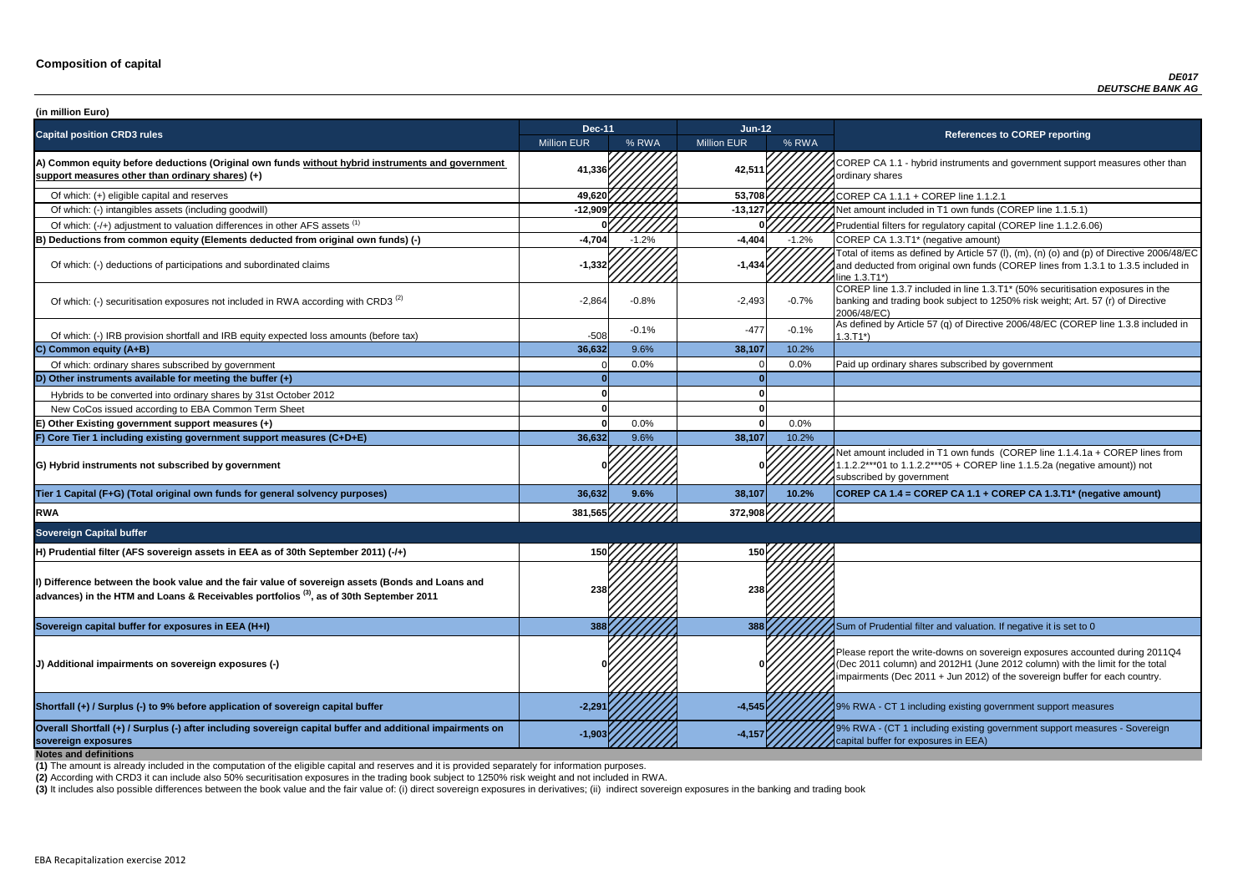**P CA 1.1 - hybrid instruments and government support measures other than** ry shares

of tial filters for regulatory capital (COREP line 1.1.2.6.06)

of items as defined by Article 57 (I), (m), (n) (o) and (p) of Directive 2006/48/EC educted from original own funds (COREP lines from 1.3.1 to 1.3.5 included in  $3.71^*$ 

 $\overline{C}$  line 1.3.7 included in line 1.3.T1\* (50% securitisation exposures in the g and trading book subject to 1250% risk weight; Art. 57 (r) of Directive 8/EC)

of which: IRB provided and IRB provided in and IRB equity expected and IRB equity expected in the tax of Directive 2006/48/EC (COREP line 1.3.8 included in

nount included in T1 own funds (COREP line 1.1.4.1a + COREP lines from  $2***01$  to 1.1.2.2\*\*\*05 + COREP line 1.1.5.2a (negative amount)) not ibed by government

| (in million Euro)                                                                                                                                                                                       |                    |         |                    |         |                                                                                                                                                                                   |
|---------------------------------------------------------------------------------------------------------------------------------------------------------------------------------------------------------|--------------------|---------|--------------------|---------|-----------------------------------------------------------------------------------------------------------------------------------------------------------------------------------|
| <b>Capital position CRD3 rules</b>                                                                                                                                                                      | <b>Dec-11</b>      |         | Jun-12             |         | <b>References to COREP reporting</b>                                                                                                                                              |
|                                                                                                                                                                                                         | <b>Million EUR</b> | % RWA   | <b>Million EUR</b> | % RWA   |                                                                                                                                                                                   |
| A) Common equity before deductions (Original own funds without hybrid instruments and government<br>support measures other than ordinary shares) (+)                                                    | 41,336             |         | 42,511             |         | COREP CA 1.1 - hybrid instruments and government suppo<br>ordinary shares                                                                                                         |
| Of which: (+) eligible capital and reserves                                                                                                                                                             | 49,620             |         | 53,708             |         | COREP CA 1.1.1 + COREP line 1.1.2.1                                                                                                                                               |
| Of which: (-) intangibles assets (including goodwill)                                                                                                                                                   | $-12,909$          |         | $-13,127$          |         | Net amount included in T1 own funds (COREP line 1.1.5.1)                                                                                                                          |
| Of which: (-/+) adjustment to valuation differences in other AFS assets <sup>(1)</sup>                                                                                                                  |                    |         |                    |         | Prudential filters for regulatory capital (COREP line 1.1.2.6.                                                                                                                    |
| B) Deductions from common equity (Elements deducted from original own funds) (-)                                                                                                                        | $-4,704$           | $-1.2%$ | $-4,404$           | $-1.2%$ | COREP CA 1.3.T1* (negative amount)                                                                                                                                                |
| Of which: (-) deductions of participations and subordinated claims                                                                                                                                      | $-1,332$           |         | $-1,434$           |         | Total of items as defined by Article 57 (I), (m), (n) (o) and (p<br>and deducted from original own funds (COREP lines from 1<br>line 1.3.T1*)                                     |
| Of which: (-) securitisation exposures not included in RWA according with CRD3 <sup>(2)</sup>                                                                                                           | $-2,864$           | $-0.8%$ | $-2,493$           | $-0.7%$ | COREP line 1.3.7 included in line 1.3.T1* (50% securitisation<br>banking and trading book subject to 1250% risk weight; Art.<br>2006/48/EC)                                       |
| Of which: (-) IRB provision shortfall and IRB equity expected loss amounts (before tax)                                                                                                                 | $-508$             | $-0.1%$ | $-477$             | $-0.1%$ | As defined by Article 57 (q) of Directive 2006/48/EC (CORE<br>$1.3.T1*)$                                                                                                          |
| C) Common equity (A+B)                                                                                                                                                                                  | 36,632             | 9.6%    | 38,107             | 10.2%   |                                                                                                                                                                                   |
| Of which: ordinary shares subscribed by government                                                                                                                                                      |                    | 0.0%    |                    | 0.0%    | Paid up ordinary shares subscribed by government                                                                                                                                  |
| D) Other instruments available for meeting the buffer $(+)$                                                                                                                                             |                    |         |                    |         |                                                                                                                                                                                   |
| Hybrids to be converted into ordinary shares by 31st October 2012                                                                                                                                       |                    |         |                    |         |                                                                                                                                                                                   |
| New CoCos issued according to EBA Common Term Sheet                                                                                                                                                     |                    |         |                    |         |                                                                                                                                                                                   |
| E) Other Existing government support measures (+)                                                                                                                                                       |                    | 0.0%    |                    | 0.0%    |                                                                                                                                                                                   |
| F) Core Tier 1 including existing government support measures (C+D+E)                                                                                                                                   | 36,632             | 9.6%    | 38,107             | 10.2%   |                                                                                                                                                                                   |
| G) Hybrid instruments not subscribed by government                                                                                                                                                      |                    |         |                    |         | Net amount included in T1 own funds (COREP line 1.1.4.1a<br>1.1.2.2***01 to 1.1.2.2***05 + COREP line 1.1.5.2a (negativ<br>subscribed by government                               |
| Tier 1 Capital (F+G) (Total original own funds for general solvency purposes)                                                                                                                           | 36,632             | 9.6%    | 38,107             | 10.2%   | COREP CA 1.4 = COREP CA 1.1 + COREP CA 1.3.T1* (ne                                                                                                                                |
| <b>RWA</b>                                                                                                                                                                                              | 381,565            |         | 372,908            |         |                                                                                                                                                                                   |
| <b>Sovereign Capital buffer</b>                                                                                                                                                                         |                    |         |                    |         |                                                                                                                                                                                   |
| H) Prudential filter (AFS sovereign assets in EEA as of 30th September 2011) (-/+)                                                                                                                      | 150                |         | 150                |         |                                                                                                                                                                                   |
| Dip Difference between the book value and the fair value of sovereign assets (Bonds and Loans and<br>advances) in the HTM and Loans & Receivables portfolios <sup>(3)</sup> , as of 30th September 2011 | 238                |         | 238                |         |                                                                                                                                                                                   |
| Sovereign capital buffer for exposures in EEA (H+I)                                                                                                                                                     | 388                |         | 388                |         | Sum of Prudential filter and valuation. If negative it is set to                                                                                                                  |
| (J) Additional impairments on sovereign exposures (-)                                                                                                                                                   |                    |         |                    |         | Please report the write-downs on sovereign exposures acco<br>(Dec 2011 column) and 2012H1 (June 2012 column) with th<br>impairments (Dec 2011 + Jun 2012) of the sovereign buffer |
| Shortfall (+) / Surplus (-) to 9% before application of sovereign capital buffer                                                                                                                        | $-2,291$           |         | $-4,545$           |         | 19% RWA - CT 1 including existing government support mea                                                                                                                          |
| Overall Shortfall (+) / Surplus (-) after including sovereign capital buffer and additional impairments on<br>sovereign exposures<br><b>Notes and definitions</b>                                       | $-1,903$           |         | $-4,15$            |         | 9% RWA - (CT 1 including existing government support mea<br>capital buffer for exposures in EEA)                                                                                  |

**Tier 1 Capital (F+G) (Total original own funds for general solvency purposes) 36,632 9.6% 38,107 10.2% COREP CA 1.4 = COREP CA 1.1 + COREP CA 1.3.T1\* (negative amount)**

report the write-downs on sovereign exposures accounted during 2011Q4 (011 column) and 2012H1 (June 2012 column) with the limit for the total ments (Dec 2011 + Jun 2012) of the sovereign buffer for each country.

**A** - CT 1 including existing government support measures

**A** - (CT 1 including existing government support measures - Sovereign buffer for exposures in EEA)

**(2)** According with CRD3 it can include also 50% securitisation exposures in the trading book subject to 1250% risk weight and not included in RWA.

(3) It includes also possible differences between the book value and the fair value of: (i) direct sovereign exposures in derivatives; (ii) indirect sovereign exposures in the banking and trading book

**(1)** The amount is already included in the computation of the eligible capital and reserves and it is provided separately for information purposes.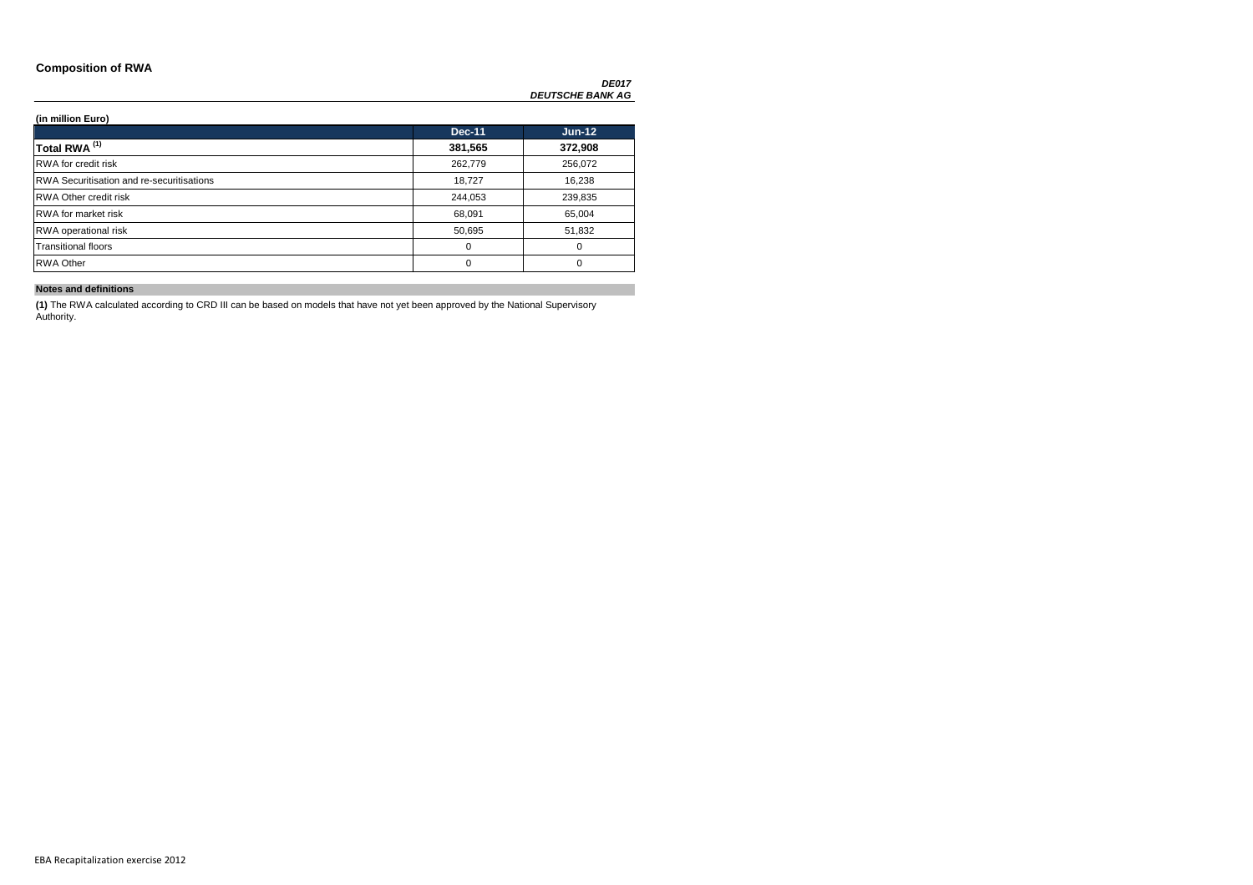### **Composition of RWA**

*DE017 DEUTSCHE BANK AG*

**(in million Euro)**

|                                                  | <b>Dec-11</b> | <b>Jun-12</b> |
|--------------------------------------------------|---------------|---------------|
| Total RWA <sup>(1)</sup>                         | 381,565       | 372,908       |
| <b>RWA</b> for credit risk                       | 262,779       | 256,072       |
| <b>RWA Securitisation and re-securitisations</b> | 18,727        | 16,238        |
| <b>RWA Other credit risk</b>                     | 244,053       | 239,835       |
| <b>RWA</b> for market risk                       | 68,091        | 65,004        |
| RWA operational risk                             | 50,695        | 51,832        |
| <b>Transitional floors</b>                       | 0             | 0             |
| <b>RWA Other</b>                                 | 0             | 0             |

**Notes and definitions**

**(1)** The RWA calculated according to CRD III can be based on models that have not yet been approved by the National Supervisory Authority.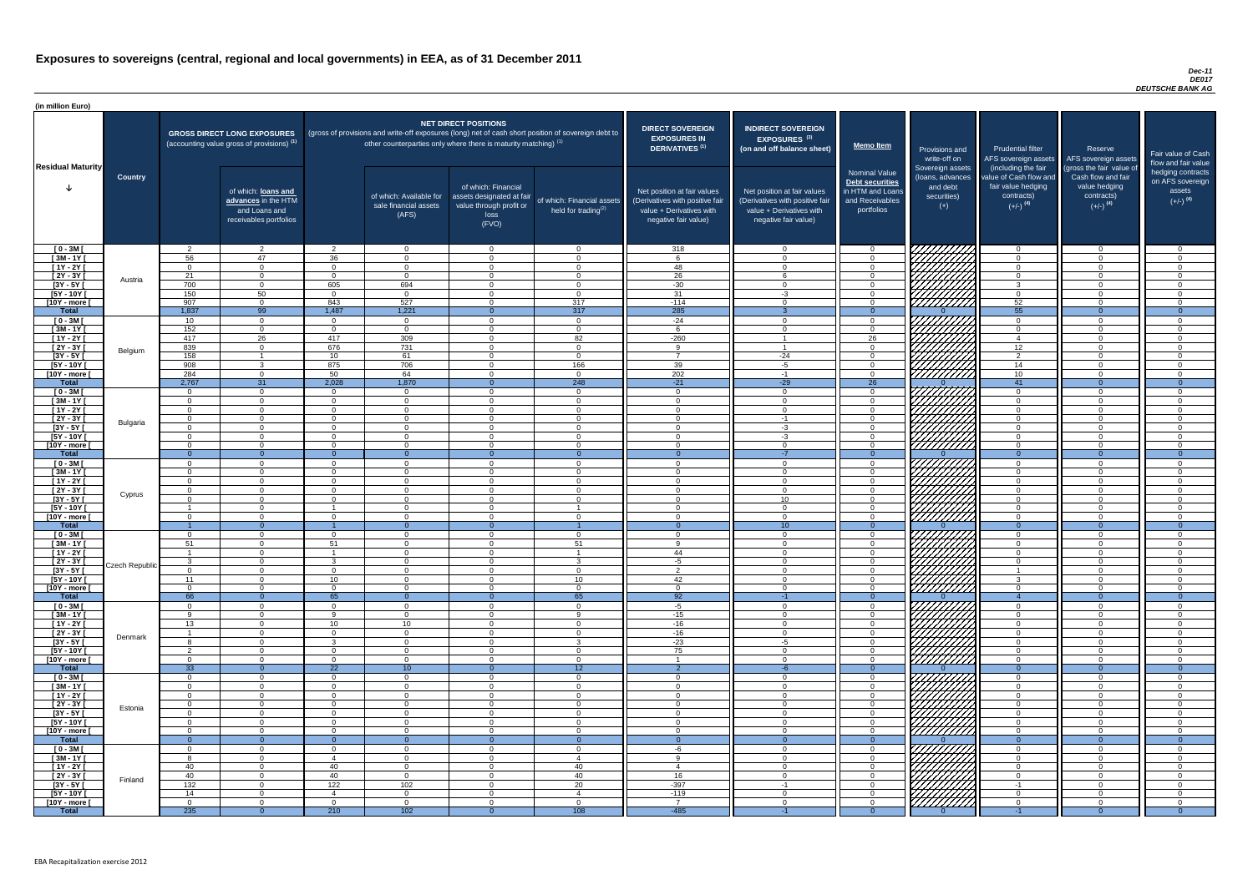### *Dec-11 DE017 DEUTSCHE BANK AG*

| (in million Euro)             |                |                      |                                                                                             |                             |                                                                                                                                                                                   |                                                                                              |                                                      |                                                                                                                    |                                                                                                                    |                                                                                              |                                                                                                                                                                                                                                                                                                                                                                                                                                                               |                                                                                                             |                                                                                                         |                                                                           |
|-------------------------------|----------------|----------------------|---------------------------------------------------------------------------------------------|-----------------------------|-----------------------------------------------------------------------------------------------------------------------------------------------------------------------------------|----------------------------------------------------------------------------------------------|------------------------------------------------------|--------------------------------------------------------------------------------------------------------------------|--------------------------------------------------------------------------------------------------------------------|----------------------------------------------------------------------------------------------|---------------------------------------------------------------------------------------------------------------------------------------------------------------------------------------------------------------------------------------------------------------------------------------------------------------------------------------------------------------------------------------------------------------------------------------------------------------|-------------------------------------------------------------------------------------------------------------|---------------------------------------------------------------------------------------------------------|---------------------------------------------------------------------------|
| <b>Residual Maturity</b>      |                |                      | <b>GROSS DIRECT LONG EXPOSURES</b><br>(accounting value gross of provisions) <sup>(1)</sup> |                             | (gross of provisions and write-off exposures (long) net of cash short position of sovereign debt to<br>other counterparties only where there is maturity matching) <sup>(1)</sup> | <b>NET DIRECT POSITIONS</b>                                                                  |                                                      | <b>DIRECT SOVEREIGN</b><br><b>EXPOSURES IN</b><br>DERIVATIVES <sup>(1)</sup>                                       | <b>INDIRECT SOVEREIGN</b><br>EXPOSURES <sup>(3)</sup><br>(on and off balance sheet)                                | <b>Memo Item</b>                                                                             | Provisions and<br>write-off on                                                                                                                                                                                                                                                                                                                                                                                                                                | <b>Prudential filter</b>                                                                                    | Reserve<br>AFS sovereign assets AFS sovereign assets                                                    | Fair value of Cash<br>flow and fair value                                 |
|                               | <b>Country</b> |                      | of which: loans and<br>advances in the HTM<br>and Loans and<br>receivables portfolios       |                             | of which: Available for<br>sale financial assets<br>(AFS)                                                                                                                         | of which: Financial<br>assets designated at fair<br>value through profit or<br>loss<br>(FVO) | of which: Financial assets<br>held for trading $(2)$ | Net position at fair values<br>(Derivatives with positive fair<br>value + Derivatives with<br>negative fair value) | Net position at fair values<br>(Derivatives with positive fail<br>value + Derivatives with<br>negative fair value) | <b>Nominal Value</b><br>Debt securities<br>in HTM and Loans<br>and Receivables<br>portfolios | Sovereign assets<br>(loans, advances<br>and debt<br>securities)<br>$(+)$                                                                                                                                                                                                                                                                                                                                                                                      | (including the fair<br>value of Cash flow and<br>fair value hedging<br>contracts)<br>$(+/-)$ <sup>(4)</sup> | (gross the fair value of<br>Cash flow and fair<br>value hedging<br>contracts)<br>$(+/-)$ <sup>(4)</sup> | hedging contracts<br>on AFS sovereign<br>assets<br>$(+/-)$ <sup>(4)</sup> |
| $[0 - 3M]$                    |                | $\overline{2}$       | $\overline{2}$                                                                              | $\mathcal{D}$               | $\Omega$                                                                                                                                                                          | $\Omega$                                                                                     | $\overline{0}$                                       | 318                                                                                                                | $\cap$                                                                                                             | $\Omega$                                                                                     | 777777777                                                                                                                                                                                                                                                                                                                                                                                                                                                     | $\overline{0}$                                                                                              | $\Omega$                                                                                                | - വ<br>$\Omega$                                                           |
| $[3M - 1Y]$<br>$[1Y - 2Y]$    |                | 56<br>$\Omega$       | 47<br>$\Omega$                                                                              | 36<br>$\Omega$              | $\Omega$<br>$\Omega$                                                                                                                                                              | $\Omega$<br>$\Omega$                                                                         | $\Omega$<br>$\Omega$                                 | 48                                                                                                                 |                                                                                                                    | $\Omega$<br>$\Omega$                                                                         |                                                                                                                                                                                                                                                                                                                                                                                                                                                               | $\overline{0}$<br>$\overline{0}$                                                                            | $\Omega$                                                                                                | $\cap$                                                                    |
| [2Y - 3Y [                    |                | 21                   | $\Omega$                                                                                    | $\Omega$                    | $\Omega$                                                                                                                                                                          | $\Omega$                                                                                     | $\overline{0}$                                       | 26                                                                                                                 |                                                                                                                    | $\Omega$                                                                                     |                                                                                                                                                                                                                                                                                                                                                                                                                                                               | $\overline{0}$                                                                                              | $\Omega$                                                                                                | $\Omega$                                                                  |
| $\overline{3Y - 5Y}$          | Austria        | 700                  | $\Omega$                                                                                    | 605                         | 694                                                                                                                                                                               | $\Omega$                                                                                     | $\Omega$                                             | $-30$                                                                                                              |                                                                                                                    | $\Omega$                                                                                     | <i>VIIIIIIA</i>                                                                                                                                                                                                                                                                                                                                                                                                                                               | 3                                                                                                           |                                                                                                         |                                                                           |
| [5Y - 10Y [                   |                | 150                  | 50                                                                                          | $\Omega$                    | $\Omega$                                                                                                                                                                          | $\Omega$                                                                                     | $\overline{0}$                                       | 31                                                                                                                 | $-3$                                                                                                               | $\Omega$                                                                                     | 77777777                                                                                                                                                                                                                                                                                                                                                                                                                                                      | $\overline{0}$                                                                                              |                                                                                                         |                                                                           |
| [10Y - more [<br><b>Total</b> |                | 907<br>1,837         | $\Omega$<br>99                                                                              | 843<br>1,487                | 527<br>1,221                                                                                                                                                                      | $\Omega$                                                                                     | 317<br>317                                           | $-114$<br>285                                                                                                      | $\Omega$                                                                                                           | $\Omega$<br>$\Omega$                                                                         | 777777777                                                                                                                                                                                                                                                                                                                                                                                                                                                     | 52<br>55                                                                                                    | $\Omega$<br>$\Omega$                                                                                    | $\cap$<br>$\Omega$                                                        |
| $[0 - 3M]$                    |                | 10 <sup>°</sup>      | $\Omega$                                                                                    | $\Omega$                    | $\Omega$                                                                                                                                                                          | $\Omega$                                                                                     | $\overline{0}$                                       | $-24$                                                                                                              | $\Omega$                                                                                                           | $\Omega$                                                                                     |                                                                                                                                                                                                                                                                                                                                                                                                                                                               | $\Omega$                                                                                                    | $\Omega$                                                                                                | $\cap$                                                                    |
| $[3M-1Y]$                     |                | 152                  | $\Omega$                                                                                    | $\Omega$                    | $\overline{0}$                                                                                                                                                                    | $\cap$                                                                                       | $\overline{0}$                                       | $\epsilon$                                                                                                         | $\Omega$                                                                                                           | $\overline{0}$                                                                               |                                                                                                                                                                                                                                                                                                                                                                                                                                                               | $\overline{0}$                                                                                              | $\cap$                                                                                                  | $\cap$                                                                    |
| $[1Y - 2Y]$                   |                | 417                  | $\overline{26}$                                                                             | 417                         | 309                                                                                                                                                                               | $\Omega$                                                                                     | 82                                                   | $-260$                                                                                                             | $\overline{A}$                                                                                                     | $\overline{26}$                                                                              |                                                                                                                                                                                                                                                                                                                                                                                                                                                               | $\overline{4}$                                                                                              | $\Omega$                                                                                                | $\Omega$                                                                  |
| [2Y - 3Y [                    | Belgium        | 839                  | $\overline{0}$                                                                              | 676                         | 731                                                                                                                                                                               | $\Omega$                                                                                     | $\Omega$                                             | $\alpha$<br>$\overline{7}$                                                                                         | $\overline{\mathbf{A}}$                                                                                            | $\overline{0}$                                                                               | HAHARA KATALAN                                                                                                                                                                                                                                                                                                                                                                                                                                                | 12 <sup>7</sup>                                                                                             | $\Omega$                                                                                                | $\Omega$                                                                  |
| $[3Y - 5Y]$<br>$[5Y - 10Y]$   |                | 158<br>908           | 3 <sup>5</sup>                                                                              | 10 <sup>1</sup><br>875      | 61<br>706                                                                                                                                                                         | $\Omega$<br>$\Omega$                                                                         | $\overline{0}$<br>166                                | 39                                                                                                                 | $-24$<br>$-5$                                                                                                      | $\overline{0}$<br>$\overline{0}$                                                             | HHHH                                                                                                                                                                                                                                                                                                                                                                                                                                                          | 2<br>14                                                                                                     | $\Omega$<br>$\Omega$                                                                                    | $\Omega$<br>$\overline{0}$                                                |
| [10Y - more [                 |                | 284                  | $\overline{0}$                                                                              | 50                          | 64                                                                                                                                                                                | $\Omega$                                                                                     | $\overline{0}$                                       | 202                                                                                                                | $-1$                                                                                                               | $\Omega$                                                                                     |                                                                                                                                                                                                                                                                                                                                                                                                                                                               | 10                                                                                                          | $\Omega$                                                                                                | $\Omega$                                                                  |
| <b>Total</b>                  |                | 2,767                | 31                                                                                          | 2,028                       | 1,870                                                                                                                                                                             |                                                                                              | 248                                                  | $-21$                                                                                                              | $-29$                                                                                                              | $\overline{26}$                                                                              |                                                                                                                                                                                                                                                                                                                                                                                                                                                               | 41                                                                                                          | $\Omega$                                                                                                | $\overline{0}$                                                            |
| $[0 - 3M]$                    |                | $\Omega$             | $\overline{0}$                                                                              | $\Omega$                    | $\overline{0}$                                                                                                                                                                    | $\Omega$                                                                                     | $\overline{0}$                                       | $\overline{0}$                                                                                                     | $\Omega$                                                                                                           | $\overline{0}$                                                                               |                                                                                                                                                                                                                                                                                                                                                                                                                                                               | $\overline{0}$                                                                                              | $\Omega$                                                                                                | $\Omega$                                                                  |
| $[3M - 1Y]$<br>$[1Y - 2Y]$    |                | $\Omega$<br>$\Omega$ | $\Omega$<br>$\Omega$                                                                        | $\Omega$<br>$\Omega$        | $\Omega$<br>$\Omega$                                                                                                                                                              | $\Omega$<br>$\Omega$                                                                         | $\overline{0}$<br>$\overline{0}$                     | $\Omega$<br>$\cap$                                                                                                 | $\cap$                                                                                                             | $\Omega$<br>$\Omega$                                                                         | ( <i>VIIIIIIIA</i> )                                                                                                                                                                                                                                                                                                                                                                                                                                          | $\overline{0}$<br>$\Omega$                                                                                  | $\Omega$<br>$\Omega$                                                                                    | $\cap$<br>$\cap$                                                          |
| [2Y - 3Y [                    |                | $\Omega$             | $\Omega$                                                                                    | $\Omega$                    | $\Omega$                                                                                                                                                                          | $\Omega$                                                                                     | $\Omega$                                             | $\cap$                                                                                                             | $-1$                                                                                                               | $\Omega$                                                                                     |                                                                                                                                                                                                                                                                                                                                                                                                                                                               | $\Omega$                                                                                                    | $\Omega$                                                                                                | $\cap$                                                                    |
| [3Y - 5Y ]                    | Bulgaria       |                      |                                                                                             |                             | - 0                                                                                                                                                                               |                                                                                              | 0                                                    |                                                                                                                    | -3                                                                                                                 |                                                                                              |                                                                                                                                                                                                                                                                                                                                                                                                                                                               |                                                                                                             |                                                                                                         |                                                                           |
| $[5Y - 10Y]$                  |                | $\Omega$             | $\Omega$                                                                                    | $\Omega$                    | $\Omega$                                                                                                                                                                          | $\Omega$                                                                                     | $\Omega$                                             | $\Omega$                                                                                                           | $-3$                                                                                                               | $\Omega$                                                                                     | $\left  \begin{array}{c} \mathcal{U} \mathcal{U} \mathcal{U} \mathcal{U} \mathcal{U} \mathcal{U} \mathcal{U} \mathcal{U} \mathcal{U} \mathcal{U} \mathcal{U} \mathcal{U} \mathcal{U} \mathcal{U} \mathcal{U} \mathcal{U} \mathcal{U} \mathcal{U} \mathcal{U} \mathcal{U} \mathcal{U} \mathcal{U} \mathcal{U} \mathcal{U} \mathcal{U} \mathcal{U} \mathcal{U} \mathcal{U} \mathcal{U} \mathcal{U} \mathcal{U} \mathcal{U} \mathcal{U} \mathcal{U} \mathcal{U}$ | $\Omega$                                                                                                    | $\cap$                                                                                                  |                                                                           |
| [10Y - more [<br><b>Total</b> |                | $\Omega$<br>- റ      | $\Omega$<br>$\overline{0}$                                                                  | $\Omega$<br>$\Omega$        | $\Omega$<br>- 0                                                                                                                                                                   | $\Omega$<br>$\Omega$                                                                         | $\Omega$<br>$\overline{0}$                           | $\Omega$<br>- 0                                                                                                    | $\cap$<br>$-7$                                                                                                     | $\Omega$<br>$\Omega$                                                                         |                                                                                                                                                                                                                                                                                                                                                                                                                                                               | $\Omega$<br>$\Omega$                                                                                        | $\Omega$<br>$\Omega$                                                                                    | $\cap$<br>- 0                                                             |
| $[0 - 3M]$                    |                | $\Omega$             | $\Omega$                                                                                    | $\Omega$                    | $\Omega$                                                                                                                                                                          | $\Omega$                                                                                     | $\Omega$                                             | $\cap$                                                                                                             | $\Omega$                                                                                                           | $\Omega$                                                                                     |                                                                                                                                                                                                                                                                                                                                                                                                                                                               | $\Omega$                                                                                                    | $\Omega$                                                                                                | $\Omega$                                                                  |
| $[3M - 1Y]$                   |                | $\Omega$             | $\Omega$                                                                                    | $\Omega$                    | $\Omega$                                                                                                                                                                          | $\Omega$                                                                                     | $\Omega$                                             | $\cap$                                                                                                             | $\Omega$                                                                                                           | $\Omega$                                                                                     |                                                                                                                                                                                                                                                                                                                                                                                                                                                               | $\overline{0}$                                                                                              | $\Omega$                                                                                                | $\cap$                                                                    |
| [1Y - 2Y [                    |                | $\Omega$             | $\Omega$                                                                                    | $\Omega$                    | $\Omega$                                                                                                                                                                          | $\Omega$                                                                                     | $\Omega$                                             | $\Omega$                                                                                                           |                                                                                                                    | $\Omega$                                                                                     |                                                                                                                                                                                                                                                                                                                                                                                                                                                               | $\Omega$                                                                                                    | $\Omega$                                                                                                |                                                                           |
| $[2Y - 3Y]$                   | Cyprus         | $\Omega$             | $\Omega$                                                                                    | $\Omega$                    | $\Omega$                                                                                                                                                                          | $\Omega$                                                                                     | $\Omega$                                             | - വ                                                                                                                | $\cap$                                                                                                             | $\Omega$                                                                                     |                                                                                                                                                                                                                                                                                                                                                                                                                                                               | $\overline{0}$                                                                                              | $\Omega$                                                                                                |                                                                           |
| $[3Y - 5Y]$<br>$[5Y - 10Y]$   |                | $\Omega$             | $\Omega$<br>$\cap$                                                                          | $\Omega$                    | $\Omega$<br>- ೧                                                                                                                                                                   | $\Omega$<br>$\Omega$                                                                         | $\Omega$                                             | റ                                                                                                                  | 10 <sup>°</sup>                                                                                                    | $\Omega$<br>$\Omega$                                                                         | V <i>IIIIIIII</i>                                                                                                                                                                                                                                                                                                                                                                                                                                             | $\Omega$<br>$\Omega$                                                                                        | $\Omega$<br>∩                                                                                           |                                                                           |
| [10Y - more [                 |                | - റ                  | $\cap$                                                                                      | $\Omega$                    | $\Omega$                                                                                                                                                                          | $\Omega$                                                                                     | $\Omega$                                             | $\cap$                                                                                                             | $\Omega$                                                                                                           | $\Omega$                                                                                     | <u> ///////////</u>                                                                                                                                                                                                                                                                                                                                                                                                                                           | $\overline{0}$                                                                                              | $\Omega$                                                                                                | $\cap$                                                                    |
| <b>Total</b>                  |                |                      | $\Omega$                                                                                    |                             | $\Omega$                                                                                                                                                                          |                                                                                              |                                                      |                                                                                                                    | 10                                                                                                                 | $\Omega$                                                                                     |                                                                                                                                                                                                                                                                                                                                                                                                                                                               | $\Omega$                                                                                                    | $\Omega$                                                                                                | $\Omega$                                                                  |
| $[0 - 3M]$                    |                | - റ                  | $\Omega$                                                                                    | $\Omega$                    | $\Omega$                                                                                                                                                                          | $\Omega$                                                                                     | $\Omega$                                             | $\cap$<br>$\alpha$                                                                                                 | $\cap$<br>$\Omega$                                                                                                 | $\Omega$                                                                                     |                                                                                                                                                                                                                                                                                                                                                                                                                                                               | $\Omega$                                                                                                    | $\Omega$<br>$\Omega$                                                                                    | $\cap$<br>$\Omega$                                                        |
| $[3M - 1Y]$<br>$[1Y - 2Y]$    |                | 51                   | $\Omega$<br>$\Omega$                                                                        | 51                          | $\Omega$<br>$\Omega$                                                                                                                                                              | $\Omega$<br>$\Omega$                                                                         | 51                                                   | 44                                                                                                                 | $\Omega$                                                                                                           | $\overline{0}$<br>$\overline{0}$                                                             |                                                                                                                                                                                                                                                                                                                                                                                                                                                               | $\overline{0}$<br>$\overline{0}$                                                                            | $\Omega$                                                                                                | $\Omega$                                                                  |
| $[2Y - 3Y]$                   |                | $\mathbf{3}$         | $\Omega$                                                                                    | $\mathcal{R}$               | $\Omega$                                                                                                                                                                          | $\Omega$                                                                                     | $\mathcal{B}$                                        | -5                                                                                                                 | $\Omega$                                                                                                           | $\Omega$                                                                                     | ШШЛ                                                                                                                                                                                                                                                                                                                                                                                                                                                           | $\overline{0}$                                                                                              | $\Omega$                                                                                                | $\cap$                                                                    |
| $[3Y - 5Y]$                   | Czech Republic | $\Omega$             | $\overline{0}$                                                                              | $\Omega$                    | $\overline{0}$                                                                                                                                                                    | $\Omega$                                                                                     | $\overline{0}$                                       | $\overline{2}$                                                                                                     | $\Omega$                                                                                                           | $\overline{0}$                                                                               | HHHA                                                                                                                                                                                                                                                                                                                                                                                                                                                          |                                                                                                             | $\Omega$                                                                                                | $\Omega$                                                                  |
| $[5Y - 10Y]$                  |                | 11                   | $\overline{0}$                                                                              | 10 <sup>1</sup><br>$\Omega$ | $\Omega$                                                                                                                                                                          | $\Omega$<br>$\Omega$                                                                         | 10 <sup>°</sup>                                      | 42<br>$\Omega$                                                                                                     | $\Omega$<br>$\Omega$                                                                                               | $\overline{0}$                                                                               |                                                                                                                                                                                                                                                                                                                                                                                                                                                               | $\mathbf{3}$                                                                                                | $\Omega$<br>$\Omega$                                                                                    | $\Omega$<br>$\Omega$                                                      |
| [10Y - more [<br><b>Total</b> |                | $\Omega$<br>66       | $\overline{0}$<br>$\overline{0}$                                                            | 65                          | $\Omega$<br>$\Omega$                                                                                                                                                              |                                                                                              | $\overline{0}$<br>65                                 | 92                                                                                                                 | $-1$                                                                                                               | $\Omega$<br>$\Omega$                                                                         |                                                                                                                                                                                                                                                                                                                                                                                                                                                               | $\overline{0}$<br>$\overline{4}$                                                                            |                                                                                                         | $\Omega$                                                                  |
| $[0 - 3M]$                    |                | $\overline{0}$       | $\overline{0}$                                                                              | $\Omega$                    | $\Omega$                                                                                                                                                                          | $\Omega$                                                                                     | $\overline{0}$                                       | -5                                                                                                                 | $\Omega$                                                                                                           | $\overline{0}$                                                                               | 7777777777                                                                                                                                                                                                                                                                                                                                                                                                                                                    | $\overline{0}$                                                                                              | $\Omega$                                                                                                | $\Omega$                                                                  |
| $[3M - 1Y]$                   |                | - Q                  | $\overline{0}$                                                                              | <b>Q</b>                    | $\Omega$                                                                                                                                                                          | $\Omega$                                                                                     | -9                                                   | $-15$                                                                                                              | $\Omega$                                                                                                           | $\Omega$                                                                                     | 777777777                                                                                                                                                                                                                                                                                                                                                                                                                                                     | $\overline{0}$                                                                                              | $\Omega$                                                                                                | - 0                                                                       |
| $[1Y - 2Y]$<br>$[2Y - 3Y]$    |                | 13                   | $\overline{0}$<br>$\overline{0}$                                                            | 10<br>$\Omega$              | 10<br>$\Omega$                                                                                                                                                                    | $\Omega$<br>$\Omega$                                                                         | $\overline{0}$<br>$\overline{0}$                     | $-16$                                                                                                              | $\Omega$<br>$\Omega$                                                                                               | $\overline{0}$<br>$\Omega$                                                                   |                                                                                                                                                                                                                                                                                                                                                                                                                                                               | $\overline{0}$<br>$\overline{0}$                                                                            | $\Omega$<br>$\Omega$                                                                                    | - 0<br>$\cap$                                                             |
| $[3Y - 5Y]$                   | Denmark        | -8                   | $\Omega$                                                                                    | $\mathcal{R}$               | $\Omega$                                                                                                                                                                          | $\Omega$                                                                                     | $\mathbf{3}$                                         | $-16$<br>$-23$                                                                                                     | -5                                                                                                                 | $\Omega$                                                                                     |                                                                                                                                                                                                                                                                                                                                                                                                                                                               | $\overline{0}$                                                                                              | $\Omega$                                                                                                | $\cap$                                                                    |
| $[5Y - 10Y]$                  |                | $\mathcal{D}$        | $\overline{0}$                                                                              | $\overline{0}$              | $\Omega$                                                                                                                                                                          | $\Omega$                                                                                     | $\overline{0}$                                       | 75                                                                                                                 | $\cap$                                                                                                             | $\Omega$                                                                                     | HAAAA K                                                                                                                                                                                                                                                                                                                                                                                                                                                       | $\overline{0}$                                                                                              | $\Omega$                                                                                                | - 0                                                                       |
| [10Y - more [                 |                | $\Omega$             | $\overline{0}$                                                                              | $\Omega$                    | $\Omega$                                                                                                                                                                          | $\Omega$                                                                                     | $\overline{0}$                                       | - 1                                                                                                                | $\cap$                                                                                                             | $\Omega$                                                                                     |                                                                                                                                                                                                                                                                                                                                                                                                                                                               | $\overline{0}$                                                                                              | $\Omega$                                                                                                | $\cap$                                                                    |
| <b>Total</b><br>$[0 - 3M]$    |                | 33<br>$\Omega$       | $\overline{0}$<br>$\overline{0}$                                                            | $\overline{22}$<br>$\Omega$ | 10 <sup>°</sup><br>$\overline{0}$                                                                                                                                                 | $\Omega$                                                                                     | 12 <sup>7</sup><br>$\overline{0}$                    | - 2<br>$\cap$                                                                                                      | $\cap$                                                                                                             | $\Omega$<br>$\Omega$                                                                         |                                                                                                                                                                                                                                                                                                                                                                                                                                                               | $\overline{0}$<br>$\overline{0}$                                                                            | $\Omega$<br>$\Omega$                                                                                    | $\Omega$<br>$\cap$                                                        |
| $[3M - 1Y]$                   |                | $\Omega$             | $\Omega$                                                                                    | $\Omega$                    | $\Omega$                                                                                                                                                                          | $\Omega$                                                                                     | $\overline{0}$                                       | $\cap$                                                                                                             | $\Omega$                                                                                                           | $\Omega$                                                                                     |                                                                                                                                                                                                                                                                                                                                                                                                                                                               | $\overline{0}$                                                                                              | $\Omega$                                                                                                | $\cap$                                                                    |
| $[1Y - 2Y]$                   |                | $\Omega$             | $\Omega$                                                                                    | $\Omega$                    | $\Omega$                                                                                                                                                                          | $\Omega$                                                                                     | $\Omega$                                             | $\cap$                                                                                                             |                                                                                                                    | $\Omega$                                                                                     |                                                                                                                                                                                                                                                                                                                                                                                                                                                               | $\Omega$                                                                                                    | $\Omega$                                                                                                |                                                                           |
| [2Y - 3Y [                    | Estonia        | $\Omega$             | $\Omega$                                                                                    | $\Omega$                    | $\Omega$                                                                                                                                                                          | $\Omega$                                                                                     | $\Omega$                                             | $\cap$                                                                                                             |                                                                                                                    | $\Omega$                                                                                     |                                                                                                                                                                                                                                                                                                                                                                                                                                                               | $\Omega$                                                                                                    | $\Omega$                                                                                                |                                                                           |
| $[3Y - 5Y]$                   |                | $\Omega$<br>$\Omega$ | $\Omega$<br>$\Omega$                                                                        | $\Omega$<br>$\Omega$        | $\Omega$<br>$\Omega$                                                                                                                                                              | $\Omega$<br>$\Omega$                                                                         | $\Omega$<br>$\Omega$                                 |                                                                                                                    |                                                                                                                    | $\Omega$<br>$\Omega$                                                                         |                                                                                                                                                                                                                                                                                                                                                                                                                                                               | $\Omega$<br>$\Omega$                                                                                        | $\Omega$<br>$\Omega$                                                                                    |                                                                           |
| $[5Y - 10Y]$<br>[10Y - more [ |                | $\Omega$             | $\Omega$                                                                                    | $\Omega$                    | $\Omega$                                                                                                                                                                          | $\Omega$                                                                                     | $\Omega$                                             | $\cap$                                                                                                             | $\cap$                                                                                                             | $\Omega$                                                                                     | <u> /////////</u>                                                                                                                                                                                                                                                                                                                                                                                                                                             | $\Omega$                                                                                                    | $\Omega$                                                                                                | $\cap$                                                                    |
| <b>Total</b>                  |                | -0                   | $\Omega$                                                                                    |                             | - റ                                                                                                                                                                               |                                                                                              | $\Omega$                                             |                                                                                                                    |                                                                                                                    | $\Omega$                                                                                     |                                                                                                                                                                                                                                                                                                                                                                                                                                                               | $\Omega$                                                                                                    | $\Omega$                                                                                                | $\Omega$                                                                  |
| $[0 - 3M]$                    |                | $\Omega$             | $\Omega$                                                                                    | $\Omega$                    | $\Omega$                                                                                                                                                                          | $\Omega$                                                                                     | $\Omega$                                             | -6                                                                                                                 |                                                                                                                    | $\Omega$                                                                                     | <u>VIIIIIII</u> I                                                                                                                                                                                                                                                                                                                                                                                                                                             | $\Omega$                                                                                                    |                                                                                                         |                                                                           |
| $[3M - 1Y]$                   |                |                      | $\overline{0}$<br>$\overline{0}$                                                            |                             | $\overline{0}$                                                                                                                                                                    | $\Omega$                                                                                     | -4                                                   | $\Omega$<br>$\overline{4}$                                                                                         | $\Omega$<br>$\Omega$                                                                                               | $\Omega$                                                                                     | $\mathbb{Z}/\mathbb{Z}$                                                                                                                                                                                                                                                                                                                                                                                                                                       | $\overline{0}$                                                                                              | $\mathbf{0}$<br>$\Omega$                                                                                | $\Omega$                                                                  |
| $[1Y - 2Y]$<br>[ 2Y - 3Y [    |                | 40<br>40             | $\overline{0}$                                                                              | 40<br>40                    | $\overline{0}$<br>$\overline{0}$                                                                                                                                                  | $\overline{0}$<br>$\Omega$                                                                   | 40<br>40                                             | 16                                                                                                                 | $\Omega$                                                                                                           | $\overline{0}$<br>$\overline{0}$                                                             |                                                                                                                                                                                                                                                                                                                                                                                                                                                               | $\overline{0}$<br>$\overline{0}$                                                                            | $\Omega$                                                                                                | $\Omega$                                                                  |
| $\sqrt{3Y - 5Y}$              | Finland        | 132                  | $\overline{0}$                                                                              | 122                         | 102                                                                                                                                                                               | $\overline{0}$                                                                               | 20                                                   | $-397$                                                                                                             | $-1$                                                                                                               | $\overline{0}$                                                                               |                                                                                                                                                                                                                                                                                                                                                                                                                                                               | $-1$                                                                                                        | $\mathbf{0}$                                                                                            | $\Omega$                                                                  |
| [5Y - 10Y [                   |                | 14                   | $\overline{0}$                                                                              | $\overline{4}$              | $\overline{0}$                                                                                                                                                                    | $\overline{0}$                                                                               | $\overline{4}$                                       | $-119$                                                                                                             | $\Omega$                                                                                                           | $\Omega$                                                                                     | HHHHA                                                                                                                                                                                                                                                                                                                                                                                                                                                         | $\overline{0}$                                                                                              | $\Omega$                                                                                                | $\Omega$                                                                  |
| [10Y - more [                 |                | $\Omega$<br>235      | $\overline{0}$<br>$\overline{0}$                                                            | $\overline{0}$              | $\Omega$<br>$\overline{102}$                                                                                                                                                      | $\Omega$<br>$\overline{0}$                                                                   | $\overline{0}$<br>108                                | $\overline{z}$<br>$-485$                                                                                           | $\Omega$<br>$-1$                                                                                                   | $\overline{0}$<br>$\Omega$                                                                   |                                                                                                                                                                                                                                                                                                                                                                                                                                                               | $\overline{0}$<br>$-1$                                                                                      | $\Omega$                                                                                                | $\Omega$<br>$\Omega$                                                      |
| <b>Total</b>                  |                |                      |                                                                                             | 210                         |                                                                                                                                                                                   |                                                                                              |                                                      |                                                                                                                    |                                                                                                                    |                                                                                              |                                                                                                                                                                                                                                                                                                                                                                                                                                                               |                                                                                                             |                                                                                                         |                                                                           |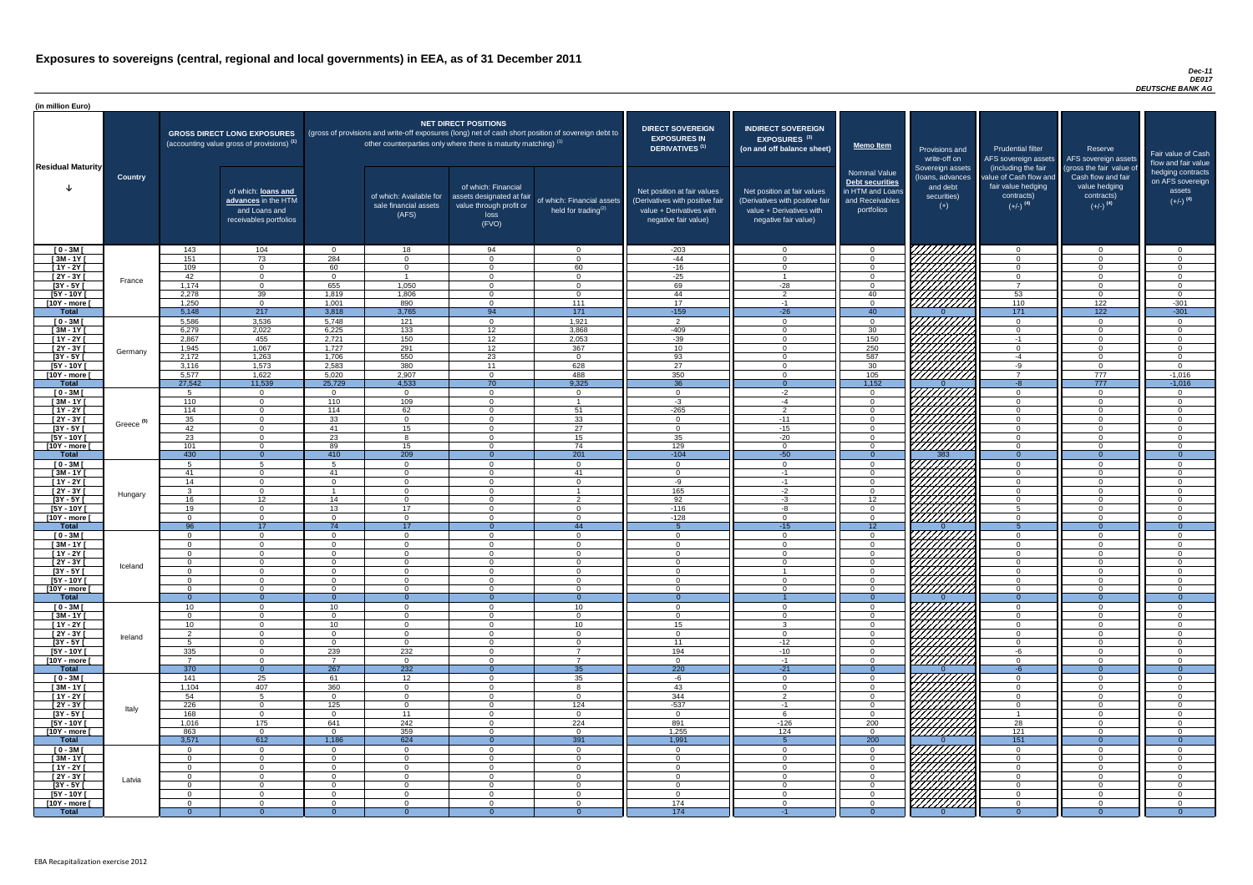### *Dec-11 DE017 DEUTSCHE BANK AG*

| (in million Euro)             |                       |                        |                                                                                             |                             |                                                                                                                                                                                   |                                                                                              |                                                      |                                                                                                                    |                                                                                                                    |                                                                                              |                                                                          |                                                                                                             |                                                                                                         |                                                                           |
|-------------------------------|-----------------------|------------------------|---------------------------------------------------------------------------------------------|-----------------------------|-----------------------------------------------------------------------------------------------------------------------------------------------------------------------------------|----------------------------------------------------------------------------------------------|------------------------------------------------------|--------------------------------------------------------------------------------------------------------------------|--------------------------------------------------------------------------------------------------------------------|----------------------------------------------------------------------------------------------|--------------------------------------------------------------------------|-------------------------------------------------------------------------------------------------------------|---------------------------------------------------------------------------------------------------------|---------------------------------------------------------------------------|
| <b>Residual Maturity</b>      |                       |                        | <b>GROSS DIRECT LONG EXPOSURES</b><br>(accounting value gross of provisions) <sup>(1)</sup> |                             | (gross of provisions and write-off exposures (long) net of cash short position of sovereign debt to<br>other counterparties only where there is maturity matching) <sup>(1)</sup> | <b>NET DIRECT POSITIONS</b>                                                                  |                                                      | <b>DIRECT SOVEREIGN</b><br><b>EXPOSURES IN</b><br>DERIVATIVES <sup>(1)</sup>                                       | <b>INDIRECT SOVEREIGN</b><br><b>EXPOSURES<sup>(3)</sup></b><br>(on and off balance sheet)                          | <b>Memo Item</b>                                                                             | Provisions and<br>write-off on                                           | <b>Prudential filter</b><br>AFS sovereign assets                                                            | Reserve<br>AFS sovereign assets                                                                         | Fair value of Cash<br>flow and fair value                                 |
|                               | <b>Country</b>        |                        | of which: loans and<br>advances in the HTM<br>and Loans and<br>receivables portfolios       |                             | of which: Available for<br>sale financial assets<br>(AFS)                                                                                                                         | of which: Financial<br>assets designated at fair<br>value through profit or<br>loss<br>(FVO) | of which: Financial assets<br>held for trading $(2)$ | Net position at fair values<br>(Derivatives with positive fair<br>value + Derivatives with<br>negative fair value) | Net position at fair values<br>(Derivatives with positive fair<br>value + Derivatives with<br>negative fair value) | <b>Nominal Value</b><br>Debt securities<br>in HTM and Loans<br>and Receivables<br>portfolios | Sovereign assets<br>(Ioans, advances<br>and debt<br>securities)<br>$(+)$ | (including the fair<br>value of Cash flow and<br>fair value hedging<br>contracts)<br>$(+/-)$ <sup>(4)</sup> | (gross the fair value of<br>Cash flow and fair<br>value hedging<br>contracts)<br>$(+/-)$ <sup>(4)</sup> | hedging contracts<br>on AFS sovereign<br>assets<br>$(+/-)$ <sup>(4)</sup> |
| $[0 - 3M]$                    |                       | 143                    | 104                                                                                         | $\Omega$                    | 18                                                                                                                                                                                | 94                                                                                           | $\overline{0}$                                       | $-203$                                                                                                             | $\Omega$                                                                                                           | $\Omega$                                                                                     | 7777777777                                                               | $\overline{0}$                                                                                              | $\Omega$                                                                                                | $\overline{0}$                                                            |
| $[3M - 1Y]$<br>$[1Y - 2Y]$    |                       | 151<br>109             | 73<br>$\overline{0}$                                                                        | 284<br>60                   | $\Omega$<br>$\Omega$                                                                                                                                                              | $\Omega$<br>$\Omega$                                                                         | $\Omega$<br>60                                       | $-44$<br>$-16$                                                                                                     | $\Omega$                                                                                                           | $\Omega$<br>$\Omega$                                                                         |                                                                          | $\Omega$<br>$\overline{0}$                                                                                  | $\Omega$<br>$\Omega$                                                                                    | $\Omega$<br>$\Omega$                                                      |
| $[2Y - 3Y]$                   |                       | 42                     | $\overline{0}$                                                                              | $\cap$                      | $\overline{\phantom{a}}$                                                                                                                                                          | $\Omega$                                                                                     | $\Omega$                                             | $-25$                                                                                                              | $\overline{\mathbf{A}}$                                                                                            | $\overline{0}$                                                                               |                                                                          | $\overline{0}$                                                                                              | $\Omega$                                                                                                | $\overline{0}$                                                            |
| $[3Y - 5Y]$                   | France                | 1,174                  | $\Omega$                                                                                    | 655                         | 1,050                                                                                                                                                                             | $\Omega$                                                                                     | $\Omega$                                             | 69                                                                                                                 | $-28$                                                                                                              | $\overline{0}$                                                                               |                                                                          | $\overline{7}$                                                                                              | $\Omega$                                                                                                | $\Omega$                                                                  |
| $[5Y - 10Y]$                  |                       | 2,278                  | 39                                                                                          | 1,819                       | 1,806                                                                                                                                                                             | $\Omega$                                                                                     | $\overline{0}$                                       | 44                                                                                                                 | $\overline{2}$                                                                                                     | 40                                                                                           |                                                                          | 53                                                                                                          | $\Omega$                                                                                                | $\Omega$                                                                  |
| [10Y - more [<br><b>Total</b> |                       | 1,250<br>5,148         | $\overline{0}$<br>217                                                                       | 1,001<br>3,818              | 890<br>3,765                                                                                                                                                                      | $\overline{0}$<br>94                                                                         | 111<br>171                                           | 17<br>$-159$                                                                                                       | $-1$<br>$-26$                                                                                                      | $\overline{0}$<br>40 <sup>7</sup>                                                            | <i>VIIIIIII</i>                                                          | 110<br>171                                                                                                  | 122<br>122                                                                                              | $-301$<br>$-301$                                                          |
| $[0 - 3M]$                    |                       | 5,586                  | 3,536                                                                                       | 5,748                       | 121                                                                                                                                                                               | $\Omega$                                                                                     | 1,921                                                | $\overline{2}$                                                                                                     | $\Omega$                                                                                                           | $\overline{0}$                                                                               |                                                                          | $\overline{0}$                                                                                              | $\Omega$                                                                                                | $\cap$                                                                    |
| $[3M - 1Y]$                   |                       | 6,279                  | 2,022                                                                                       | 6,225                       | $\overline{133}$                                                                                                                                                                  | 12                                                                                           | 3,868                                                | $-409$                                                                                                             | $\cap$                                                                                                             | 30                                                                                           |                                                                          | $\overline{0}$                                                                                              | $\Omega$                                                                                                | $\Omega$                                                                  |
| $[1Y - 2Y]$                   |                       | 2,867                  | 455                                                                                         | 2,721                       | 150                                                                                                                                                                               | 12 <sup>7</sup>                                                                              | 2,053                                                | $-39$                                                                                                              |                                                                                                                    | 150                                                                                          | . <i>Y////////Z</i>                                                      | $-1$                                                                                                        | $\Omega$                                                                                                | $\Omega$                                                                  |
| $[2Y - 3Y]$                   | Germany               | 1,945                  | 1,067                                                                                       | 1,727                       | 291                                                                                                                                                                               | 12 <sup>7</sup>                                                                              | 367                                                  | 10 <sup>1</sup>                                                                                                    |                                                                                                                    | 250                                                                                          |                                                                          | $\overline{0}$                                                                                              | $\Omega$                                                                                                | $\cap$                                                                    |
| $[3Y - 5Y]$                   |                       | 2,172                  | 1,263                                                                                       | 1,706                       | 550<br>380                                                                                                                                                                        | 23<br>11                                                                                     | $\overline{0}$                                       | 93                                                                                                                 |                                                                                                                    | 587                                                                                          |                                                                          | $-4$                                                                                                        | $\cap$<br>$\Omega$                                                                                      | $\cap$<br>$\Omega$                                                        |
| $[5Y - 10Y]$<br>[10Y - more [ |                       | 3,116<br>5,577         | 1,573<br>1,622                                                                              | 2,583<br>5,020              | 2,907                                                                                                                                                                             | $\Omega$                                                                                     | 628<br>488                                           | 27<br>350                                                                                                          |                                                                                                                    | 30<br>$105$                                                                                  | HHHA.                                                                    | -9<br>$\overline{7}$                                                                                        | 777                                                                                                     | $-1,016$                                                                  |
| <b>Total</b>                  |                       | 27,542                 | 11,539                                                                                      | 25,729                      | 4,533                                                                                                                                                                             | 70                                                                                           | 9,325                                                | 36                                                                                                                 |                                                                                                                    | 1,152                                                                                        |                                                                          | $-8$                                                                                                        | 777                                                                                                     | $-1,016$                                                                  |
| $[0 - 3M]$                    |                       | Б.                     | $\overline{0}$                                                                              | $\Omega$                    | $\overline{0}$                                                                                                                                                                    | $\Omega$                                                                                     | $\overline{0}$                                       | $\cap$                                                                                                             | $-2$                                                                                                               | $\Omega$                                                                                     |                                                                          | $\Omega$                                                                                                    | $\cap$                                                                                                  | - റ                                                                       |
| $[3M - 1Y]$                   |                       | 110                    | $\Omega$                                                                                    | 110                         | 109                                                                                                                                                                               | $\Omega$                                                                                     |                                                      | $-3$                                                                                                               | $-4$                                                                                                               | $\Omega$                                                                                     |                                                                          | $\Omega$                                                                                                    | $\Omega$                                                                                                | $\cap$                                                                    |
| $[1Y - 2Y]$<br>$[2Y - 3Y]$    |                       | 114<br>35              | $\Omega$<br>$\Omega$                                                                        | 114<br>33                   | 62<br>$\Omega$                                                                                                                                                                    | $\Omega$                                                                                     | 51<br>33                                             | $-265$                                                                                                             | $\overline{2}$<br>$-11$                                                                                            | $\Omega$<br>$\Omega$                                                                         | <i>ШША</i>                                                               | $\Omega$<br>$\Omega$                                                                                        |                                                                                                         | $\cap$                                                                    |
| $[3Y - 5Y]$                   | Greece <sup>(5)</sup> | 42                     |                                                                                             | -41                         | 15                                                                                                                                                                                |                                                                                              | 27                                                   |                                                                                                                    | -15                                                                                                                |                                                                                              |                                                                          |                                                                                                             |                                                                                                         |                                                                           |
| $[5Y - 10Y]$                  |                       | 23                     | $\Omega$                                                                                    | 23                          |                                                                                                                                                                                   | $\Omega$                                                                                     | 15                                                   | 35                                                                                                                 | $-20$                                                                                                              | $\Omega$                                                                                     | <i>VIIIIII</i> II                                                        | $\Omega$                                                                                                    |                                                                                                         |                                                                           |
| [10Y - more [                 |                       | 101                    | $\Omega$                                                                                    | 89                          | 15                                                                                                                                                                                | $\Omega$                                                                                     | 74                                                   | 129                                                                                                                |                                                                                                                    | $\Omega$                                                                                     | 7777777777                                                               | $\Omega$                                                                                                    |                                                                                                         |                                                                           |
| <b>Total</b>                  |                       | 430                    | $\Omega$                                                                                    | 410                         | 209<br>$\Omega$                                                                                                                                                                   | $\Omega$                                                                                     | 201                                                  | $-104$<br>- 0                                                                                                      | $-50$<br>$\cap$                                                                                                    | $\Omega$                                                                                     | 383                                                                      | $\Omega$                                                                                                    | $\Omega$<br>$\Omega$                                                                                    | $\Omega$                                                                  |
| $[0 - 3M]$<br>$[3M - 1Y]$     |                       | 41                     | $\Omega$                                                                                    | 41                          | $\Omega$                                                                                                                                                                          | $\Omega$                                                                                     | $\overline{0}$<br>41                                 | റ                                                                                                                  | $-1$                                                                                                               | $\Omega$<br>$\Omega$                                                                         |                                                                          | $\overline{0}$<br>$\Omega$                                                                                  | $\Omega$                                                                                                | $\cap$                                                                    |
| $[1Y - 2Y]$                   |                       | 14                     | $\overline{0}$                                                                              | $\Omega$                    | $\Omega$                                                                                                                                                                          | $\Omega$                                                                                     | $\Omega$                                             | -9                                                                                                                 | $-1$                                                                                                               | $\Omega$                                                                                     |                                                                          | $\overline{0}$                                                                                              | $\Omega$                                                                                                | $\Omega$                                                                  |
| $[2Y - 3Y]$                   | Hungary               |                        | $\overline{0}$                                                                              |                             | $\Omega$                                                                                                                                                                          | $\Omega$                                                                                     |                                                      | 165                                                                                                                | $-2$                                                                                                               | $\Omega$                                                                                     |                                                                          | $\overline{0}$                                                                                              | $\Omega$                                                                                                | $\cap$                                                                    |
| $[3Y - 5Y]$                   |                       | 16                     | 12 <sup>7</sup>                                                                             | 14                          | $\Omega$                                                                                                                                                                          | $\Omega$                                                                                     | $\mathcal{P}$                                        | 92                                                                                                                 | $-3$                                                                                                               | 12 <sup>°</sup>                                                                              |                                                                          | $\overline{0}$                                                                                              | $\Omega$                                                                                                | $\Omega$                                                                  |
| $[5Y - 10Y]$<br>[10Y - more [ |                       | 19<br>$\Omega$         | $\overline{0}$<br>$\overline{0}$                                                            | 13<br>$\Omega$              | 17<br>$\overline{0}$                                                                                                                                                              | $\Omega$<br>$\Omega$                                                                         | $\Omega$<br>$\overline{0}$                           | $-116$<br>$-128$                                                                                                   | -8<br>$\Omega$                                                                                                     | $\overline{0}$<br>$\overline{0}$                                                             | V/////////<br>777777777                                                  | 5<br>$\overline{0}$                                                                                         | $\Omega$<br>$\Omega$                                                                                    | $\Omega$<br>$\Omega$                                                      |
| <b>Total</b>                  |                       | 96                     | 17                                                                                          | 74                          | 17                                                                                                                                                                                |                                                                                              | 44                                                   |                                                                                                                    | $-15$                                                                                                              | 12                                                                                           |                                                                          | 5 <sup>5</sup>                                                                                              | $\Omega$                                                                                                | $\Omega$                                                                  |
| $[0 - 3M]$                    |                       | $\Omega$               | $\overline{0}$                                                                              | $\Omega$                    | $\overline{0}$                                                                                                                                                                    | $\Omega$                                                                                     | $\overline{0}$                                       | $\overline{0}$                                                                                                     | $\Omega$                                                                                                           | $\Omega$                                                                                     |                                                                          | $\overline{0}$                                                                                              | $\mathbf{0}$                                                                                            | $\Omega$                                                                  |
| $[3M - 1Y]$                   |                       | $\Omega$               | $\overline{0}$                                                                              | $\Omega$                    | $\Omega$                                                                                                                                                                          | $\Omega$                                                                                     | $\overline{0}$                                       | - ೧                                                                                                                |                                                                                                                    | $\Omega$                                                                                     |                                                                          | $\overline{0}$                                                                                              | $\Omega$                                                                                                | ി                                                                         |
| $[1Y - 2Y]$<br>$[2Y - 3Y]$    |                       | $\Omega$<br>- 0        | $\Omega$<br>$\overline{0}$                                                                  | $\Omega$<br>$\Omega$        | $\Omega$<br>$\Omega$                                                                                                                                                              | $\Omega$<br>$\Omega$                                                                         | $\Omega$<br>$\overline{0}$                           | $\Omega$<br>- 0                                                                                                    | $\cap$                                                                                                             | $\Omega$<br>$\Omega$                                                                         |                                                                          | $\overline{0}$<br>$\overline{0}$                                                                            | $\Omega$<br>$\Omega$                                                                                    | $\cap$<br>- 0                                                             |
| $\sqrt{3Y - 5Y}$              | Iceland               | $\Omega$               | $\Omega$                                                                                    | $\Omega$                    | - 0                                                                                                                                                                               | $\overline{0}$                                                                               | $\overline{0}$                                       | റ                                                                                                                  |                                                                                                                    | $\Omega$                                                                                     |                                                                          | $\overline{0}$                                                                                              | $\Omega$                                                                                                | $\cap$                                                                    |
| $[5Y - 10Y]$                  |                       | $\Omega$               | $\Omega$                                                                                    | $\cap$                      | - റ                                                                                                                                                                               | $\Omega$                                                                                     | $\overline{0}$                                       | റ                                                                                                                  | $\cap$                                                                                                             | $\Omega$                                                                                     |                                                                          | $\overline{0}$                                                                                              | $\Omega$                                                                                                | $\cap$                                                                    |
| [10Y - more [                 |                       | $\Omega$               | $\Omega$                                                                                    | $\cap$                      | $\Omega$                                                                                                                                                                          | $\Omega$                                                                                     | $\Omega$                                             | റ                                                                                                                  | $\cap$                                                                                                             | $\Omega$                                                                                     | <u>VIIIIIII</u>                                                          | $\overline{0}$                                                                                              | $\cap$                                                                                                  | റ                                                                         |
| <b>Total</b><br>$[0 - 3M]$    |                       | - റ<br>10 <sup>1</sup> | $\Omega$<br>$\Omega$                                                                        | $\Omega$<br>10 <sup>1</sup> | $\Omega$<br>$\Omega$                                                                                                                                                              | $\Omega$                                                                                     | $\overline{0}$<br>10 <sup>°</sup>                    | - 0<br>$\cap$                                                                                                      |                                                                                                                    | $\Omega$<br>$\Omega$                                                                         |                                                                          | $\Omega$<br>$\Omega$                                                                                        | $\overline{0}$<br>$\Omega$                                                                              | $\Omega$<br>$\Omega$                                                      |
| $[3M - 1Y]$                   |                       | $\Omega$               | $\overline{0}$                                                                              | $\Omega$                    | $\overline{0}$                                                                                                                                                                    | $\Omega$                                                                                     | $\overline{0}$                                       | $\cap$                                                                                                             | $\cap$                                                                                                             | $\Omega$                                                                                     |                                                                          | $\overline{0}$                                                                                              | $\Omega$                                                                                                | $\cap$                                                                    |
| $[1Y - 2Y]$                   |                       | 10 <sup>°</sup>        | $\Omega$                                                                                    | 10 <sup>1</sup>             | $\Omega$                                                                                                                                                                          | $\Omega$                                                                                     | 10 <sup>°</sup>                                      | 15                                                                                                                 | ູ                                                                                                                  | $\Omega$                                                                                     |                                                                          | $\Omega$                                                                                                    | $\Omega$                                                                                                | $\cap$                                                                    |
| [2Y - 3Y [                    | Ireland               |                        | $\Omega$                                                                                    | $\cap$                      | $\Omega$                                                                                                                                                                          | $\Omega$                                                                                     | $\Omega$                                             | റ                                                                                                                  |                                                                                                                    | $\Omega$                                                                                     |                                                                          | $\Omega$                                                                                                    | $\cap$                                                                                                  |                                                                           |
| $[3Y - 5Y]$<br>$[5Y - 10Y]$   |                       | 335                    | $\Omega$<br>$\Omega$                                                                        | $\Omega$<br>239             | $\Omega$<br>232                                                                                                                                                                   | $\Omega$<br>$\Omega$                                                                         | $\Omega$<br>$\overline{ }$                           | 11<br>194                                                                                                          | $-12$<br>$-10$                                                                                                     | $\Omega$<br>$\Omega$                                                                         |                                                                          | $\Omega$<br>-6                                                                                              | ∩<br>∩                                                                                                  |                                                                           |
| [10Y - more [                 |                       |                        | $\Omega$                                                                                    |                             | $\Omega$                                                                                                                                                                          | $\Omega$                                                                                     | $\overline{ }$                                       | $\cap$                                                                                                             | $-1$                                                                                                               | $\Omega$                                                                                     |                                                                          | $\Omega$                                                                                                    | ∩                                                                                                       |                                                                           |
| <b>Total</b>                  |                       | 370                    | $\Omega$                                                                                    | 267                         | 232                                                                                                                                                                               |                                                                                              | 35                                                   | 220                                                                                                                | $-21$                                                                                                              | $\Omega$                                                                                     |                                                                          | $-6$                                                                                                        | $\Omega$                                                                                                | $\Omega$                                                                  |
| $[0 - 3M]$                    |                       | 141                    | 25                                                                                          | 61                          | 12                                                                                                                                                                                | $\Omega$                                                                                     | 35                                                   | -6                                                                                                                 |                                                                                                                    | $\Omega$                                                                                     |                                                                          | $\Omega$                                                                                                    |                                                                                                         |                                                                           |
| $[3M - 1Y]$<br>$[1Y - 2Y]$    |                       | 1,104<br>54            | 407<br>$5\overline{)}$                                                                      | 360<br>$\Omega$             | $\Omega$<br>$\Omega$                                                                                                                                                              | $\Omega$<br>$\Omega$                                                                         | $\mathsf{R}$<br>$\overline{0}$                       | 43<br>344                                                                                                          | $\Omega$<br>$\overline{2}$                                                                                         | $\Omega$<br>$\Omega$                                                                         | <u>UMMA</u>                                                              | $\overline{0}$<br>$\overline{0}$                                                                            | $\Omega$<br>$\Omega$                                                                                    | $\cap$<br>$\Omega$                                                        |
| [2Y - 3Y [                    |                       | 226                    | $\overline{0}$                                                                              | 125                         | $\Omega$                                                                                                                                                                          | $\Omega$                                                                                     | 124                                                  | $-537$                                                                                                             | - 1                                                                                                                | $\Omega$                                                                                     |                                                                          | $\overline{0}$                                                                                              | $\Omega$                                                                                                | $\Omega$                                                                  |
| $[3Y - 5Y]$                   | Italy                 | 168                    | $\overline{0}$                                                                              | $\Omega$                    | 11                                                                                                                                                                                | $\Omega$                                                                                     | $\overline{0}$                                       | $\Omega$                                                                                                           |                                                                                                                    | $\Omega$                                                                                     |                                                                          |                                                                                                             | $\Omega$                                                                                                | $\Omega$                                                                  |
| $[5Y - 10Y]$                  |                       | 1,016                  | 175                                                                                         | 641                         | 242                                                                                                                                                                               | $\Omega$                                                                                     | 224                                                  | 891                                                                                                                | $-126$                                                                                                             | 200                                                                                          |                                                                          | 28                                                                                                          | $\Omega$                                                                                                | $\Omega$                                                                  |
| [10Y - more [                 |                       | 863                    | $\overline{0}$                                                                              | $\Omega$                    | 359                                                                                                                                                                               | $\Omega$                                                                                     | $\overline{0}$                                       | 1,255                                                                                                              | 124                                                                                                                | $\overline{0}$                                                                               | ///////////                                                              | 121                                                                                                         | $\Omega$                                                                                                | $\Omega$                                                                  |
| <b>Total</b><br>$[0 - 3M]$    |                       | 3,571                  | 612<br>$\overline{0}$                                                                       | 1,186<br>$\Omega$           | 624<br>$\Omega$                                                                                                                                                                   |                                                                                              | 391<br>$\Omega$                                      | 1,991<br>$\Omega$                                                                                                  |                                                                                                                    | 200<br>$\overline{0}$                                                                        | <i>VIIIIIII</i>                                                          | $\overline{151}$<br>$\Omega$                                                                                |                                                                                                         | $\Omega$                                                                  |
| $[3M - 1Y]$                   |                       | - 0                    | $\overline{0}$                                                                              | $\Omega$                    | $\overline{0}$                                                                                                                                                                    | $\Omega$                                                                                     | $\overline{0}$                                       | - 0                                                                                                                | - ೧                                                                                                                | $\Omega$                                                                                     |                                                                          | $\overline{0}$                                                                                              | $\Omega$                                                                                                | - 0                                                                       |
| $[1Y - 2Y]$                   |                       | $\Omega$               | $\overline{0}$                                                                              | $\Omega$                    | $\Omega$                                                                                                                                                                          | $\Omega$                                                                                     | $\overline{0}$                                       | $\Omega$                                                                                                           |                                                                                                                    | $\overline{0}$                                                                               | <b>PHITA</b>                                                             | $\overline{0}$                                                                                              | $\Omega$                                                                                                | $\Omega$                                                                  |
| $[2Y - 3Y]$                   | Latvia                | $\Omega$               | $\overline{0}$                                                                              | $\Omega$                    | - 0                                                                                                                                                                               | $\overline{0}$                                                                               | $\overline{0}$                                       | $\overline{0}$                                                                                                     | $\Omega$                                                                                                           | $\Omega$                                                                                     |                                                                          | $\overline{0}$                                                                                              | $\Omega$                                                                                                | - 0                                                                       |
| $[3Y - 5Y]$<br>$[5Y - 10Y]$   |                       | . റ<br>$\Omega$        | $\overline{0}$<br>$\overline{0}$                                                            | $\Omega$<br>$\Omega$        | $\Omega$<br>- 0                                                                                                                                                                   | $\overline{0}$<br>$\overline{0}$                                                             | $\overline{0}$                                       | $\overline{0}$<br>- 0                                                                                              | റ<br>$\cap$                                                                                                        | $\Omega$<br>$\Omega$                                                                         |                                                                          | $\overline{0}$<br>$\overline{0}$                                                                            | $\Omega$<br>$\Omega$                                                                                    | - 0<br>- 0                                                                |
| $[10Y - more]$                |                       | - 0                    | $\overline{0}$                                                                              | $\Omega$                    | - 0                                                                                                                                                                               | $\Omega$                                                                                     | $\overline{0}$<br>$\overline{0}$                     | 174                                                                                                                | $\cap$                                                                                                             | $\Omega$                                                                                     | HAAAA                                                                    | $\Omega$                                                                                                    | $\Omega$                                                                                                | $\Omega$                                                                  |
| <b>Total</b>                  |                       |                        |                                                                                             |                             |                                                                                                                                                                                   |                                                                                              |                                                      | 174                                                                                                                |                                                                                                                    |                                                                                              |                                                                          | - 0                                                                                                         |                                                                                                         | $\Omega$                                                                  |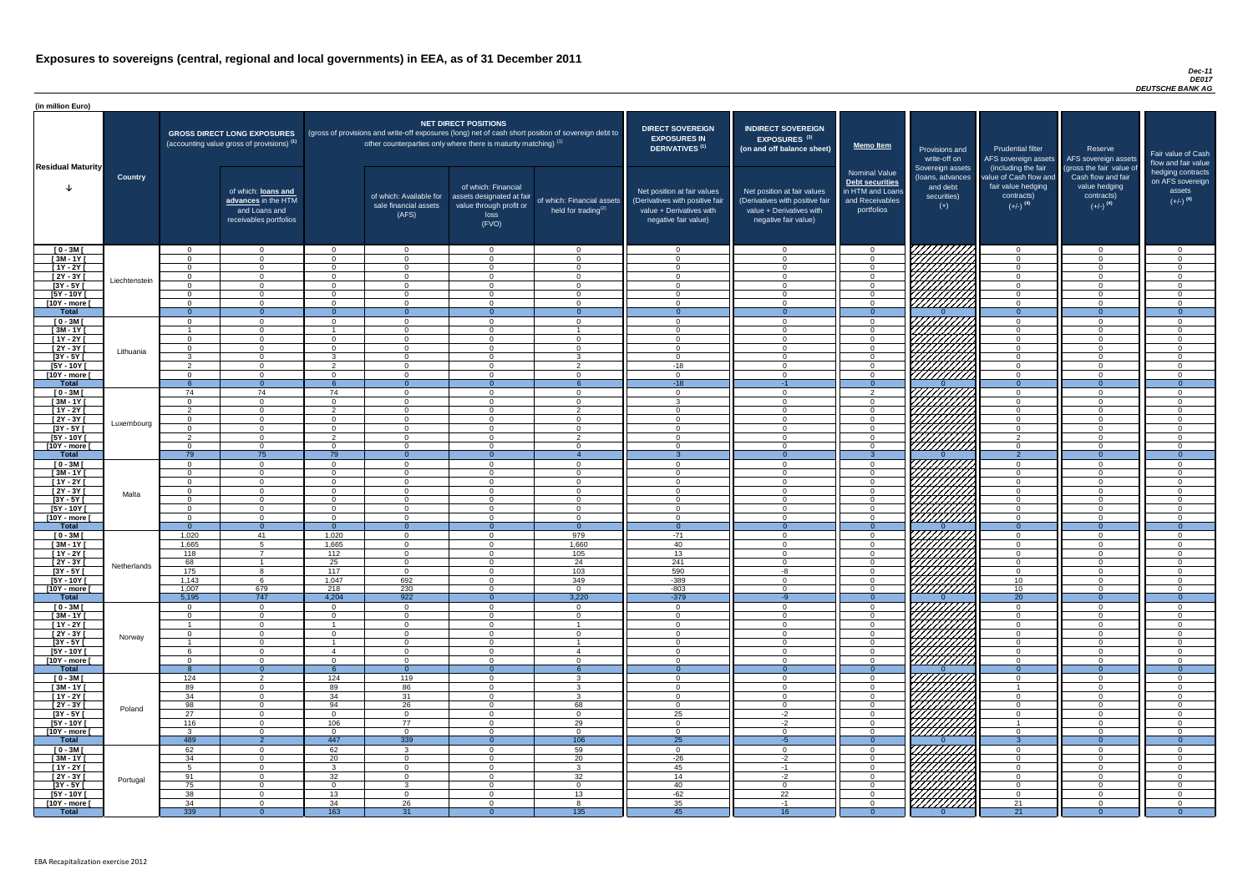### *Dec-11 DE017 DEUTSCHE BANK AG*

| <b>DIRECT SOVEREIGN</b><br><b>EXPOSURES IN</b><br><b>DERIVATIVES<sup>(1)</sup></b><br>Net position at fair values<br>(Derivatives with positive fair<br>value + Derivatives with<br>negative fair value) | <b>INDIRECT SOVEREIGN</b><br><b>EXPOSURES<sup>(3)</sup></b><br>(on and off balance sheet)<br>Net position at fair values<br>(Derivatives with positive fair<br>$value + Derivative$ s with<br>negative fair value) | <b>Memo Item</b><br><b>Nominal Value</b><br>Debt securities<br>in HTM and Loans<br>and Receivables<br>portfolios | Provisions and<br>write-off on<br>Sovereign assets<br>(loans, advances<br>and debt<br>securities)<br>$(+)$ | <b>Prudential filter</b><br>AFS sovereign assets<br>(including the fair<br>value of Cash flow and<br>fair value hedging<br>contracts)<br>$(+/-)$ <sup>(4)</sup> | Reserve<br>AFS sovereign assets<br>(gross the fair value of<br>Cash flow and fair<br>value hedging<br>contracts)<br>$(+/-)$ <sup>(4)</sup> | Fair value of Cash<br>flow and fair value<br>hedging contracts<br>on AFS sovereign<br>assets<br>$(+/-)$ <sup>(4)</sup> |
|----------------------------------------------------------------------------------------------------------------------------------------------------------------------------------------------------------|--------------------------------------------------------------------------------------------------------------------------------------------------------------------------------------------------------------------|------------------------------------------------------------------------------------------------------------------|------------------------------------------------------------------------------------------------------------|-----------------------------------------------------------------------------------------------------------------------------------------------------------------|--------------------------------------------------------------------------------------------------------------------------------------------|------------------------------------------------------------------------------------------------------------------------|
| $\mathbf 0$                                                                                                                                                                                              | $\overline{0}$                                                                                                                                                                                                     | $\mathbf 0$                                                                                                      |                                                                                                            | $\overline{0}$                                                                                                                                                  | $\overline{0}$                                                                                                                             | $\mathbf 0$                                                                                                            |
| $\mathbf 0$                                                                                                                                                                                              | $\mathbf 0$                                                                                                                                                                                                        | $\mathbf 0$                                                                                                      |                                                                                                            | $\mathbf 0$                                                                                                                                                     | $\mathbf 0$                                                                                                                                | $\mathbf 0$                                                                                                            |
| $\mathbf 0$                                                                                                                                                                                              | $\mathbf 0$                                                                                                                                                                                                        | $\mathbf 0$                                                                                                      |                                                                                                            | $\mathbf 0$                                                                                                                                                     | $\overline{0}$                                                                                                                             | $\mathbf 0$                                                                                                            |
| $\mathbf 0$                                                                                                                                                                                              | $\mathbf 0$                                                                                                                                                                                                        | $\pmb{0}$                                                                                                        |                                                                                                            | $\mathbf 0$                                                                                                                                                     | $\mathbf 0$                                                                                                                                | $\pmb{0}$                                                                                                              |
| $\pmb{0}$<br>$\mathbf 0$                                                                                                                                                                                 | $\boldsymbol{0}$<br>$\mathbf 0$                                                                                                                                                                                    | $\pmb{0}$<br>$\mathbf 0$                                                                                         |                                                                                                            | $\mathbf 0$<br>$\mathbf 0$                                                                                                                                      | $\pmb{0}$<br>$\mathbf 0$                                                                                                                   | $\pmb{0}$<br>$\mathbf 0$                                                                                               |
| $\mathbf 0$                                                                                                                                                                                              | $\mathbf 0$                                                                                                                                                                                                        | $\pmb{0}$                                                                                                        |                                                                                                            | $\mathbf 0$                                                                                                                                                     | $\mathbf 0$                                                                                                                                | $\mathbf 0$                                                                                                            |
| $\mathbf{0}$                                                                                                                                                                                             | $\overline{0}$                                                                                                                                                                                                     | $\overline{0}$                                                                                                   | O                                                                                                          | $\overline{0}$                                                                                                                                                  | $\overline{0}$                                                                                                                             | $\overline{0}$                                                                                                         |
| $\mathbf 0$                                                                                                                                                                                              | $\mathbf 0$                                                                                                                                                                                                        | $\pmb{0}$                                                                                                        |                                                                                                            | $\mathbf 0$                                                                                                                                                     | $\mathbf 0$                                                                                                                                | $\mathbf 0$                                                                                                            |
| $\mathbf 0$                                                                                                                                                                                              | $\mathbf 0$                                                                                                                                                                                                        | $\pmb{0}$                                                                                                        |                                                                                                            | $\mathbf 0$                                                                                                                                                     | $\mathbf 0$                                                                                                                                | $\mathbf 0$                                                                                                            |
| $\mathbf 0$<br>$\mathbf 0$                                                                                                                                                                               | $\mathbf 0$<br>$\mathbf 0$                                                                                                                                                                                         | $\pmb{0}$<br>$\mathbf 0$                                                                                         |                                                                                                            | $\mathbf 0$<br>$\mathbf 0$                                                                                                                                      | $\mathbf 0$<br>$\mathbf 0$                                                                                                                 | $\mathbf 0$<br>$\mathbf 0$                                                                                             |
| $\mathbf 0$                                                                                                                                                                                              | $\mathbf 0$                                                                                                                                                                                                        | $\mathbf 0$                                                                                                      |                                                                                                            | $\mathbf 0$                                                                                                                                                     | $\mathbf 0$                                                                                                                                | $\mathbf 0$                                                                                                            |
| $-18$                                                                                                                                                                                                    | $\mathbf 0$                                                                                                                                                                                                        | $\mathbf 0$                                                                                                      |                                                                                                            | $\mathbf 0$                                                                                                                                                     | $\mathbf 0$                                                                                                                                | $\mathbf 0$                                                                                                            |
| $\mathbf 0$                                                                                                                                                                                              | $\mathbf 0$                                                                                                                                                                                                        | $\mathbf 0$                                                                                                      |                                                                                                            | $\mathbf 0$                                                                                                                                                     | $\mathbf 0$                                                                                                                                | $\mathbf 0$                                                                                                            |
| $-18$                                                                                                                                                                                                    | $-1$                                                                                                                                                                                                               | $\overline{0}$                                                                                                   | $\Omega$                                                                                                   | $\mathbf{0}$                                                                                                                                                    | $\overline{0}$                                                                                                                             | $\overline{0}$                                                                                                         |
| $\mathbf 0$<br>3                                                                                                                                                                                         | $\mathbf 0$<br>$\mathbf 0$                                                                                                                                                                                         | $\boldsymbol{2}$<br>$\pmb{0}$                                                                                    |                                                                                                            | $\mathbf 0$<br>$\mathbf 0$                                                                                                                                      | $\mathbf 0$<br>$\mathbf 0$                                                                                                                 | $\mathbf 0$<br>$\mathbf 0$                                                                                             |
| $\mathbf 0$                                                                                                                                                                                              | $\mathbf 0$                                                                                                                                                                                                        | $\pmb{0}$                                                                                                        |                                                                                                            | $\mathbf 0$                                                                                                                                                     | $\mathbf 0$                                                                                                                                | $\mathbf 0$                                                                                                            |
| $\mathbf 0$                                                                                                                                                                                              | 0                                                                                                                                                                                                                  | $\mathbf 0$                                                                                                      |                                                                                                            | $\mathbf 0$                                                                                                                                                     | $\mathbf 0$                                                                                                                                | $\mathbf 0$                                                                                                            |
| $\mathbf 0$                                                                                                                                                                                              | $\mathbf 0$                                                                                                                                                                                                        | 0                                                                                                                |                                                                                                            | 0                                                                                                                                                               | $\Omega$                                                                                                                                   | $\mathbf 0$                                                                                                            |
| 0                                                                                                                                                                                                        | 0                                                                                                                                                                                                                  | 0                                                                                                                |                                                                                                            | $\overline{2}$                                                                                                                                                  | 0                                                                                                                                          | 0                                                                                                                      |
| $\mathbf 0$<br>3                                                                                                                                                                                         | $\mathbf 0$<br>$\overline{0}$                                                                                                                                                                                      | 0<br>3                                                                                                           | $\Omega$                                                                                                   | $\mathbf 0$<br>$\overline{2}$                                                                                                                                   | 0<br>$\overline{0}$                                                                                                                        | $\mathbf 0$<br>$\overline{0}$                                                                                          |
| $\mathbf 0$                                                                                                                                                                                              | $\mathbf 0$                                                                                                                                                                                                        | 0                                                                                                                |                                                                                                            | $\mathbf 0$                                                                                                                                                     | 0                                                                                                                                          | $\mathbf 0$                                                                                                            |
| $\pmb{0}$                                                                                                                                                                                                | $\mathbf 0$                                                                                                                                                                                                        | $\mathbf 0$                                                                                                      |                                                                                                            | $\mathbf 0$                                                                                                                                                     | 0                                                                                                                                          | $\mathbf 0$                                                                                                            |
| $\mathbf 0$                                                                                                                                                                                              | $\mathbf 0$                                                                                                                                                                                                        | 0                                                                                                                |                                                                                                            | $\mathbf 0$                                                                                                                                                     | 0                                                                                                                                          | $\mathbf 0$                                                                                                            |
| $\mathbf 0$                                                                                                                                                                                              | $\mathbf 0$                                                                                                                                                                                                        | 0                                                                                                                |                                                                                                            | $\mathbf 0$                                                                                                                                                     | 0                                                                                                                                          | $\mathbf 0$                                                                                                            |
| $\mathbf 0$<br>$\pmb{0}$                                                                                                                                                                                 | $\mathbf 0$<br>$\mathbf 0$                                                                                                                                                                                         | 0<br>$\mathsf 0$                                                                                                 |                                                                                                            | $\mathbf 0$<br>$\mathbf 0$                                                                                                                                      | 0<br>$\mathbf 0$                                                                                                                           | $\pmb{0}$<br>$\pmb{0}$                                                                                                 |
| $\mathbf 0$                                                                                                                                                                                              | $\mathbf 0$                                                                                                                                                                                                        | 0                                                                                                                |                                                                                                            | $\mathbf 0$                                                                                                                                                     | $\mathbf 0$                                                                                                                                | 0                                                                                                                      |
| $\overline{0}$                                                                                                                                                                                           | $\overline{0}$                                                                                                                                                                                                     | $\overline{0}$                                                                                                   | $\Omega$                                                                                                   | $\overline{0}$                                                                                                                                                  | $\overline{0}$                                                                                                                             | $\overline{0}$                                                                                                         |
| $-71$                                                                                                                                                                                                    | 0                                                                                                                                                                                                                  | $\pmb{0}$                                                                                                        |                                                                                                            | $\mathbf 0$                                                                                                                                                     | 0                                                                                                                                          | $\mathbf 0$                                                                                                            |
| 40                                                                                                                                                                                                       | 0                                                                                                                                                                                                                  | $\pmb{0}$                                                                                                        |                                                                                                            | 0                                                                                                                                                               | $\Omega$                                                                                                                                   | $\mathbf 0$                                                                                                            |
| 13<br>241                                                                                                                                                                                                | $\mathbf 0$<br>$\mathbf 0$                                                                                                                                                                                         | $\pmb{0}$<br>$\pmb{0}$                                                                                           |                                                                                                            | $\mathbf 0$<br>$\mathbf 0$                                                                                                                                      | 0<br>0                                                                                                                                     | 0<br>$\pmb{0}$                                                                                                         |
| 590                                                                                                                                                                                                      | $-8$                                                                                                                                                                                                               | $\pmb{0}$                                                                                                        |                                                                                                            | $\mathbf 0$                                                                                                                                                     | $\mathbf 0$                                                                                                                                | 0                                                                                                                      |
| $-389$                                                                                                                                                                                                   | 0                                                                                                                                                                                                                  | $\pmb{0}$                                                                                                        |                                                                                                            | 10                                                                                                                                                              | 0                                                                                                                                          | 0                                                                                                                      |
| $-803$                                                                                                                                                                                                   | $\mathbf 0$                                                                                                                                                                                                        | $\pmb{0}$                                                                                                        |                                                                                                            | 10                                                                                                                                                              | $\mathbf 0$                                                                                                                                | $\pmb{0}$                                                                                                              |
| $-379$                                                                                                                                                                                                   | $-9$                                                                                                                                                                                                               | $\overline{0}$                                                                                                   | $\overline{0}$                                                                                             | $\overline{20}$                                                                                                                                                 | $\overline{0}$                                                                                                                             | $\overline{0}$                                                                                                         |
| $\mathbf 0$<br>$\pmb{0}$                                                                                                                                                                                 | $\mathbf 0$<br>$\mathbf 0$                                                                                                                                                                                         | 0<br>$\mathbf 0$                                                                                                 |                                                                                                            | $\overline{0}$<br>$\mathbf 0$                                                                                                                                   | 0<br>0                                                                                                                                     | 0<br>0                                                                                                                 |
| $\mathbf 0$                                                                                                                                                                                              | 0                                                                                                                                                                                                                  | 0                                                                                                                |                                                                                                            | 0                                                                                                                                                               | 0                                                                                                                                          | 0                                                                                                                      |
| 0                                                                                                                                                                                                        | 0                                                                                                                                                                                                                  | 0                                                                                                                |                                                                                                            | 0                                                                                                                                                               | $\Omega$                                                                                                                                   | 0                                                                                                                      |
| $\mathbf 0$                                                                                                                                                                                              | 0                                                                                                                                                                                                                  | $\pmb{0}$                                                                                                        |                                                                                                            | 0                                                                                                                                                               | 0                                                                                                                                          | 0                                                                                                                      |
| 0                                                                                                                                                                                                        | 0                                                                                                                                                                                                                  | $\mathbf 0$                                                                                                      |                                                                                                            | 0                                                                                                                                                               | $\Omega$                                                                                                                                   | $\Omega$                                                                                                               |
| $\mathbf 0$<br>$\mathbf{0}$                                                                                                                                                                              | 0<br>$\overline{0}$                                                                                                                                                                                                | $\pmb{0}$<br>$\overline{0}$                                                                                      | $\Omega$                                                                                                   | $\mathbf 0$<br>$\mathbf{0}$                                                                                                                                     | 0<br>$\overline{0}$                                                                                                                        | $\mathbf 0$<br>$\overline{0}$                                                                                          |
| $\mathbf 0$                                                                                                                                                                                              | 0                                                                                                                                                                                                                  | $\mathbf 0$                                                                                                      |                                                                                                            | 0                                                                                                                                                               | 0                                                                                                                                          | 0                                                                                                                      |
| $\mathbf 0$                                                                                                                                                                                              | $\mathbf 0$                                                                                                                                                                                                        | $\mathbf 0$                                                                                                      |                                                                                                            | $\mathbf{1}$                                                                                                                                                    | 0                                                                                                                                          | $\mathbf 0$                                                                                                            |
| $\mathbf 0$                                                                                                                                                                                              | $\mathbf 0$                                                                                                                                                                                                        | $\mathbf 0$                                                                                                      |                                                                                                            | $\mathbf 0$                                                                                                                                                     | 0                                                                                                                                          | $\mathbf 0$                                                                                                            |
| 0                                                                                                                                                                                                        | 0                                                                                                                                                                                                                  | 0                                                                                                                |                                                                                                            | 0                                                                                                                                                               | 0                                                                                                                                          | $\mathbf 0$                                                                                                            |
| 25<br>$\mathbf 0$                                                                                                                                                                                        | $-2$<br>$-2$                                                                                                                                                                                                       | 0<br>$\pmb{0}$                                                                                                   |                                                                                                            | $\mathbf 0$<br>$\mathbf{1}$                                                                                                                                     | 0<br>$\mathbf 0$                                                                                                                           | $\mathbf 0$<br>$\pmb{0}$                                                                                               |
| $\mathbf 0$                                                                                                                                                                                              | $\mathbf 0$                                                                                                                                                                                                        | 0                                                                                                                |                                                                                                            | $\mathbf 0$                                                                                                                                                     | $\mathbf 0$                                                                                                                                | 0                                                                                                                      |
| $\overline{25}$                                                                                                                                                                                          | $-5$                                                                                                                                                                                                               | $\overline{0}$                                                                                                   | $\Omega$                                                                                                   | 3                                                                                                                                                               | $\overline{0}$                                                                                                                             | $\overline{0}$                                                                                                         |
| $\mathbf 0$                                                                                                                                                                                              | $\mathbf 0$                                                                                                                                                                                                        | 0                                                                                                                |                                                                                                            | $\mathbf 0$                                                                                                                                                     | 0                                                                                                                                          | 0                                                                                                                      |
| $-26$                                                                                                                                                                                                    | $-2$                                                                                                                                                                                                               | $\Omega$                                                                                                         |                                                                                                            | $\Omega$                                                                                                                                                        | $\Omega$                                                                                                                                   | $\Omega$                                                                                                               |
| 45<br>14                                                                                                                                                                                                 | $-1$<br>$-2$                                                                                                                                                                                                       | $\pmb{0}$<br>$\overline{0}$                                                                                      |                                                                                                            | $\overline{0}$<br>$\overline{0}$                                                                                                                                | $\mathbf 0$<br>$\overline{0}$                                                                                                              | $\pmb{0}$<br>$\mathbf 0$                                                                                               |
| 40                                                                                                                                                                                                       | $\overline{0}$                                                                                                                                                                                                     | $\mathbf 0$                                                                                                      |                                                                                                            | $\overline{0}$                                                                                                                                                  | $\overline{0}$                                                                                                                             | $\mathbf 0$                                                                                                            |
| $-62$                                                                                                                                                                                                    | 22                                                                                                                                                                                                                 | $\pmb{0}$                                                                                                        |                                                                                                            | $\overline{0}$                                                                                                                                                  | $\mathbf 0$                                                                                                                                | $\boldsymbol{0}$                                                                                                       |
| 35                                                                                                                                                                                                       | $-1$                                                                                                                                                                                                               | $\mathsf{O}\xspace$                                                                                              |                                                                                                            | $\overline{21}$                                                                                                                                                 | $\overline{0}$                                                                                                                             | $\overline{0}$                                                                                                         |
| 45                                                                                                                                                                                                       | 16                                                                                                                                                                                                                 | $\overline{0}$                                                                                                   | $\overline{0}$                                                                                             | 21                                                                                                                                                              | $\overline{0}$                                                                                                                             | $\overline{0}$                                                                                                         |

| (in million Euro)              |                |                            |                                                                                       |                                |                                                                   |                                                                                              |                                                                                                     |                                                                                                                    |                                                                                                                    |                                                                                              |                                                                          |                                                                                                             |                                                                                                         |                                                   |
|--------------------------------|----------------|----------------------------|---------------------------------------------------------------------------------------|--------------------------------|-------------------------------------------------------------------|----------------------------------------------------------------------------------------------|-----------------------------------------------------------------------------------------------------|--------------------------------------------------------------------------------------------------------------------|--------------------------------------------------------------------------------------------------------------------|----------------------------------------------------------------------------------------------|--------------------------------------------------------------------------|-------------------------------------------------------------------------------------------------------------|---------------------------------------------------------------------------------------------------------|---------------------------------------------------|
| <b>Residual Maturity</b>       |                |                            | <b>GROSS DIRECT LONG EXPOSURES</b><br>(accounting value gross of provisions) (1)      |                                | other counterparties only where there is maturity matching) $(1)$ | <b>NET DIRECT POSITIONS</b>                                                                  | (gross of provisions and write-off exposures (long) net of cash short position of sovereign debt to | <b>DIRECT SOVEREIGN</b><br><b>EXPOSURES IN</b><br>DERIVATIVES <sup>(1)</sup>                                       | <b>INDIRECT SOVEREIGN</b><br><b>EXPOSURES<sup>(3)</sup></b><br>(on and off balance sheet)                          | <b>Memo Item</b>                                                                             | Provisions and<br>write-off on                                           | <b>Prudential filter</b><br>AFS sovereign assets                                                            | Reserve<br>AFS sovereign assets                                                                         | Fair value<br>flow and t                          |
|                                | <b>Country</b> |                            | of which: loans and<br>advances in the HTM<br>and Loans and<br>receivables portfolios |                                | of which: Available for<br>sale financial assets<br>(AFS)         | of which: Financial<br>assets designated at fair<br>value through profit or<br>loss<br>(FVO) | of which: Financial assets<br>held for trading <sup>(2)</sup>                                       | Net position at fair values<br>(Derivatives with positive fair<br>value + Derivatives with<br>negative fair value) | Net position at fair values<br>(Derivatives with positive fair<br>value + Derivatives with<br>negative fair value) | <b>Nominal Value</b><br>Debt securities<br>in HTM and Loans<br>and Receivables<br>portfolios | Sovereign assets<br>(loans, advances<br>and debt<br>securities)<br>$(+)$ | (including the fair<br>value of Cash flow and<br>fair value hedging<br>contracts)<br>$(+/-)$ <sup>(4)</sup> | (gross the fair value of<br>Cash flow and fair<br>value hedging<br>contracts)<br>$(+/-)$ <sup>(4)</sup> | hedging o<br>on AFS <sub>s</sub><br>ass<br>$(+/-$ |
| $[0 - 3M]$                     |                | $\Omega$                   | $\Omega$                                                                              | $\Omega$                       | $\Omega$                                                          | $\overline{0}$                                                                               | $\cap$                                                                                              | $\Omega$                                                                                                           | $\Omega$                                                                                                           | $\Omega$                                                                                     |                                                                          | $\Omega$                                                                                                    | $\Omega$                                                                                                |                                                   |
| $[3M-1Y]$                      |                | $\cap$                     | $\Omega$                                                                              | $\Omega$                       | $\Omega$                                                          | $\Omega$                                                                                     | $\Omega$                                                                                            | $\Omega$                                                                                                           | $\cap$                                                                                                             | $\Omega$                                                                                     |                                                                          | $\Omega$                                                                                                    | $\Omega$                                                                                                |                                                   |
| $[1Y - 2Y]$<br>$[2Y - 3Y]$     |                | $\cap$<br>$\Omega$         | $\Omega$<br>$\Omega$                                                                  | $\Omega$<br>$\Omega$           | $\Omega$<br>$\Omega$                                              | $\Omega$<br>$\Omega$                                                                         | $\Omega$<br>$\Omega$                                                                                | $\Omega$                                                                                                           | $\cap$<br>$\Omega$                                                                                                 | $\Omega$<br>$\Omega$                                                                         |                                                                          | $\Omega$<br>$\Omega$                                                                                        | $\Omega$<br>$\Omega$                                                                                    |                                                   |
| $[3Y - 5Y]$                    | Liechtenstein  | $\Omega$                   | $\Omega$                                                                              | $\Omega$                       | $\Omega$                                                          | $\Omega$                                                                                     | $\Omega$                                                                                            | $\Omega$                                                                                                           | $\Omega$                                                                                                           | $\Omega$                                                                                     | HAAAA<br>HAAAA                                                           | $\overline{0}$                                                                                              | $\Omega$                                                                                                |                                                   |
| $[5Y - 10Y]$                   |                | $\Omega$                   | $\Omega$                                                                              | $\Omega$                       | $\Omega$                                                          | $\Omega$                                                                                     | $\Omega$                                                                                            | $\Omega$                                                                                                           | $\cap$                                                                                                             | $\overline{0}$                                                                               |                                                                          | $\Omega$                                                                                                    | $\Omega$                                                                                                |                                                   |
| [10Y - more [<br><b>Total</b>  |                | $\Omega$<br>$\overline{0}$ | $\Omega$<br>$\Omega$                                                                  | $\Omega$<br>- 0                | $\Omega$<br>$\Omega$                                              | $\Omega$<br>- വ                                                                              | $\Omega$<br>$\Omega$                                                                                | $\Omega$                                                                                                           | $\cap$                                                                                                             | $\Omega$<br>$\overline{0}$                                                                   |                                                                          | $\overline{0}$<br>$\overline{0}$                                                                            | $\Omega$<br>$\Omega$                                                                                    |                                                   |
| $[0 - 3M]$                     |                | $\cap$                     | $\Omega$                                                                              | $\Omega$                       | $\overline{0}$                                                    | $\Omega$                                                                                     | $\Omega$                                                                                            |                                                                                                                    | $\cap$                                                                                                             | $\Omega$                                                                                     |                                                                          | $\overline{0}$                                                                                              | $\Omega$                                                                                                |                                                   |
| $[3M - 1Y]$                    |                |                            | $\Omega$                                                                              |                                | $\overline{0}$                                                    | $\Omega$                                                                                     |                                                                                                     |                                                                                                                    | $\Omega$                                                                                                           | $\Omega$                                                                                     |                                                                          | $\overline{0}$                                                                                              | $\Omega$                                                                                                |                                                   |
| $[1Y - 2Y]$                    |                | $\cap$                     | $\Omega$                                                                              | $\Omega$                       | $\Omega$                                                          | $\Omega$                                                                                     | $\cap$                                                                                              | $\Omega$                                                                                                           | $\Omega$                                                                                                           | $\Omega$                                                                                     |                                                                          | $\Omega$                                                                                                    | $\Omega$                                                                                                |                                                   |
| $[2Y - 3Y]$                    | Lithuania      | $\Omega$                   | $\Omega$                                                                              | $\Omega$                       | $\Omega$                                                          | $\Omega$                                                                                     | 3                                                                                                   |                                                                                                                    | $\cap$                                                                                                             | $\cap$<br>$\Omega$                                                                           | VIIIIIII                                                                 | $\Omega$                                                                                                    | $\Omega$                                                                                                |                                                   |
| $[3Y - 5Y]$<br>$[5Y - 10Y]$    |                | ົດ                         | $\Omega$<br>$\Omega$                                                                  | $\mathcal{R}$<br>$\mathcal{D}$ | $\Omega$<br>$\Omega$                                              | $\Omega$<br>$\Omega$                                                                         | ົາ                                                                                                  | $-18$                                                                                                              | $\Omega$<br>$\Omega$                                                                                               | $\Omega$                                                                                     |                                                                          | $\Omega$<br>$\Omega$                                                                                        | $\Omega$<br>$\Omega$                                                                                    |                                                   |
| [10Y - more [                  |                | $\Omega$                   | $\Omega$                                                                              | $\Omega$                       | $\Omega$                                                          | $\Omega$                                                                                     |                                                                                                     |                                                                                                                    | $\cap$                                                                                                             | $\Omega$                                                                                     | /////////                                                                | $\overline{0}$                                                                                              | $\Omega$                                                                                                |                                                   |
| <b>Total</b>                   |                | -6                         | - റ                                                                                   |                                | $\Omega$                                                          | $\Omega$                                                                                     |                                                                                                     | $-18$                                                                                                              | $-1$                                                                                                               | - റ                                                                                          |                                                                          | $\Omega$                                                                                                    | $\Omega$                                                                                                |                                                   |
| $[0 - 3M]$                     |                | 74<br>$\Omega$             | 74<br>$\Omega$                                                                        | 74<br>$\Omega$                 | $\Omega$<br>$\Omega$                                              | $\Omega$<br>$\Omega$                                                                         | $\cap$                                                                                              | $\cap$<br>$\mathbf{r}$                                                                                             | റ<br>$\cap$                                                                                                        | $\overline{2}$<br>$\cap$                                                                     |                                                                          | $\overline{0}$<br>$\Omega$                                                                                  | $\Omega$<br>$\Omega$                                                                                    |                                                   |
| $[3M - 1Y]$<br>$[1Y - 2Y]$     |                | 2                          | $\Omega$                                                                              | $\mathcal{P}$                  | $\Omega$                                                          | $\Omega$                                                                                     | $\overline{2}$                                                                                      | $\Omega$                                                                                                           | $\Omega$                                                                                                           | $\Omega$                                                                                     | <u>VIIIIIII</u>                                                          | $\overline{0}$                                                                                              | $\overline{0}$                                                                                          |                                                   |
| $[2Y - 3Y]$                    |                | $\Omega$                   | $\Omega$                                                                              | $\Omega$                       | $\Omega$                                                          | $\Omega$                                                                                     | $\cap$                                                                                              | $\cap$                                                                                                             | $\Omega$                                                                                                           | $\Omega$                                                                                     | VAAAAA                                                                   | $\Omega$                                                                                                    | $\Omega$                                                                                                |                                                   |
| [3Y - 5Y                       | Luxembourg     |                            |                                                                                       |                                |                                                                   |                                                                                              |                                                                                                     |                                                                                                                    |                                                                                                                    |                                                                                              | <i>UHHA</i>                                                              |                                                                                                             |                                                                                                         |                                                   |
| $[5Y - 10Y]$<br>$[10Y - more]$ |                | ົດ<br>$\Omega$             | $\Omega$<br>$\Omega$                                                                  | 2<br>- 0                       | $\overline{0}$<br>$\Omega$                                        | $\Omega$<br>$\Omega$                                                                         | $\overline{2}$                                                                                      |                                                                                                                    | ∩                                                                                                                  | $\Omega$<br>$\cap$                                                                           | 777777777                                                                | 2<br>$\Omega$                                                                                               | $\Omega$<br>$\Omega$                                                                                    |                                                   |
| <b>Total</b>                   |                | 79                         | 75                                                                                    | $\overline{79}$                | $\Omega$                                                          | $\Omega$                                                                                     | $\boldsymbol{\varDelta}$                                                                            |                                                                                                                    | $\Omega$                                                                                                           | $\mathbf{3}$                                                                                 |                                                                          | $\overline{2}$                                                                                              | $\Omega$                                                                                                |                                                   |
| $[0 - 3M]$                     |                | $\Omega$                   | $\overline{0}$                                                                        | $\Omega$                       | $\overline{0}$                                                    | $\Omega$                                                                                     |                                                                                                     |                                                                                                                    | $\Omega$                                                                                                           | $\Omega$                                                                                     |                                                                          | $\Omega$                                                                                                    | $\Omega$                                                                                                |                                                   |
| $[3M - 1Y]$                    |                | $\Omega$                   | $\Omega$                                                                              | $\Omega$                       | $\overline{0}$                                                    | $\Omega$                                                                                     | $\Omega$                                                                                            |                                                                                                                    | $\Omega$                                                                                                           | $\Omega$                                                                                     | ドンプ                                                                      | $\Omega$                                                                                                    | $\Omega$                                                                                                |                                                   |
| $[1Y - 2Y]$<br>$[2Y - 3Y]$     |                | $\Omega$<br>$\cap$         | $\Omega$<br>$\Omega$                                                                  | $\Omega$<br>$\Omega$           | $\Omega$<br>$\Omega$                                              | $\Omega$<br>$\Omega$                                                                         | $\Omega$<br>$\Omega$                                                                                | $\Omega$<br>$\Omega$                                                                                               | $\Omega$<br>$\Omega$                                                                                               | $\Omega$<br>$\Omega$                                                                         |                                                                          | $\Omega$<br>$\Omega$                                                                                        | $\Omega$<br>$\Omega$                                                                                    |                                                   |
| $[3Y - 5Y]$                    | Malta          | $\cap$                     | $\Omega$                                                                              | $\Omega$                       | $\Omega$                                                          | $\Omega$                                                                                     | $\Omega$                                                                                            | $\Omega$                                                                                                           | $\Omega$                                                                                                           | $\Omega$                                                                                     |                                                                          | $\Omega$                                                                                                    | $\Omega$                                                                                                |                                                   |
| $[5Y - 10Y]$                   |                | $\Omega$                   | $\Omega$                                                                              | $\Omega$                       | $\overline{0}$                                                    | $\Omega$                                                                                     | $\Omega$                                                                                            | $\Omega$                                                                                                           | $\Omega$                                                                                                           | $\overline{0}$                                                                               |                                                                          | $\overline{0}$                                                                                              | $\Omega$                                                                                                |                                                   |
| [10Y - more [                  |                | $\Omega$                   | $\Omega$                                                                              | $\Omega$                       | $\Omega$                                                          | $\Omega$                                                                                     | $\cap$                                                                                              | $\Omega$                                                                                                           | $\Omega$                                                                                                           | $\Omega$                                                                                     | 11111111.                                                                | $\overline{0}$                                                                                              | $\Omega$                                                                                                |                                                   |
| <b>Total</b><br>$[0 - 3M]$     |                | $\overline{0}$<br>1,020    | $\overline{0}$<br>41                                                                  | $\Omega$<br>1,020              | $\Omega$<br>$\overline{0}$                                        | $\Omega$<br>$\overline{0}$                                                                   | $\overline{0}$<br>979                                                                               | $\Omega$<br>$-71$                                                                                                  | $\Omega$<br>$\Omega$                                                                                               | $\overline{0}$<br>$\overline{0}$                                                             |                                                                          | $\Omega$<br>$\overline{0}$                                                                                  | $\Omega$<br>$\overline{0}$                                                                              |                                                   |
| $[3M - 1Y]$                    |                | 1,665                      | -5                                                                                    | 1,665                          | $\Omega$                                                          | $\Omega$                                                                                     | 1,660                                                                                               | 40                                                                                                                 | $\Omega$                                                                                                           | $\Omega$                                                                                     |                                                                          | $\Omega$                                                                                                    | $\Omega$                                                                                                |                                                   |
| $[1Y - 2Y]$                    |                | 118                        | - 7                                                                                   | 112                            | $\overline{0}$                                                    | $\Omega$                                                                                     | 105                                                                                                 | 13                                                                                                                 | $\Omega$                                                                                                           | $\Omega$                                                                                     |                                                                          | $\Omega$                                                                                                    | $\Omega$                                                                                                |                                                   |
| $[2Y - 3Y]$                    | Netherlands    | 68                         |                                                                                       | 25                             | $\overline{0}$                                                    | $\Omega$                                                                                     | 24                                                                                                  | 241                                                                                                                | $\Omega$                                                                                                           | $\Omega$                                                                                     |                                                                          | $\Omega$                                                                                                    | $\Omega$                                                                                                |                                                   |
| $[3Y - 5Y]$<br>$[5Y - 10Y]$    |                | 175<br>1,143               | <b>R</b>                                                                              | 117<br>1,047                   | $\overline{0}$<br>692                                             | $\Omega$<br>$\Omega$                                                                         | 103<br>349                                                                                          | 590<br>$-389$                                                                                                      | -8<br>$\Omega$                                                                                                     | $\cap$<br>$\cap$                                                                             |                                                                          | $\Omega$<br>10 <sup>°</sup>                                                                                 | $\Omega$<br>$\Omega$                                                                                    |                                                   |
| [10Y - more [                  |                | 1,007                      | 679                                                                                   | 218                            | 230                                                               | $\Omega$                                                                                     | $\Omega$                                                                                            | $-803$                                                                                                             | $\Omega$                                                                                                           | $\Omega$                                                                                     | /////////                                                                | 10 <sup>°</sup>                                                                                             | $\Omega$                                                                                                |                                                   |
| <b>Total</b>                   |                | 5,195                      | 747                                                                                   | 4,204                          | 922                                                               | $\Omega$                                                                                     | 3,220                                                                                               | $-379$                                                                                                             | $-9$                                                                                                               | $\Omega$                                                                                     |                                                                          | $\overline{20}$                                                                                             | - 0                                                                                                     |                                                   |
| $[0 - 3M]$                     |                | $\cap$                     | $\Omega$                                                                              | $\Omega$                       | $\overline{0}$                                                    | $\Omega$                                                                                     | $\cap$                                                                                              | $\cap$                                                                                                             | $\cap$                                                                                                             | $\Omega$                                                                                     |                                                                          | $\overline{0}$                                                                                              | $\Omega$                                                                                                |                                                   |
| $[3M - 1Y]$<br>$[1Y - 2Y]$     |                | $\overline{0}$             | $\overline{0}$<br>$\Omega$                                                            | $\Omega$<br>- 1                | $\overline{0}$<br>$\overline{0}$                                  | $\overline{0}$<br>$\Omega$                                                                   | $\Omega$<br>$\overline{\mathbf{1}}$                                                                 | $\Omega$<br>$\Omega$                                                                                               | $\Omega$<br>$\Omega$                                                                                               | $\overline{0}$<br>$\Omega$                                                                   | <i>7777777777</i>                                                        | $\overline{0}$<br>$\overline{0}$                                                                            | $\Omega$<br>$\Omega$                                                                                    |                                                   |
| $[2Y - 3Y]$                    |                | $\Omega$                   | $\Omega$                                                                              | $\Omega$                       | $\overline{0}$                                                    | $\Omega$                                                                                     | $\Omega$                                                                                            | $\Omega$                                                                                                           | $\Omega$                                                                                                           | $\Omega$                                                                                     |                                                                          | $\Omega$                                                                                                    | $\Omega$                                                                                                |                                                   |
| $[3Y - 5Y]$                    | Norway         |                            | $\overline{0}$                                                                        |                                | $\overline{0}$                                                    | $\overline{0}$                                                                               |                                                                                                     |                                                                                                                    | $\Omega$                                                                                                           | $\overline{0}$                                                                               |                                                                          | $\overline{0}$                                                                                              | $\Omega$                                                                                                |                                                   |
| $[5Y - 10Y]$                   |                | $\Omega$                   | $\Omega$                                                                              | - 4                            | $\Omega$                                                          | $\Omega$                                                                                     | $\overline{4}$                                                                                      | $\cap$                                                                                                             | $\Omega$<br>$\cap$                                                                                                 | $\Omega$<br>$\cap$                                                                           |                                                                          | $\overline{0}$                                                                                              | $\Omega$                                                                                                |                                                   |
| [10Y - more [<br><b>Total</b>  |                | <b>8</b>                   | $\Omega$<br>$\Omega$                                                                  | $\Omega$                       | $\Omega$<br>$\Omega$                                              | $\Omega$                                                                                     |                                                                                                     |                                                                                                                    |                                                                                                                    | $\Omega$                                                                                     | <u>////////</u>                                                          | $\Omega$<br>$\Omega$                                                                                        | $\Omega$<br>- 0                                                                                         |                                                   |
| $[0 - 3M]$                     |                | 124                        | ົາ                                                                                    | 124                            | 119                                                               | $\Omega$                                                                                     | વ                                                                                                   |                                                                                                                    | $\Omega$                                                                                                           | $\Omega$                                                                                     |                                                                          | $\Omega$                                                                                                    | $\Omega$                                                                                                |                                                   |
| $[3M - 1Y]$                    |                | 89                         | $\Omega$                                                                              | 89                             | 86                                                                | $\Omega$                                                                                     | ູ                                                                                                   |                                                                                                                    | $\Omega$                                                                                                           | $\cap$                                                                                       |                                                                          |                                                                                                             | $\Omega$                                                                                                |                                                   |
| $[1Y - 2Y]$                    |                | 34                         | $\Omega$                                                                              | 34                             | 31                                                                | $\Omega$                                                                                     | -3                                                                                                  |                                                                                                                    | $\Omega$                                                                                                           | $\Omega$                                                                                     |                                                                          | $\Omega$                                                                                                    | $\Omega$                                                                                                |                                                   |
| $[2Y - 3Y]$<br>$[3Y - 5Y]$     | Poland         | 98<br>27                   | $\Omega$<br>$\Omega$                                                                  | 94<br>$\Omega$                 | 26<br>$\Omega$                                                    | - റ<br>$\Omega$                                                                              | 68<br>$\Omega$                                                                                      | ∩<br>25                                                                                                            | $\Omega$<br>$-2$                                                                                                   | $\Omega$<br>$\Omega$                                                                         |                                                                          | $\Omega$<br>$\Omega$                                                                                        | $\Omega$<br>$\Omega$                                                                                    |                                                   |
| $[5Y - 10Y]$                   |                | 116                        | $\Omega$                                                                              | 106                            | 77                                                                | $\Omega$                                                                                     | 29                                                                                                  | $\Omega$                                                                                                           | $-2$                                                                                                               | $\Omega$                                                                                     |                                                                          |                                                                                                             | $\Omega$                                                                                                |                                                   |
| [10Y - more                    |                | $\mathbf{r}$               | $\Omega$                                                                              | $\Omega$                       | $\overline{0}$                                                    | $\Omega$                                                                                     | $\Omega$                                                                                            | $\Omega$                                                                                                           | $\Omega$                                                                                                           | $\Omega$                                                                                     | 7777777777                                                               | $\Omega$                                                                                                    | $\Omega$                                                                                                |                                                   |
| <b>Total</b>                   |                | 489                        | റ                                                                                     | 447                            | 339                                                               | - വ                                                                                          | 106                                                                                                 | $\overline{25}$                                                                                                    | -5                                                                                                                 | $\Omega$                                                                                     |                                                                          | 3                                                                                                           | $\Omega$                                                                                                |                                                   |
| $[0 - 3M]$<br>$[3M - 1Y]$      |                | 62<br>34                   | $\Omega$<br>$\overline{0}$                                                            | 62<br>20                       | $\mathbf{3}$<br>$\Omega$                                          | $\Omega$<br>$\overline{0}$                                                                   | 59<br>20                                                                                            | $\Omega$<br>$-26$                                                                                                  | $\Omega$<br>$-2$                                                                                                   | $\Omega$<br>$\overline{0}$                                                                   | <i>VIIIIIII</i>                                                          | $\Omega$<br>$\overline{0}$                                                                                  | $\Omega$<br>$\Omega$                                                                                    |                                                   |
| $[1Y - 2Y]$                    |                | -5                         | $\overline{0}$                                                                        | $\mathbf{3}$                   | $\overline{0}$                                                    | $\overline{0}$                                                                               | $\mathbf{3}$                                                                                        | 45                                                                                                                 | $-1$                                                                                                               | $\overline{0}$                                                                               |                                                                          | $\Omega$                                                                                                    | $\Omega$                                                                                                |                                                   |
| $[2Y - 3Y]$                    | Portugal       | 91                         | $\overline{0}$                                                                        | 32                             | $\overline{0}$                                                    | $\overline{0}$                                                                               | 32                                                                                                  | 14                                                                                                                 | $-2$                                                                                                               | $\Omega$                                                                                     |                                                                          | $\overline{0}$                                                                                              | $\Omega$                                                                                                |                                                   |
| $[3Y - 5Y]$                    |                | 75                         | $\overline{0}$                                                                        | $\Omega$                       | 3                                                                 | $\overline{0}$                                                                               | - 0                                                                                                 | 40                                                                                                                 | $\Omega$                                                                                                           | $\Omega$                                                                                     |                                                                          | $\Omega$                                                                                                    | $\Omega$                                                                                                |                                                   |
| $[5Y - 10Y]$<br>[10Y - more [  |                | 38<br>34                   | $\overline{0}$<br>$\overline{0}$                                                      | 13<br>34                       | $\overline{0}$<br>26                                              | $\overline{0}$<br>$\Omega$                                                                   | 13<br>-8                                                                                            | $-62$<br>35                                                                                                        | 22<br>-1                                                                                                           | $\Omega$<br>$\Omega$                                                                         | <i>Chillin</i>                                                           | $\Omega$<br>21                                                                                              | $\Omega$<br>$\Omega$                                                                                    |                                                   |
| <b>Total</b>                   |                | 339                        | $\Omega$                                                                              | 163                            | 31                                                                | 0                                                                                            | $\overline{135}$                                                                                    | 45                                                                                                                 | 16 <sup>°</sup>                                                                                                    |                                                                                              |                                                                          | $\overline{21}$                                                                                             | - 0                                                                                                     |                                                   |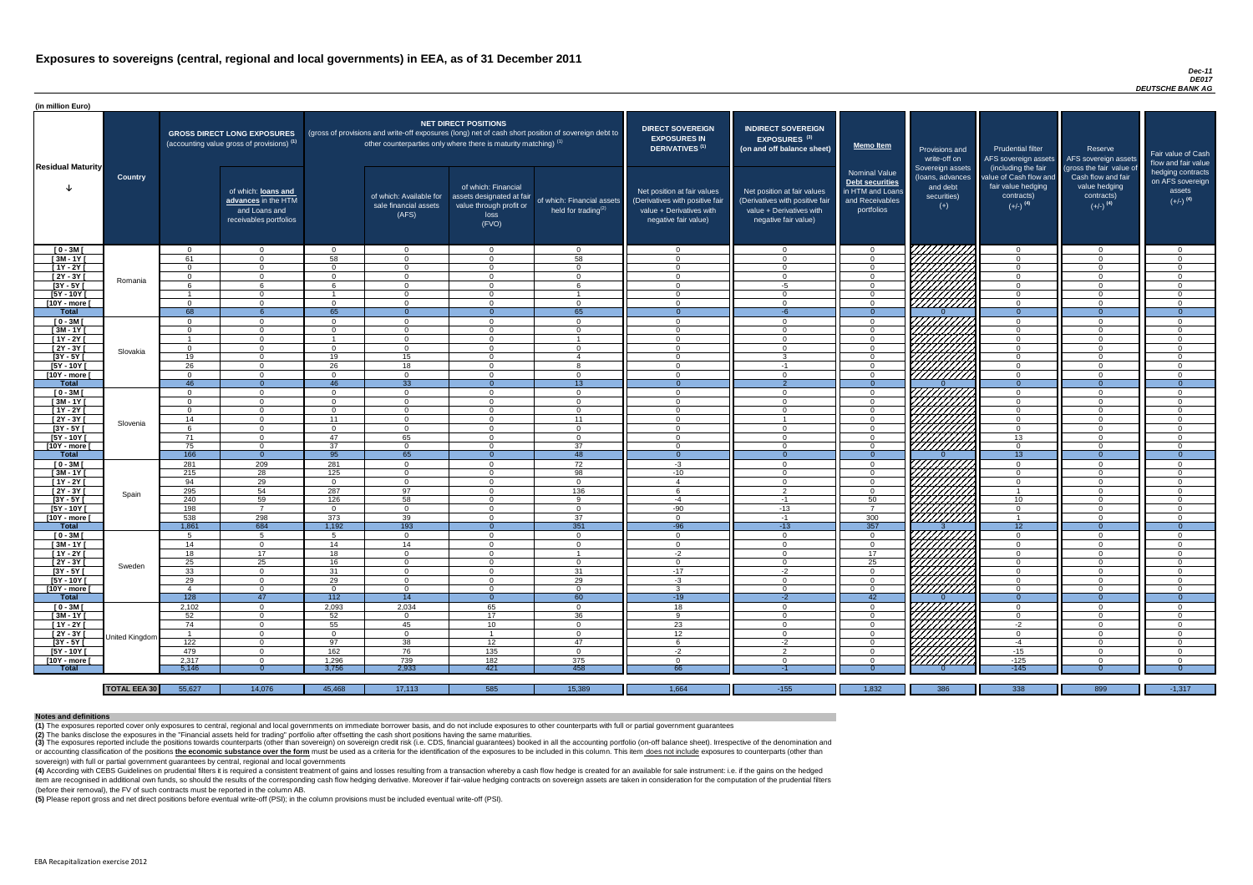### *Dec-11 DE017 DEUTSCHE BANK AG*

(4) According with CEBS Guidelines on prudential filters it is required a consistent treatment of gains and losses resulting from a transaction whereby a cash flow hedge is created for an available for sale instrument: i.e item are recognised in additional own funds, so should the results of the corresponding cash flow hedging derivative. Moreover if fair-value hedging contracts on sovereign assets are taken in consideration for the computat (before their removal), the FV of such contracts must be reported in the column AB.

| (in million Euro)             |                     |                |                                                                                             |                                                                                                                                                                                                                  |                                                           |                                                                                              |                                                                              |                                                                                                                    |                                                                                                                    |                                                                                              |                                                                          |                                                                                      |                                                                             |                                                                           |
|-------------------------------|---------------------|----------------|---------------------------------------------------------------------------------------------|------------------------------------------------------------------------------------------------------------------------------------------------------------------------------------------------------------------|-----------------------------------------------------------|----------------------------------------------------------------------------------------------|------------------------------------------------------------------------------|--------------------------------------------------------------------------------------------------------------------|--------------------------------------------------------------------------------------------------------------------|----------------------------------------------------------------------------------------------|--------------------------------------------------------------------------|--------------------------------------------------------------------------------------|-----------------------------------------------------------------------------|---------------------------------------------------------------------------|
| <b>Residual Maturity</b>      |                     |                | <b>GROSS DIRECT LONG EXPOSURES</b><br>(accounting value gross of provisions) <sup>(1)</sup> | <b>NET DIRECT POSITIONS</b><br>(gross of provisions and write-off exposures (long) net of cash short position of sovereign debt to<br>other counterparties only where there is maturity matching) <sup>(1)</sup> |                                                           |                                                                                              | <b>DIRECT SOVEREIGN</b><br><b>EXPOSURES IN</b><br>DERIVATIVES <sup>(1)</sup> | <b>INDIRECT SOVEREIGN</b><br>EXPOSURES <sup>(3)</sup><br>(on and off balance sheet)                                | <b>Memo Item</b>                                                                                                   | Provisions and<br>write-off on                                                               | <b>Prudential filter</b><br>AFS sovereign assets<br>(including the fair  | Reserve<br>AFS sovereign assets<br>(gross the fair value of                          | Fair value of Cash<br>flow and fair value                                   |                                                                           |
|                               | <b>Country</b>      |                | of which: loans and<br>advances in the HTM<br>and Loans and<br>receivables portfolios       |                                                                                                                                                                                                                  | of which: Available for<br>sale financial assets<br>(AFS) | of which: Financial<br>assets designated at fair<br>value through profit or<br>loss<br>(FVO) | of which: Financial assets<br>held for trading $^{(2)}$                      | Net position at fair values<br>(Derivatives with positive fair<br>value + Derivatives with<br>negative fair value) | Net position at fair values<br>(Derivatives with positive fair<br>value + Derivatives with<br>negative fair value) | <b>Nominal Value</b><br>Debt securities<br>in HTM and Loans<br>and Receivables<br>portfolios | Sovereign assets<br>(loans, advances<br>and debt<br>securities)<br>$(+)$ | value of Cash flow and<br>fair value hedging<br>contracts)<br>$(+/-)$ <sup>(4)</sup> | Cash flow and fair<br>value hedging<br>contracts)<br>$(+/-)$ <sup>(4)</sup> | hedging contracts<br>on AFS sovereign<br>assets<br>$(+/-)$ <sup>(4)</sup> |
| $[0 - 3M]$                    |                     | $\Omega$       | $\overline{0}$                                                                              | _റ                                                                                                                                                                                                               | $\Omega$                                                  | $\Omega$                                                                                     | $\overline{0}$                                                               | - 0                                                                                                                | $\Omega$                                                                                                           | $\Omega$                                                                                     | 777777777                                                                | $\overline{0}$                                                                       | $\overline{0}$                                                              | - 0                                                                       |
| $[3M - 1Y]$                   |                     | 61             | $\Omega$                                                                                    | 58                                                                                                                                                                                                               | $\Omega$                                                  | $\Omega$                                                                                     | 58                                                                           | $\Omega$                                                                                                           | $\cap$                                                                                                             | $\Omega$                                                                                     |                                                                          | $\overline{0}$                                                                       | $\Omega$                                                                    | . വ                                                                       |
| $[1Y - 2Y]$                   |                     | $\Omega$       | $\Omega$                                                                                    | $\Omega$                                                                                                                                                                                                         | $\Omega$                                                  | $\Omega$                                                                                     | $\Omega$                                                                     | $\cap$                                                                                                             | $\cap$                                                                                                             | $\Omega$                                                                                     |                                                                          | $\overline{0}$                                                                       | $\Omega$                                                                    | $\cap$                                                                    |
| [2Y - 3Y [                    | Romania             | $\Omega$       | $\Omega$                                                                                    | $\Omega$                                                                                                                                                                                                         | $\Omega$                                                  | $\cap$                                                                                       | $\Omega$                                                                     | $\cap$<br>- 0                                                                                                      | $\cap$                                                                                                             | $\Omega$                                                                                     |                                                                          | $\overline{0}$                                                                       | $\Omega$                                                                    | $\cap$<br>$\cap$                                                          |
| $[3Y - 5Y]$                   |                     | <b>6</b>       | $\cap$                                                                                      | ĥ                                                                                                                                                                                                                | $\Omega$<br>$\Omega$                                      | $\cap$<br>$\cap$                                                                             | -6                                                                           | $\cap$                                                                                                             | -5                                                                                                                 | $\Omega$<br>$\Omega$                                                                         |                                                                          | $\Omega$<br>$\Omega$                                                                 | $\Omega$<br>$\Omega$                                                        |                                                                           |
| [5Y - 10Y [<br>[10Y - more [  |                     | $\Omega$       | $\cap$                                                                                      | $\Omega$                                                                                                                                                                                                         | $\Omega$                                                  | $\cap$                                                                                       | $\Omega$                                                                     | - വ                                                                                                                | $\cap$                                                                                                             | $\Omega$                                                                                     | ШШЛ                                                                      | $\Omega$                                                                             | $\Omega$                                                                    | $\cap$                                                                    |
| Total                         |                     | 68             | -6                                                                                          | 65                                                                                                                                                                                                               | $\Omega$                                                  | $\Omega$                                                                                     | 65                                                                           |                                                                                                                    | $-6$                                                                                                               | $\Omega$                                                                                     |                                                                          | $\Omega$                                                                             | $\Omega$                                                                    | $\Omega$                                                                  |
| $[0 - 3M]$                    |                     | $\Omega$       | $\Omega$                                                                                    | $\Omega$                                                                                                                                                                                                         | $\Omega$                                                  | $\Omega$                                                                                     | $\Omega$                                                                     | $\cap$                                                                                                             |                                                                                                                    | $\Omega$                                                                                     | William                                                                  | $\Omega$                                                                             | $\Omega$                                                                    |                                                                           |
| $[3M - 1Y]$                   |                     | $\Omega$       | $\Omega$                                                                                    | $\cap$                                                                                                                                                                                                           | $\Omega$                                                  | $\cap$                                                                                       | $\Omega$                                                                     | $\cap$                                                                                                             | $\Omega$                                                                                                           | $\Omega$                                                                                     |                                                                          | $\Omega$                                                                             | $\Omega$                                                                    | $\cap$                                                                    |
| $[1Y - 2Y]$                   |                     |                | $\Omega$                                                                                    |                                                                                                                                                                                                                  | $\Omega$                                                  | $\cap$                                                                                       |                                                                              | $\cap$                                                                                                             | $\Omega$                                                                                                           | $\Omega$                                                                                     |                                                                          | $\Omega$                                                                             | $\Omega$                                                                    | $\cap$                                                                    |
| $[2Y - 3Y]$                   |                     | $\overline{0}$ | $\Omega$                                                                                    | $\Omega$                                                                                                                                                                                                         | $\Omega$                                                  | $\cap$                                                                                       | $\Omega$                                                                     | $\cap$                                                                                                             | $\Omega$                                                                                                           | $\Omega$                                                                                     |                                                                          | $\overline{0}$                                                                       | $\Omega$                                                                    | $\cap$                                                                    |
| $[3Y - 5Y]$                   |                     | 19             | $\Omega$                                                                                    | 19                                                                                                                                                                                                               | 15                                                        | $\Omega$                                                                                     | $\overline{4}$                                                               | $\cap$                                                                                                             | ົ                                                                                                                  | $\Omega$                                                                                     |                                                                          | $\overline{0}$                                                                       | $\Omega$                                                                    | $\Omega$                                                                  |
| [5Y - 10Y [                   | Slovakia            | 26             | $\Omega$                                                                                    | 26                                                                                                                                                                                                               | 18                                                        | $\Omega$                                                                                     | 8                                                                            | $\cap$                                                                                                             | $-1$                                                                                                               | $\Omega$                                                                                     | HHHHA                                                                    | $\Omega$                                                                             | $\Omega$                                                                    | $\cap$                                                                    |
| [10Y - more [                 |                     | $\Omega$       | $\Omega$                                                                                    | $\Omega$                                                                                                                                                                                                         | $\overline{0}$                                            | $\Omega$                                                                                     | $\overline{0}$                                                               | $\Omega$                                                                                                           | $\Omega$                                                                                                           | $\overline{0}$                                                                               |                                                                          | $\overline{0}$                                                                       | $\Omega$                                                                    | $\Omega$                                                                  |
| <b>Total</b>                  |                     | 46             | $\overline{0}$                                                                              | 46                                                                                                                                                                                                               | 33                                                        | $\Omega$                                                                                     | 13                                                                           | - 0                                                                                                                |                                                                                                                    | $\Omega$                                                                                     |                                                                          | $\Omega$                                                                             | $\Omega$                                                                    | $\Omega$                                                                  |
| $[0 - 3M]$                    |                     | $\Omega$       | $\Omega$                                                                                    | $\Omega$                                                                                                                                                                                                         | $\Omega$                                                  | $\cap$                                                                                       | $\overline{0}$                                                               | $\cap$                                                                                                             |                                                                                                                    | $\Omega$                                                                                     |                                                                          | $\overline{0}$                                                                       | $\Omega$                                                                    | $\cap$                                                                    |
| $[3M - 1Y]$                   |                     | $\Omega$       | $\Omega$                                                                                    | $\cap$                                                                                                                                                                                                           | $\Omega$                                                  | $\cap$                                                                                       | $\Omega$                                                                     | $\Omega$                                                                                                           |                                                                                                                    | $\Omega$                                                                                     |                                                                          | $\overline{0}$                                                                       | $\Omega$                                                                    | $\Omega$                                                                  |
| $[1Y - 2Y]$                   |                     | $\Omega$       | $\cap$                                                                                      | $\Omega$                                                                                                                                                                                                         | $\Omega$                                                  |                                                                                              | $\Omega$                                                                     | $\Omega$                                                                                                           |                                                                                                                    | $\Omega$                                                                                     |                                                                          | $\overline{0}$                                                                       |                                                                             | $\cap$                                                                    |
| $[2Y - 3Y]$                   | Slovenia            | 14             |                                                                                             | 11                                                                                                                                                                                                               | $\Omega$                                                  | $\Omega$                                                                                     | 11                                                                           | - വ                                                                                                                |                                                                                                                    | $\Omega$                                                                                     | $\left \frac{\mathcal{U}}{\mathcal{U}}\right $                           | $\Omega$                                                                             |                                                                             |                                                                           |
| $[3Y - 5Y]$                   |                     | <sub>n</sub>   |                                                                                             | 0                                                                                                                                                                                                                | - 0                                                       |                                                                                              | -0                                                                           |                                                                                                                    |                                                                                                                    |                                                                                              |                                                                          | 0                                                                                    |                                                                             |                                                                           |
| $[5Y - 10Y]$                  |                     | 71             | $\Omega$                                                                                    | 47                                                                                                                                                                                                               | 65                                                        | $\Omega$                                                                                     | $\overline{0}$                                                               | - 0                                                                                                                | $\Omega$                                                                                                           | $\Omega$                                                                                     |                                                                          | 13                                                                                   | $\Omega$                                                                    | - 0                                                                       |
| [10Y - more [<br><b>Total</b> |                     | 75<br>166      | $\Omega$                                                                                    | 37<br>95                                                                                                                                                                                                         | $\Omega$<br>65                                            | - റ                                                                                          | 37<br>48                                                                     | - 0                                                                                                                | $\cap$                                                                                                             | $\Omega$<br>$\Omega$                                                                         | 7777777777                                                               | $\overline{0}$<br>13 <sup>°</sup>                                                    | $\Omega$                                                                    | - വ<br>- 0                                                                |
|                               |                     | 281            | $\overline{0}$<br>209                                                                       | 281                                                                                                                                                                                                              | $\overline{0}$                                            | $\Omega$                                                                                     | 72                                                                           |                                                                                                                    | $\Omega$                                                                                                           | $\overline{0}$                                                                               |                                                                          |                                                                                      | $\Omega$                                                                    | - 0                                                                       |
| $[0 - 3M]$<br>$[3M - 1Y]$     |                     | 215            | 28                                                                                          | 125                                                                                                                                                                                                              | $\overline{0}$                                            | $\Omega$                                                                                     | 98                                                                           | $-3$<br>$-10$                                                                                                      | $\Omega$                                                                                                           | $\overline{0}$                                                                               |                                                                          | $\overline{0}$<br>$\overline{0}$                                                     | $\overline{0}$                                                              | $\Omega$                                                                  |
| $[1Y - 2Y]$                   |                     | 94             | 29                                                                                          | $\overline{0}$                                                                                                                                                                                                   | $\overline{0}$                                            | $\Omega$                                                                                     | $\overline{0}$                                                               | $\overline{4}$                                                                                                     | $\Omega$                                                                                                           | $\overline{0}$                                                                               |                                                                          | $\overline{0}$                                                                       | $\overline{0}$                                                              | $\overline{0}$                                                            |
| $[2Y - 3Y]$                   |                     | 295            | 54                                                                                          | 287                                                                                                                                                                                                              | 97                                                        | $\Omega$                                                                                     | 136                                                                          | 6                                                                                                                  | $\overline{2}$                                                                                                     | $\overline{0}$                                                                               |                                                                          |                                                                                      | $\overline{0}$                                                              | - 0                                                                       |
| $[3Y - 5Y]$                   | Spain               | 240            | 59                                                                                          | 126                                                                                                                                                                                                              | 58                                                        | $\Omega$                                                                                     | -9                                                                           | $-4$                                                                                                               | $-1$                                                                                                               | 50                                                                                           |                                                                          | 10 <sup>1</sup>                                                                      | $\Omega$                                                                    | $\Omega$                                                                  |
| $[5Y - 10Y]$                  |                     | 198            | $\overline{7}$                                                                              | $\Omega$                                                                                                                                                                                                         | $\Omega$                                                  | $\Omega$                                                                                     | $\overline{0}$                                                               | -90                                                                                                                | $-13$                                                                                                              | $\overline{7}$                                                                               |                                                                          | $\overline{0}$                                                                       | $\Omega$                                                                    | - 0                                                                       |
| [10Y - more [                 |                     | 538            | 298                                                                                         | 373                                                                                                                                                                                                              | 39                                                        | $\Omega$                                                                                     | 37                                                                           | $\Omega$                                                                                                           | -1                                                                                                                 | 300                                                                                          | <b>SANTANA</b><br>SANTANA                                                |                                                                                      | $\Omega$                                                                    | $\Omega$                                                                  |
| <b>Total</b>                  |                     | 1,861          | 684                                                                                         | 1,192                                                                                                                                                                                                            | 193                                                       | $\Omega$                                                                                     | 351                                                                          | $-96$                                                                                                              | $-13$                                                                                                              | 357                                                                                          |                                                                          | 12                                                                                   | $\theta$                                                                    | $\overline{0}$                                                            |
| $[0 - 3M]$                    |                     | 5              | -5                                                                                          | 5                                                                                                                                                                                                                | $\Omega$                                                  | $\Omega$                                                                                     | $\overline{0}$                                                               | - 0                                                                                                                | $\Omega$                                                                                                           | $\Omega$                                                                                     |                                                                          | $\overline{0}$                                                                       | $\Omega$                                                                    | - 0                                                                       |
| $[3M - 1Y]$                   |                     | 14             | $\Omega$                                                                                    | 14                                                                                                                                                                                                               | 14                                                        | $\Omega$                                                                                     | $\Omega$                                                                     | $\cap$                                                                                                             | $\Omega$                                                                                                           | $\Omega$                                                                                     |                                                                          | $\overline{0}$                                                                       | $\Omega$                                                                    | $\Omega$                                                                  |
| [1Y - 2Y [                    |                     | 18             | 17                                                                                          | 18                                                                                                                                                                                                               | $\Omega$                                                  | $\Omega$                                                                                     |                                                                              | $-2$                                                                                                               | $\Omega$                                                                                                           | 17                                                                                           |                                                                          | $\Omega$                                                                             | $\Omega$                                                                    | $\Omega$                                                                  |
| [2Y - 3Y]                     | Sweden              | 25             | 25                                                                                          | 16                                                                                                                                                                                                               | $\Omega$                                                  | $\Omega$                                                                                     | $\overline{0}$                                                               | - 0                                                                                                                | $\Omega$                                                                                                           | 25                                                                                           |                                                                          | $\Omega$                                                                             | $\Omega$                                                                    | $\Omega$                                                                  |
| $[3Y - 5Y]$                   |                     | 33             | $\Omega$                                                                                    | 31                                                                                                                                                                                                               | $\Omega$                                                  | $\Omega$                                                                                     | 31                                                                           | $-17$                                                                                                              | $-2$                                                                                                               | $\Omega$                                                                                     |                                                                          | $\Omega$                                                                             | $\Omega$                                                                    | $\Omega$                                                                  |
| $[5Y - 10Y]$                  |                     | 29             | $\overline{0}$                                                                              | 29                                                                                                                                                                                                               | $\overline{0}$                                            | $\Omega$                                                                                     | 29                                                                           | $-3$                                                                                                               | $\Omega$                                                                                                           | $\overline{0}$                                                                               |                                                                          | $\overline{0}$                                                                       | $\Omega$                                                                    | $\Omega$                                                                  |
| [10Y - more [                 |                     | $\overline{4}$ | $\overline{0}$                                                                              | $\overline{0}$                                                                                                                                                                                                   | $\overline{0}$                                            | $\Omega$                                                                                     | $\overline{0}$                                                               | -3                                                                                                                 | $\Omega$                                                                                                           | $\overline{0}$                                                                               | THING<br>HIMAN<br>HIMAN                                                  | $\overline{0}$                                                                       | $\Omega$                                                                    | - 0                                                                       |
| <b>Total</b>                  |                     | 128            | 47                                                                                          | 112                                                                                                                                                                                                              | $\overline{14}$                                           | $\Omega$                                                                                     | 60                                                                           | $-19$                                                                                                              | $-2$                                                                                                               | 42                                                                                           |                                                                          | $\Omega$                                                                             | $\overline{0}$                                                              | $\overline{0}$                                                            |
| $[0 - 3M]$                    |                     | 2,102          | $\Omega$<br>$\Omega$                                                                        | 2,093                                                                                                                                                                                                            | 2,034                                                     | 65                                                                                           | $\overline{0}$                                                               | 18<br>$\alpha$                                                                                                     | $\Omega$                                                                                                           | $\Omega$                                                                                     |                                                                          | $\overline{0}$                                                                       | $\Omega$                                                                    | $\cap$<br>$\Omega$                                                        |
| $[3M - 1Y]$<br>$[1Y - 2Y]$    |                     | 52<br>74       | $\Omega$                                                                                    | 52                                                                                                                                                                                                               | $\Omega$                                                  | 17                                                                                           | 36<br>$\overline{0}$                                                         |                                                                                                                    |                                                                                                                    | $\Omega$<br>$\Omega$                                                                         |                                                                          | $\overline{0}$<br>$-2$                                                               | $\Omega$                                                                    | $\cap$                                                                    |
| $[2Y - 3Y]$                   |                     |                | - 0                                                                                         | 55<br>$\Omega$                                                                                                                                                                                                   | 45<br>$\Omega$                                            | 10 <sup>1</sup>                                                                              | $\overline{0}$                                                               | 23<br>12                                                                                                           |                                                                                                                    | $\Omega$                                                                                     |                                                                          | $\overline{0}$                                                                       |                                                                             |                                                                           |
| $[3Y - 5Y]$                   | United Kingdom      | 122            | $\Omega$                                                                                    | 97                                                                                                                                                                                                               | 38                                                        | 12 <sup>2</sup>                                                                              | 47                                                                           |                                                                                                                    | $-2$                                                                                                               | $\Omega$                                                                                     |                                                                          | -4                                                                                   | $\Omega$                                                                    |                                                                           |
| [5Y - 10Y [                   |                     | 479            | $\Omega$                                                                                    | 162                                                                                                                                                                                                              | 76                                                        | 135                                                                                          | $\overline{0}$                                                               | $-2$                                                                                                               | $\Omega$                                                                                                           | $\Omega$                                                                                     |                                                                          | $-15$                                                                                | $\Omega$                                                                    | - 0                                                                       |
| [10Y - more [                 |                     | 2,317          | $\cap$                                                                                      | 1,296                                                                                                                                                                                                            | 739                                                       | 182                                                                                          | 375                                                                          | $\cap$                                                                                                             | $\cap$                                                                                                             | $\Omega$                                                                                     | 77777777                                                                 | $-125$                                                                               | $\Omega$                                                                    | $\Omega$                                                                  |
| <b>Total</b>                  |                     | 5,146          | $\Omega$                                                                                    | 3,756                                                                                                                                                                                                            | 2,933                                                     | 421                                                                                          | 458                                                                          | 66                                                                                                                 |                                                                                                                    | -0                                                                                           |                                                                          | $-145$                                                                               |                                                                             |                                                                           |
|                               |                     |                |                                                                                             |                                                                                                                                                                                                                  |                                                           |                                                                                              |                                                                              |                                                                                                                    |                                                                                                                    |                                                                                              |                                                                          |                                                                                      |                                                                             |                                                                           |
|                               | <b>TOTAL EEA 30</b> | 55,627         | 14,076                                                                                      | 45,468                                                                                                                                                                                                           | 17,113                                                    | 585                                                                                          | 15,389                                                                       | 1,664                                                                                                              | $-155$                                                                                                             | 1,832                                                                                        | 386                                                                      | $\overline{338}$                                                                     | 899                                                                         | $-1,317$                                                                  |

(3) The exposures reported include the positions towards counterparts (other than sovereign) on sovereign credit risk (i.e. CDS, financial guarantees) booked in all the accounting portfolio (on-off balance sheet). Irrespec or accounting classification of the positions the economic substance over the form must be used as a criteria for the identification of the exposures to be included in this column. This item does not include exposures to c sovereign) with full or partial government guarantees by central, regional and local governments

**(5)** Please report gross and net direct positions before eventual write-off (PSI); in the column provisions must be included eventual write-off (PSI).

#### **Notes and definitions**

**(1)** The exposures reported cover only exposures to central, regional and local governments on immediate borrower basis, and do not include exposures to other counterparts with full or partial government guarantees **(2)** The banks disclose the exposures in the "Financial assets held for trading" portfolio after offsetting the cash short positions having the same maturities.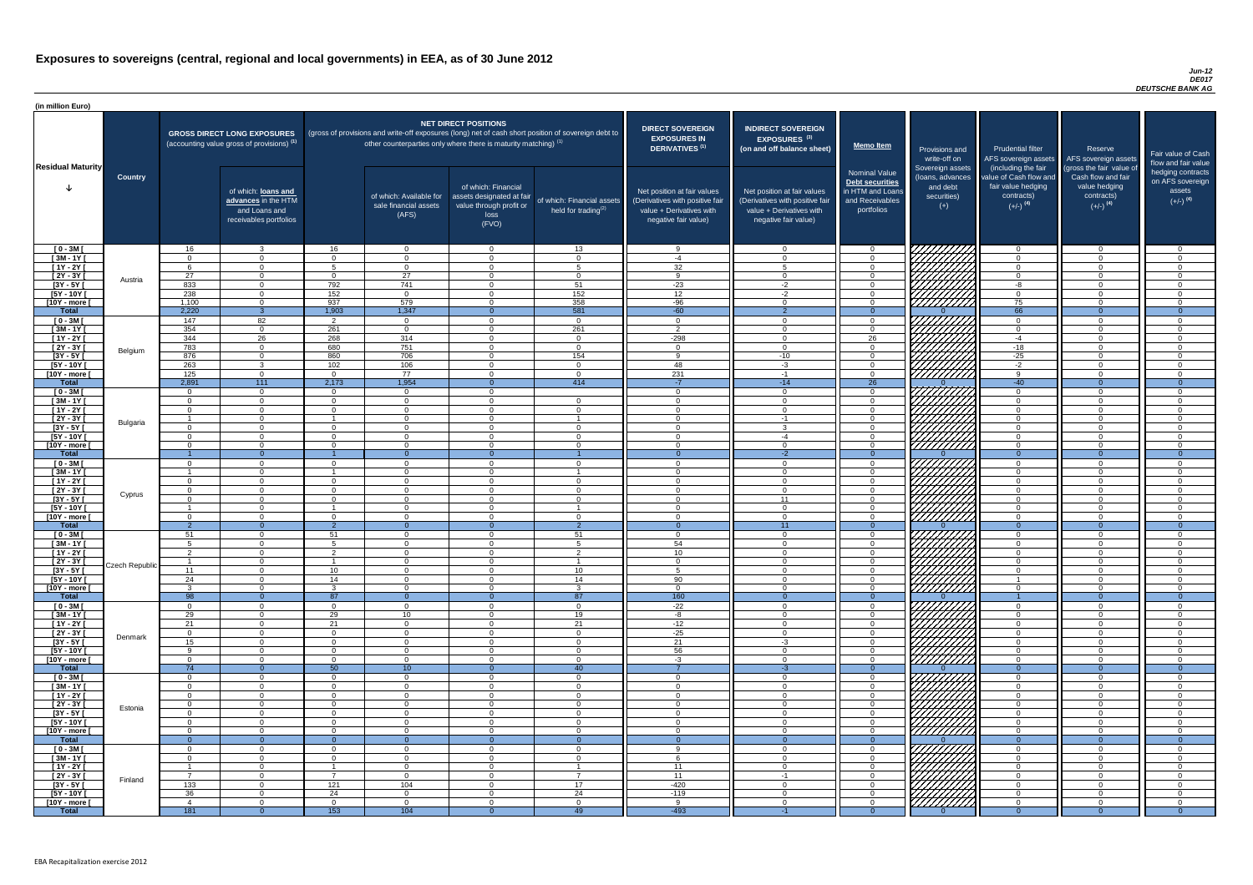### *Jun-12 DE017 DEUTSCHE BANK AG*

| (in million Euro)             |                       |                                   |                                                                                             |                            |                                                                            |                                                                                              |                                                                                                     |                                                                                                                    |                                                                                                                    |                                                                                              |                                                                          |                                                                                                             |                                                                                                         |                                                                           |
|-------------------------------|-----------------------|-----------------------------------|---------------------------------------------------------------------------------------------|----------------------------|----------------------------------------------------------------------------|----------------------------------------------------------------------------------------------|-----------------------------------------------------------------------------------------------------|--------------------------------------------------------------------------------------------------------------------|--------------------------------------------------------------------------------------------------------------------|----------------------------------------------------------------------------------------------|--------------------------------------------------------------------------|-------------------------------------------------------------------------------------------------------------|---------------------------------------------------------------------------------------------------------|---------------------------------------------------------------------------|
| <b>Residual Maturity</b>      |                       |                                   | <b>GROSS DIRECT LONG EXPOSURES</b><br>(accounting value gross of provisions) <sup>(1)</sup> |                            | other counterparties only where there is maturity matching) <sup>(1)</sup> | <b>NET DIRECT POSITIONS</b>                                                                  | (gross of provisions and write-off exposures (long) net of cash short position of sovereign debt to | <b>DIRECT SOVEREIGN</b><br><b>EXPOSURES IN</b><br><b>DERIVATIVES (1)</b>                                           | <b>INDIRECT SOVEREIGN</b><br><b>EXPOSURES<sup>(3)</sup></b><br>(on and off balance sheet)                          | <b>Memo Item</b>                                                                             | Provisions and<br>write-off on                                           | <b>Prudential filter</b><br>AFS sovereign assets                                                            | Reserve<br>AFS sovereign assets                                                                         | Fair value of Cash<br>flow and fair value                                 |
|                               | <b>Country</b>        |                                   | of which: loans and<br>advances in the HTM<br>and Loans and<br>receivables portfolios       |                            | of which: Available for<br>sale financial assets<br>(AFS)                  | of which: Financial<br>assets designated at fair<br>value through profit or<br>loss<br>(FVO) | of which: Financial assets<br>held for trading $(2)$                                                | Net position at fair values<br>(Derivatives with positive fair<br>value + Derivatives with<br>negative fair value) | Net position at fair values<br>(Derivatives with positive fair<br>value + Derivatives with<br>negative fair value) | <b>Nominal Value</b><br>Debt securities<br>in HTM and Loans<br>and Receivables<br>portfolios | Sovereign assets<br>(loans, advances<br>and debt<br>securities)<br>$(+)$ | (including the fair<br>value of Cash flow and<br>fair value hedging<br>contracts)<br>$(+/-)$ <sup>(4)</sup> | (gross the fair value of<br>Cash flow and fair<br>value hedging<br>contracts)<br>$(+/-)$ <sup>(4)</sup> | hedging contracts<br>on AFS sovereign<br>assets<br>$(+/-)$ <sup>(4)</sup> |
| $[0 - 3M]$                    |                       | 16                                | $\mathbf{3}$                                                                                | 16                         | $\Omega$                                                                   | $\Omega$                                                                                     | 13                                                                                                  | <b>Q</b>                                                                                                           | $\Omega$                                                                                                           |                                                                                              | VIIIII                                                                   | $\cap$                                                                                                      | $\Omega$                                                                                                | $\overline{0}$                                                            |
| $[3M - 1Y]$<br>$[1Y - 2Y]$    |                       | $\cap$                            | $\Omega$<br>$\Omega$                                                                        | $\Omega$<br>5              | $\Omega$<br>$\Omega$                                                       | $\Omega$<br>$\Omega$                                                                         | $\overline{0}$<br>$5\overline{5}$                                                                   | $-4$<br>$\overline{32}$                                                                                            | $\Omega$<br>$5\overline{5}$                                                                                        | റ<br>$\sqrt{ }$                                                                              | ШШН.                                                                     | $\cap$<br>$\cap$                                                                                            | $\Omega$<br>$\Omega$                                                                                    | $\overline{0}$<br>$\overline{0}$                                          |
| $[2Y - 3Y]$                   |                       | 27                                | $\Omega$                                                                                    | $\cap$                     | 27                                                                         | $\Omega$                                                                                     | $\Omega$                                                                                            | റ                                                                                                                  | $\Omega$                                                                                                           |                                                                                              |                                                                          | $\Omega$                                                                                                    | $\Omega$                                                                                                | $\Omega$                                                                  |
| $[3Y - 5Y]$                   | Austria               | 833                               | $\Omega$                                                                                    | 792                        | 741                                                                        | $\Omega$                                                                                     | 51                                                                                                  | $-23$                                                                                                              | $-2$                                                                                                               |                                                                                              | HIIIII                                                                   | -8                                                                                                          | $\Omega$                                                                                                | $\Omega$                                                                  |
| $[5Y - 10Y]$                  |                       | 238                               | $\Omega$                                                                                    | 152                        | $\Omega$                                                                   | $\Omega$                                                                                     | 152                                                                                                 | 12                                                                                                                 | $-2$                                                                                                               |                                                                                              |                                                                          | $\Omega$                                                                                                    | $\Omega$                                                                                                | $\Omega$                                                                  |
| [10Y - more [                 |                       | 1,100                             | $\Omega$                                                                                    | 937                        | 579                                                                        | $\Omega$                                                                                     | 358                                                                                                 | $-96$                                                                                                              | $\Omega$                                                                                                           |                                                                                              |                                                                          | 75                                                                                                          | $\Omega$                                                                                                | $\Omega$                                                                  |
| <b>Total</b><br>$[0 - 3M]$    |                       | 2,220<br>147                      | 3 <sup>°</sup><br>82                                                                        | 1,903                      | 1,347<br>$\Omega$                                                          | $\Omega$<br>$\Omega$                                                                         | 581<br>$\overline{0}$                                                                               | $-60$<br>$\cap$                                                                                                    | 2<br>$\Omega$                                                                                                      | $\Omega$<br>$\Omega$                                                                         | 777777777                                                                | 66<br>$\Omega$                                                                                              | $\Omega$<br>$\Omega$                                                                                    | $\overline{0}$<br>$\Omega$                                                |
| $[3M - 1Y]$                   |                       | 354                               | $\overline{0}$                                                                              | 261                        | $\Omega$                                                                   | $\Omega$                                                                                     | 261                                                                                                 | ່າ                                                                                                                 | $\Omega$                                                                                                           | $\Omega$                                                                                     |                                                                          | $\cap$                                                                                                      | $\Omega$                                                                                                | $\overline{0}$                                                            |
| $[1Y - 2Y]$                   |                       | 344                               | 26                                                                                          | 268                        | 314                                                                        | $\Omega$                                                                                     | $\overline{0}$                                                                                      | $-298$                                                                                                             | $\Omega$                                                                                                           | 26                                                                                           | ШШШ                                                                      | $-4$                                                                                                        | $\Omega$                                                                                                | $\overline{0}$                                                            |
| $[2Y - 3Y]$                   | Belgium               | 783                               | $\overline{0}$                                                                              | 680                        | 751                                                                        | $\Omega$                                                                                     | $\overline{0}$                                                                                      | $\cap$                                                                                                             | $\Omega$                                                                                                           | $\cap$                                                                                       | HAAHA<br>HAAHAA                                                          | $-18$                                                                                                       | $\overline{0}$                                                                                          | $\Omega$                                                                  |
| $[3Y - 5Y]$                   |                       | 876                               | $\overline{0}$                                                                              | 860                        | 706                                                                        | $\Omega$                                                                                     | 154                                                                                                 | $\Omega$                                                                                                           | $-10$                                                                                                              | $\cap$                                                                                       |                                                                          | $-25$                                                                                                       | $\overline{0}$                                                                                          | $\overline{0}$                                                            |
| $[5Y - 10Y]$<br>[10Y - more [ |                       | 263<br>125                        | $\mathbf{3}$<br>$\overline{0}$                                                              | 102<br>$\cap$              | 106<br>$\overline{77}$                                                     | $\Omega$<br>$\Omega$                                                                         | $\overline{0}$<br>$\overline{0}$                                                                    | 48<br>231                                                                                                          | $-3$<br>$-1$                                                                                                       | $\Omega$<br>$\Omega$                                                                         |                                                                          | $-2$<br>9                                                                                                   | $\Omega$<br>$\overline{0}$                                                                              | $\overline{0}$<br>$\overline{0}$                                          |
| <b>Total</b>                  |                       | 2,891                             | 111                                                                                         | 2,173                      | 1,954                                                                      | $\Omega$                                                                                     | 414                                                                                                 | $-7$                                                                                                               | $-14$                                                                                                              | $\overline{26}$                                                                              |                                                                          | $-40$                                                                                                       | $\Omega$                                                                                                | $\overline{0}$                                                            |
| $[0 - 3M]$                    |                       | $\Omega$                          | $\overline{0}$                                                                              | $\cap$                     | $\overline{0}$                                                             | $\Omega$                                                                                     |                                                                                                     | $\Omega$                                                                                                           | $\overline{0}$                                                                                                     | $\cap$                                                                                       | 7777777777                                                               | $\overline{0}$                                                                                              | $\overline{0}$                                                                                          | $\overline{0}$                                                            |
| $[3M - 1Y]$                   |                       | $\Omega$                          | $\overline{0}$                                                                              |                            | $\Omega$                                                                   | $\Omega$                                                                                     | $\Omega$                                                                                            | $\Omega$                                                                                                           | $\Omega$                                                                                                           | $\Omega$                                                                                     | 777777777                                                                | $\Omega$                                                                                                    | $\Omega$                                                                                                | $\Omega$                                                                  |
| $[1Y - 2Y]$                   |                       | $\Omega$                          | $\Omega$                                                                                    |                            | $\Omega$                                                                   | $\Omega$                                                                                     | $\Omega$                                                                                            | $\Omega$                                                                                                           | $\Omega$                                                                                                           | $\Omega$                                                                                     |                                                                          | $\Omega$<br>- 0                                                                                             | $\Omega$<br>$\Omega$                                                                                    | $\Omega$                                                                  |
| $[2Y - 3Y]$<br>$[3Y - 5Y]$    | Bulgaria              |                                   | $\overline{0}$<br>O                                                                         |                            | $\Omega$<br>-0                                                             | $\Omega$                                                                                     | 0                                                                                                   | - 0                                                                                                                | $-1$                                                                                                               |                                                                                              | <i>ШША</i>                                                               |                                                                                                             | 0                                                                                                       | $\overline{0}$                                                            |
| $[5Y - 10Y]$                  |                       | $\cap$                            | $\Omega$                                                                                    | $\Omega$                   | $\Omega$                                                                   | $\Omega$                                                                                     | $\Omega$                                                                                            | $\cap$                                                                                                             | -4                                                                                                                 | $\cap$                                                                                       | 177777777                                                                | $\cap$                                                                                                      | $\Omega$                                                                                                | $\Omega$                                                                  |
| [10Y - more [                 |                       | $\cap$                            | $\Omega$                                                                                    | $\cap$                     | $\Omega$                                                                   | $\Omega$                                                                                     | $\Omega$                                                                                            | $\cap$                                                                                                             | $\Omega$                                                                                                           | $\cap$                                                                                       | <u> 7777777</u> 77                                                       | $\overline{0}$                                                                                              | $\Omega$                                                                                                | $\Omega$                                                                  |
| <b>Total</b>                  |                       |                                   | $\Omega$                                                                                    |                            |                                                                            |                                                                                              |                                                                                                     |                                                                                                                    | $-2$                                                                                                               |                                                                                              |                                                                          | $\Omega$                                                                                                    | $\Omega$                                                                                                | $\Omega$                                                                  |
| $[0 - 3M]$<br>$[3M - 1Y]$     |                       | $\cap$<br>$\overline{\mathbf{1}}$ | $\Omega$<br>$\overline{0}$                                                                  | $\Omega$<br>$\overline{1}$ | $\Omega$<br>$\Omega$                                                       | $\Omega$<br>$\Omega$                                                                         | $\Omega$                                                                                            | $\cap$<br>$\Omega$                                                                                                 | $\Omega$<br>$\Omega$                                                                                               | $\Omega$<br>റ                                                                                |                                                                          | $\cap$<br>$\Omega$                                                                                          | $\Omega$<br>$\Omega$                                                                                    | $\Omega$<br>$\overline{0}$                                                |
| $[1Y - 2Y]$                   |                       | $\Omega$                          | $\Omega$                                                                                    | $\Omega$                   | $\Omega$                                                                   | $\Omega$                                                                                     | $\Omega$                                                                                            | $\Omega$                                                                                                           | $\Omega$                                                                                                           | $\Omega$                                                                                     |                                                                          | $\Omega$                                                                                                    | $\Omega$                                                                                                | $\Omega$                                                                  |
| $[2Y - 3Y]$                   | Cyprus                | $\Omega$                          | $\overline{0}$                                                                              | $\Omega$                   | $\Omega$                                                                   | $\Omega$                                                                                     | $\overline{0}$                                                                                      | $\Omega$                                                                                                           | $\Omega$                                                                                                           | $\Omega$                                                                                     |                                                                          | $\Omega$                                                                                                    | $\overline{0}$                                                                                          | $\overline{0}$                                                            |
| $[3Y - 5Y]$                   |                       |                                   | $\Omega$                                                                                    | $\Omega$                   | $\Omega$                                                                   | $\Omega$                                                                                     | $\Omega$                                                                                            | $\cap$                                                                                                             | 11                                                                                                                 |                                                                                              |                                                                          | $\Omega$                                                                                                    | $\Omega$                                                                                                | $\Omega$                                                                  |
| $[5Y - 10Y]$                  |                       | $\cap$                            | $\Omega$<br>$\Omega$                                                                        | ∩                          | $\Omega$<br>$\Omega$                                                       | $\Omega$<br>$\Omega$                                                                         | $\Omega$                                                                                            | $\cap$                                                                                                             | $\Omega$<br>$\Omega$                                                                                               |                                                                                              | 177777777<br><u>77777777</u>                                             | ∩<br>$\cap$                                                                                                 | $\Omega$<br>$\Omega$                                                                                    | $\Omega$<br>$\Omega$                                                      |
| [10Y - more [<br><b>Total</b> |                       | - 21                              | $\Omega$                                                                                    | 2                          | $\Omega$                                                                   | $\Omega$                                                                                     | $\overline{2}$                                                                                      |                                                                                                                    | 11                                                                                                                 | $\Omega$                                                                                     |                                                                          | $\Omega$                                                                                                    | $\Omega$                                                                                                | $\overline{0}$                                                            |
| $[0 - 3M]$                    |                       | 51                                | $\Omega$                                                                                    | 51                         | $\Omega$                                                                   | $\Omega$                                                                                     | 51                                                                                                  | $\cap$                                                                                                             | $\Omega$                                                                                                           |                                                                                              |                                                                          | $\Omega$                                                                                                    | $\Omega$                                                                                                | $\Omega$                                                                  |
| $[3M - 1Y]$                   |                       |                                   | $\Omega$                                                                                    | 5                          | $\Omega$                                                                   | $\Omega$                                                                                     | -5                                                                                                  | 54                                                                                                                 | $\Omega$                                                                                                           | $\cap$                                                                                       |                                                                          | $\Omega$                                                                                                    | $\Omega$                                                                                                | $\Omega$                                                                  |
| $[1Y - 2Y]$                   |                       | ົດ                                | $\Omega$                                                                                    | $\mathcal{D}$              | $\Omega$                                                                   | $\Omega$<br>$\Omega$                                                                         | $\overline{2}$                                                                                      | 10<br>$\Omega$                                                                                                     | $\Omega$<br>$\Omega$                                                                                               | $\cap$<br>$\cap$                                                                             |                                                                          | $\Omega$<br>$\Omega$                                                                                        | $\Omega$                                                                                                | $\Omega$<br>$\Omega$                                                      |
| $[2Y - 3Y]$<br>$[3Y - 5Y]$    | <b>Czech Republic</b> | 11                                | $\overline{0}$<br>$\overline{0}$                                                            | 10 <sup>1</sup>            | $\Omega$<br>$\Omega$                                                       | $\Omega$                                                                                     | 10 <sup>1</sup>                                                                                     | $\sqrt{2}$                                                                                                         | $\Omega$                                                                                                           | $\Omega$                                                                                     | 777777777                                                                | $\Omega$                                                                                                    | $\Omega$<br>$\Omega$                                                                                    | $\overline{0}$                                                            |
| $[5Y - 10Y]$                  |                       | 24                                | $\overline{0}$                                                                              | 14                         | $\Omega$                                                                   | $\Omega$                                                                                     | 14                                                                                                  | 90                                                                                                                 | $\Omega$                                                                                                           | $\Omega$                                                                                     | 7777777777                                                               |                                                                                                             | $\overline{0}$                                                                                          | $\Omega$                                                                  |
| [10Y - more [                 |                       |                                   | $\overline{0}$                                                                              | $\mathcal{R}$              | $\overline{0}$                                                             | $\Omega$                                                                                     | $\mathbf{3}$                                                                                        | $\Omega$                                                                                                           | $\Omega$                                                                                                           | $\cap$                                                                                       | //////////                                                               | $\Omega$                                                                                                    | $\overline{0}$                                                                                          | $\overline{0}$                                                            |
| <b>Total</b>                  |                       | 98                                | $\overline{0}$                                                                              | 87                         | $\Omega$                                                                   | $\Omega$                                                                                     | 87                                                                                                  | 160                                                                                                                |                                                                                                                    | $\Omega$                                                                                     |                                                                          |                                                                                                             | $\Omega$                                                                                                | $\Omega$                                                                  |
| $[0 - 3M]$<br>$[3M - 1Y]$     |                       | 29                                | $\overline{0}$<br>$\overline{0}$                                                            | $\Omega$<br>29             | $\Omega$<br>10                                                             | $\Omega$<br>$\Omega$                                                                         | $\overline{0}$<br>19                                                                                | $-22$<br>-8                                                                                                        | $\Omega$<br>$\Omega$                                                                                               | $\cap$                                                                                       | 77777777                                                                 | $\Omega$<br>$\Omega$                                                                                        | $\overline{0}$<br>$\Omega$                                                                              | $\Omega$<br>$\Omega$                                                      |
| $[1Y - 2Y]$                   |                       | 21                                | $\overline{0}$                                                                              | 21                         | $\Omega$                                                                   | $\Omega$                                                                                     | 21                                                                                                  | $-12$                                                                                                              | $\Omega$                                                                                                           |                                                                                              | /////////                                                                | $\overline{0}$                                                                                              | $\Omega$                                                                                                | $\mathbf 0$                                                               |
| $[2Y - 3Y]$                   | Denmark               |                                   | $\Omega$                                                                                    |                            | $\Omega$                                                                   | $\Omega$                                                                                     | $\overline{0}$                                                                                      | $-25$                                                                                                              | $\Omega$                                                                                                           |                                                                                              |                                                                          | $\Omega$                                                                                                    | $\Omega$                                                                                                | $\Omega$                                                                  |
| $[3Y - 5Y]$                   |                       | 15                                | $\Omega$                                                                                    |                            | $\Omega$                                                                   | $\Omega$                                                                                     | $\overline{0}$                                                                                      | 21                                                                                                                 | $-3$                                                                                                               |                                                                                              |                                                                          | $\Omega$                                                                                                    | $\Omega$                                                                                                | $\Omega$                                                                  |
| $[5Y - 10Y]$<br>[10Y - more [ |                       | $\cap$                            | $\overline{0}$<br>$\Omega$                                                                  | $\Omega$<br>$\cap$         | $\Omega$<br>$\Omega$                                                       | $\Omega$<br>$\Omega$                                                                         | $\overline{0}$<br>$\overline{0}$                                                                    | 56<br>$-3$                                                                                                         | $\Omega$<br>$\Omega$                                                                                               | $\Omega$<br>$\cap$                                                                           | ////////////                                                             | $\overline{0}$<br>$\overline{0}$                                                                            | $\overline{0}$<br>$\Omega$                                                                              | $\overline{0}$<br>$\Omega$                                                |
| <b>Total</b>                  |                       | 74                                | $\Omega$                                                                                    | 50                         | 10 <sup>°</sup>                                                            |                                                                                              | 40                                                                                                  |                                                                                                                    | $-3$                                                                                                               |                                                                                              |                                                                          | $\Omega$                                                                                                    | $\Omega$                                                                                                | $\Omega$                                                                  |
| $[0 - 3M]$                    |                       | $\cap$                            | $\overline{0}$                                                                              | $\Omega$                   | $\Omega$                                                                   | $\Omega$                                                                                     | $\overline{0}$                                                                                      | $\Omega$                                                                                                           | $\Omega$                                                                                                           | $\cap$                                                                                       |                                                                          | $\overline{0}$                                                                                              | $\overline{0}$                                                                                          | $\overline{0}$                                                            |
| $[3M - 1Y]$                   |                       | $\cap$                            | $\overline{0}$                                                                              | $\Omega$                   | $\Omega$                                                                   | $\Omega$                                                                                     | $\overline{0}$                                                                                      | $\Omega$                                                                                                           | $\Omega$                                                                                                           | $\Omega$                                                                                     |                                                                          | $\overline{0}$                                                                                              | $\Omega$                                                                                                | $\Omega$                                                                  |
| $[1Y - 2Y]$<br>$[2Y - 3Y]$    |                       | $\cap$<br>$\Omega$                | $\Omega$<br>$\overline{0}$                                                                  | $\cap$<br>$\Omega$         | $\Omega$<br>$\overline{0}$                                                 | $\Omega$<br>$\Omega$                                                                         | $\Omega$<br>$\overline{0}$                                                                          | $\Omega$<br>$\Omega$                                                                                               | $\Omega$<br>$\Omega$                                                                                               | $\cap$<br>$\Omega$                                                                           |                                                                          | $\Omega$<br>$\overline{0}$                                                                                  | $\Omega$<br>$\overline{0}$                                                                              | $\Omega$<br>$\overline{0}$                                                |
| $[3Y - 5Y]$                   | Estonia               |                                   | $\Omega$                                                                                    | $\Omega$                   | $\Omega$                                                                   | $\Omega$                                                                                     | $\Omega$                                                                                            | $\Omega$                                                                                                           | $\Omega$                                                                                                           | $\cap$                                                                                       |                                                                          | $\Omega$                                                                                                    | $\Omega$                                                                                                | $\overline{0}$                                                            |
| $[5Y - 10Y]$                  |                       |                                   | $\Omega$                                                                                    | $\Omega$                   | $\Omega$                                                                   | $\Omega$                                                                                     | $\Omega$                                                                                            | $\cap$                                                                                                             | $\Omega$                                                                                                           |                                                                                              |                                                                          | $\Omega$                                                                                                    | $\Omega$                                                                                                | $\overline{0}$                                                            |
| [10Y - more [                 |                       | $\cap$                            | $\Omega$                                                                                    | $\Omega$                   | $\Omega$                                                                   | $\Omega$                                                                                     | $\Omega$                                                                                            | $\Omega$                                                                                                           | $\Omega$                                                                                                           | ∩                                                                                            | /////////                                                                | $\Omega$                                                                                                    | $\Omega$                                                                                                | $\Omega$                                                                  |
| <b>Total</b>                  |                       |                                   | $\Omega$                                                                                    |                            | $\Omega$                                                                   |                                                                                              | $\theta$                                                                                            |                                                                                                                    | $\Omega$                                                                                                           |                                                                                              |                                                                          |                                                                                                             | $\Omega$<br>$\Omega$                                                                                    | $\overline{0}$                                                            |
| $[0 - 3M]$<br>$[3M - 1Y]$     |                       |                                   | $\Omega$<br>$\overline{0}$                                                                  | $\Omega$                   | $\Omega$<br>$\overline{0}$                                                 | $\Omega$<br>$\Omega$                                                                         | $\Omega$<br>$\overline{0}$                                                                          |                                                                                                                    | $\Omega$                                                                                                           |                                                                                              | 77777777                                                                 | $\Omega$                                                                                                    | $\overline{0}$                                                                                          | $\Omega$                                                                  |
| $[1Y - 2Y]$                   |                       | $\overline{1}$                    | $\overline{0}$                                                                              | $\overline{1}$             | $\Omega$                                                                   | $\Omega$                                                                                     | $\overline{1}$                                                                                      | 11                                                                                                                 | $\Omega$                                                                                                           | $\cap$                                                                                       | SANAS<br>SANAS                                                           | $\cap$                                                                                                      | $\overline{0}$                                                                                          | $\overline{0}$                                                            |
| $[2Y - 3Y]$                   | Finland               | $\overline{7}$                    | $\overline{0}$                                                                              | $\overline{7}$             | $\Omega$                                                                   | $\overline{0}$                                                                               | $\overline{7}$                                                                                      | 11                                                                                                                 | -1                                                                                                                 | $\cap$                                                                                       |                                                                          | $\Omega$                                                                                                    | $\overline{0}$                                                                                          | $\overline{0}$                                                            |
| $[3Y - 5Y]$                   |                       | 133                               | $\overline{0}$                                                                              | 121                        | 104                                                                        | $\overline{0}$                                                                               | 17                                                                                                  | $-420$                                                                                                             | $\Omega$                                                                                                           | $\Omega$                                                                                     |                                                                          | $\Omega$                                                                                                    | $\overline{0}$                                                                                          | $\overline{0}$                                                            |
| $[5Y - 10Y]$<br>[10Y - more [ |                       | 36                                | $\overline{0}$<br>$\overline{0}$                                                            | 24<br>$\Omega$             | $\overline{0}$<br>$\overline{0}$                                           | $\overline{0}$<br>$\overline{0}$                                                             | 24<br>$\overline{0}$                                                                                | $-119$<br>Q                                                                                                        | $\Omega$<br>$\Omega$                                                                                               | $\Omega$<br>$\cap$                                                                           |                                                                          | $\Omega$<br>$\Omega$                                                                                        | $\overline{0}$<br>$\Omega$                                                                              | $\overline{0}$<br>$\overline{0}$                                          |
| <b>Total</b>                  |                       | 181                               | $\overline{0}$                                                                              | 153                        | $104$                                                                      | $\Omega$                                                                                     | 49                                                                                                  | $-493$                                                                                                             | $-1$                                                                                                               | $\Omega$                                                                                     |                                                                          |                                                                                                             | $\Omega$                                                                                                | $\overline{0}$                                                            |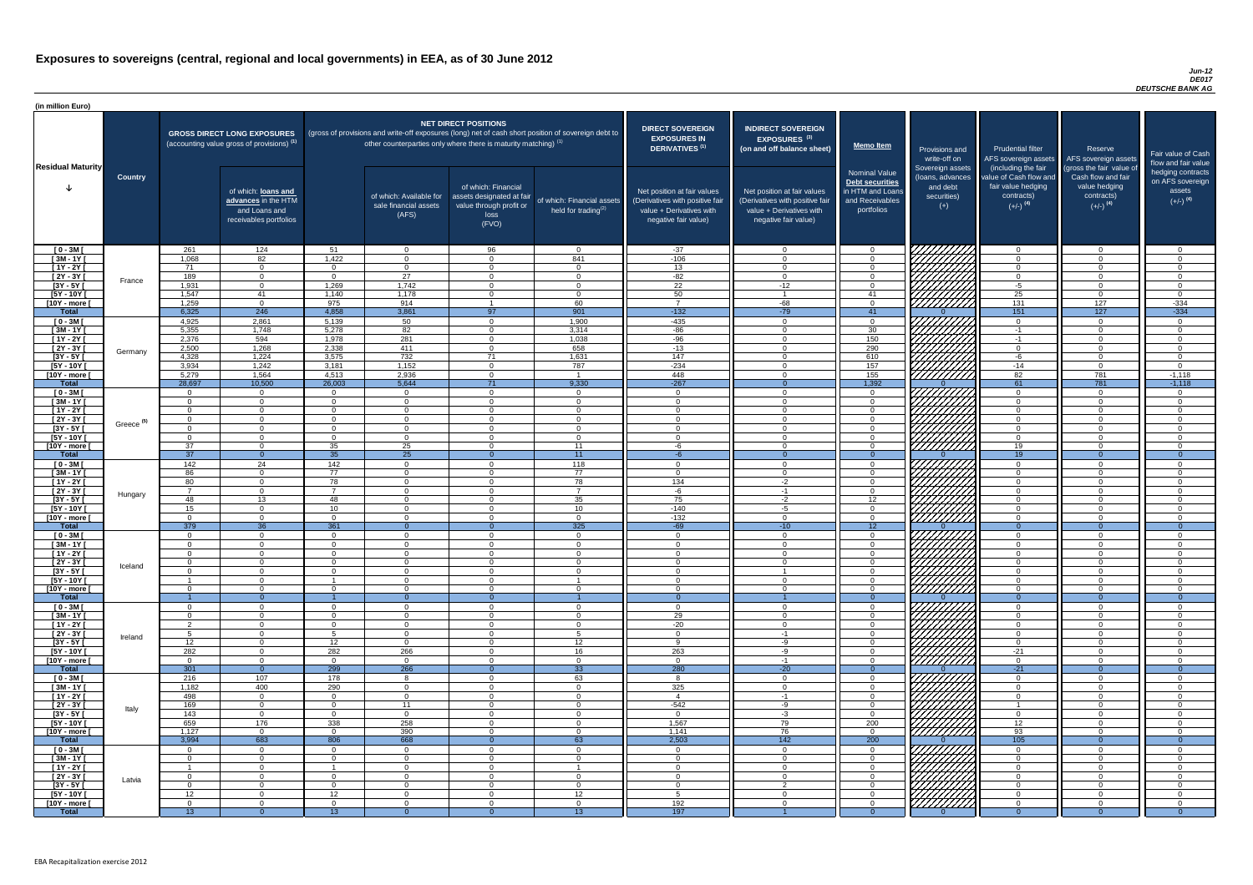### *Jun-12 DE017 DEUTSCHE BANK AG*

| <b>NET DIRECT POSITIONS</b><br><b>DIRECT SOVEREIGN</b><br><b>INDIRECT SOVEREIGN</b><br><b>GROSS DIRECT LONG EXPOSURES</b><br>(gross of provisions and write-off exposures (long) net of cash short position of sovereign debt to<br><b>EXPOSURES IN</b><br><b>EXPOSURES<sup>(3)</sup></b><br>other counterparties only where there is maturity matching) <sup>(1)</sup><br>(accounting value gross of provisions) <sup>(1)</sup><br><u>  Memo Item</u><br>DERIVATIVES <sup>(1)</sup><br>(on and off balance sheet)<br><b>Prudential filter</b><br>Reserve<br>Provisions and<br>Fair value of Cash<br>AFS sovereign assets AFS sovereign assets<br>write-off on<br>flow and fair value<br><b>Residual Maturity</b><br>(including the fair<br>(gross the fair value of<br>Sovereign assets<br><b>Nominal Value</b><br>hedging contracts<br>Cash flow and fair<br>value of Cash flow and<br><b>Country</b><br>(Ioans, advances<br>on AFS sovereign<br>Debt securities<br>fair value hedging<br>value hedging<br>of which: Financial<br>and debt<br>Net position at fair values<br>in HTM and Loans<br>of which: loans and<br>Net position at fair values<br>assets<br>contracts)<br>of which: Available for<br>securities)<br>contracts)<br>assets designated at fair<br>$(+/-)$ <sup>(4)</sup><br>of which: Financial assets<br>advances in the HTM<br>(Derivatives with positive fair<br>(Derivatives with positive fair<br>and Receivables<br>$(+/-)$ <sup>(4)</sup><br>$(+/-)$ <sup>(4)</sup><br>value through profit or<br>sale financial assets<br>$(+)$<br>and Loans and<br>value + Derivatives with<br>value + Derivatives with<br>portfolios<br>held for trading $^{(2)}$<br>(AFS)<br>loss<br>receivables portfolios<br>negative fair value)<br>negative fair value)<br>(FVO)<br>261<br>124<br>96<br>$-37$<br>$[0 - 3M]$<br>51<br>$\overline{0}$<br>$\Omega$<br>$\Omega$<br>$\overline{0}$<br>$\Omega$<br>- റ<br>$\cap$<br>1,068<br>82<br>1,422<br>841<br>$-106$<br>$[3M - 1Y]$<br>$\Omega$<br>$\Omega$<br>$\Omega$<br>$\Omega$<br>$\Omega$<br>$\Omega$<br>$[1Y - 2Y]$<br>71<br>13<br>$\Omega$<br>$\Omega$<br>$\overline{0}$<br>$\Omega$<br>$\Omega$<br>$\Omega$<br>$\Omega$<br>$\cap$<br>189<br>$\overline{27}$<br>$-82$<br>$[2Y - 3Y]$<br>$\Omega$<br>$\Omega$<br>$\overline{0}$<br>$\overline{0}$<br>$\cap$<br>$\cap$<br>$\Omega$<br>$\Omega$<br>$\Omega$<br>France<br>1,742<br>$\overline{22}$<br>$[3Y - 5Y]$<br>1,931<br>1,269<br>$-12$<br>$-5$<br>$\overline{0}$<br>$\overline{0}$<br>$\Omega$<br>$\Omega$<br>$\cap$<br>$\Omega$<br>1,178<br>25<br>$I5Y - 10Y$<br>1,547<br>50<br>41<br>1,140<br>$\overline{0}$<br>41<br>$\Omega$<br>$\Omega$<br>$\cap$<br>VIIIIIII<br>914<br>$\overline{0}$<br>60<br>$\overline{z}$<br>$-68$<br>131<br>127<br>$-334$<br>1,259<br>975<br>[10Y - more [<br>$\overline{0}$<br>151<br>127<br>$-334$<br>6,325<br>246<br>3,861<br>901<br>$-79$<br><b>Total</b><br>4,858<br>$-132$<br>41<br>97<br>50<br>4,925<br>2,861<br>5,139<br>1,900<br>$-435$<br>$[0 - 3M]$<br>$\overline{0}$<br>$\Omega$<br>$\Omega$<br>$\overline{0}$<br>$\Omega$<br>- റ<br>82<br>5,355<br>3,314<br>$-86$<br>30<br>$[3M-1Y]$<br>1,748<br>5,278<br>$-1$<br>$\Omega$<br>$\Omega$<br>$\cap$<br>594<br>281<br>1,038<br>150<br>2,376<br>1,978<br>$-96$<br>$[1Y - 2Y]$<br>$-1$<br>$\cap$<br>$\Omega$<br>$\Omega$<br>1,268<br>658<br>290<br>2,500<br>2,338<br>411<br>$-13$<br>$\overline{0}$<br>$[2Y - 3Y]$<br>$\Omega$<br>$\Omega$<br>$\Omega$<br>Germany<br>1,224<br>732<br>1,631<br>$\frac{147}{147}$<br>$[3Y - 5Y]$<br>4,328<br>3,575<br>$-6$<br>71<br>610<br>$\Omega$<br>1,242<br>1,152<br>787<br>$-234$<br>$[5Y - 10Y]$<br>3,934<br>3,181<br>157<br>$-14$<br>$\cap$<br>$\Omega$<br>7777777777<br>1,564<br>2,936<br>82<br>781<br>5,279<br>4,513<br>448<br>155<br>$-1,118$<br>[10Y - more [<br>$\Omega$<br>61<br>28,697<br>10,500<br>5,644<br>9,330<br>$-267$<br>1,392<br>781<br><b>Total</b><br>26,003<br>71<br>$-1,118$<br>$\overline{0}$<br>$[0 - 3M]$<br>$\overline{0}$<br>$\overline{0}$<br>$\Omega$<br>$\cap$<br><b>O</b><br>$\Omega$<br>$\cap$<br>$\Omega$<br>$\sqrt{ }$<br>$[3M-1Y]$<br>$\overline{0}$<br>$\overline{0}$<br>$\Omega$<br>$\Omega$<br>$\overline{0}$<br>$\Omega$<br>$\Omega$<br>$\Omega$<br>$\cap$<br>$\cap$<br>$\Omega$<br>$[1Y - 2Y]$<br>$\overline{0}$<br>$\Omega$<br>$\overline{0}$<br>$\Omega$<br>- 0<br>$\overline{0}$<br>$\Omega$<br>$\cap$<br>$\cap$<br>$\Omega$<br>$\Omega$<br>$\cap$<br><i>ШША</i><br>$[2Y - 3Y]$<br>$\Omega$<br>$\Omega$<br>$\Omega$<br>$\Omega$<br>$\cap$<br>$\overline{0}$<br>$\Omega$<br>- റ<br>$\Omega$<br>$\Omega$<br>$\Omega$<br>$\sqrt{ }$<br>Greece <sup>(5)</sup><br>$[3Y - 5Y]$<br>UMMA<br>[5Y - 10Y [<br>$\Omega$<br>$\Omega$<br>$\overline{0}$<br>$\overline{0}$<br>$\Omega$<br>- 0<br>$\Omega$<br>$\Omega$<br>- റ<br>$\cap$<br>$\cap$<br>7777777777<br>35<br>25<br>[10Y - more ]<br>37<br>11<br>19<br>$\Omega$<br>$\Omega$<br>$\Omega$<br>$\Omega$<br>ി<br>-6<br>$\overline{37}$<br>35<br>$\overline{25}$<br>11<br>19<br><b>Total</b><br>$\Omega$<br>-6<br>142<br>24<br>142<br>118<br>$[0 - 3M]$<br>$\overline{0}$<br>$\Omega$<br>- 0<br>$\overline{0}$<br>$\Omega$<br>$\cap$<br>$\Omega$<br>ി<br>77<br>86<br>77<br>$[3M - 1Y]$<br>$\overline{0}$<br>$\Omega$<br>$\Omega$<br>$\overline{0}$<br>$\Omega$<br>$\Omega$<br>$\cap$<br>$\Omega$<br>$\cap$<br>$[1Y - 2Y]$<br>78<br>80<br>78<br>134<br>$\overline{0}$<br>$-2$<br>$\overline{0}$<br>$\Omega$<br>$\Omega$<br>$\Omega$<br>$\Omega$<br>- 0<br>$[2Y - 3Y]$<br>$\overline{0}$<br>$\overline{7}$<br>$\overline{7}$<br>$\overline{7}$<br>$\Omega$<br>$-1$<br>$\overline{0}$<br>$\Omega$<br>$\Omega$<br>-6<br>$\Omega$<br>$\cap$<br>Hungary<br>$[3Y - 5Y]$<br>35<br>75<br>12 <sup>°</sup><br>48<br>13<br>48<br>$-2$<br>$\Omega$<br>$\Omega$<br>$\Omega$<br>$\Omega$<br>$\cap$<br>HHHH K<br>$[5Y - 10Y]$<br>$-140$<br>$\overline{0}$<br>10<br>10<br>15<br>$\Omega$<br>-5<br>$\Omega$<br>$\Omega$<br>$\Omega$<br>$\Omega$<br>$\Omega$<br>$\overline{0}$<br>$\overline{0}$<br>$-132$<br>[10Y - more [<br>$\Omega$<br>$\Omega$<br>$\Omega$<br>$\cap$<br>$\Omega$<br>$\Omega$<br>$\cap$<br>$\Omega$<br>$\Omega$<br>36<br>325<br><b>Total</b><br>379<br>361<br>$-69$<br>12 <sup>7</sup><br>$-10$<br>$\Omega$<br>$\Omega$<br>$\Omega$<br>$\Omega$<br>$\Omega$<br>$[0 - 3M]$<br>$\overline{0}$<br>$\overline{0}$<br>- 0<br>. വ<br>$\Omega$<br>$\overline{0}$<br>$\Omega$<br>$\cap$<br>$\Omega$<br>$\Omega$<br>$\Omega$<br>$\cap$<br>$[3M - 1Y]$<br>$\overline{0}$<br>$\Omega$<br>$\Omega$<br>$\cap$<br>$\Omega$<br>$\Omega$<br>$\Omega$<br>$\Omega$<br>$\Omega$<br>$\Omega$<br>$\Omega$<br>$[1Y - 2Y]$<br>$\Omega$<br>$\Omega$<br>$\Omega$<br>$\Omega$<br>- 0<br>$\Omega$<br>$\Omega$<br>$\Omega$<br>$\cap$<br>$[2Y - 3Y]$<br>$\Omega$<br>$\Omega$<br>$\overline{0}$<br>- 0<br>$\Omega$<br>$\Omega$<br>$\Omega$<br>$\cap$<br>Iceland<br>$[3Y - 5Y]$<br>$\Omega$<br>$\Omega$<br>$\Omega$<br>$\Omega$<br>$\Omega$<br>റ<br>[5Y - 10Y [<br>$\Omega$<br>$\Omega$<br>O<br>$\Omega$<br>റ<br>[10Y - more [<br>$\Omega$<br>$\Omega$<br>$\Omega$<br>$\overline{0}$<br>- 0<br>$\Omega$<br>$\Omega$<br><b>Total</b><br>$\Omega$<br>$\Omega$<br>$\Omega$<br>$\Omega$<br>$\Omega$<br>$\Omega$<br>- 0<br>$[0 - 3M]$<br>$\Omega$<br>$\overline{0}$<br>$\Omega$<br>- വ<br>$\Omega$<br>$\Omega$<br>$\Omega$<br>$\cap$<br>$\cap$<br>$\sqrt{3M-1Y}$<br>29<br>$\overline{0}$<br>$\overline{0}$<br>$\Omega$<br>$\Omega$<br>$\Omega$<br>$\cap$<br>$\Omega$<br>$\Omega$<br>$-20$<br>$[1Y - 2Y]$<br>$\overline{0}$<br>$\overline{0}$<br>$\Omega$<br>ົດ<br>$\Omega$<br>$\Omega$<br>$\Omega$<br>$\cap$<br>$\Omega$<br>$\Omega$<br>$\cap$<br>VIIIIIIIII<br>$\overline{0}$<br>$[2Y - 3Y]$<br>$\overline{0}$<br>5<br>$\Omega$<br>$\Omega$<br>$\Omega$<br>$\Omega$<br>$\Omega$<br>$-1$<br>$\Omega$<br>Ireland<br>$[3Y - 5Y]$<br>12<br>12<br>$\overline{0}$<br>12<br>$\overline{0}$<br><b>q</b><br>-9<br>$\overline{0}$<br>$\Omega$<br>$\overline{0}$<br>$\Omega$<br>$\Omega$<br>7777777777<br>[5Y - 10Y [<br>282<br>282<br>266<br>263<br>$-21$<br>16<br>$\overline{0}$<br>$\Omega$<br>-9<br>$\Omega$<br>$\Omega$<br>$\Omega$<br>,,,,,,,,,,,<br>[10Y - more ]<br>$\overline{0}$<br>$\Omega$<br>$\overline{0}$<br>$-1$<br>$\overline{0}$<br>$\Omega$<br>$\cap$<br>$\Omega$<br>- 0<br>$\Omega$<br>$\Omega$<br>$\Omega$<br>280<br>301<br>299<br>266<br>33<br>$-20$<br>$-21$<br><b>Total</b><br>$\overline{0}$<br>7777<br>$[0 - 3M]$<br>107<br>178<br>216<br>63<br>-8<br>$\Omega$<br>- 8<br>$\overline{0}$<br>$\cap$<br>$\cap$<br>$\Omega$<br>$\Omega$<br>400<br>290<br>325<br>$[3M - 1Y]$<br>1,182<br>$\Omega$<br>$\Omega$<br>$\Omega$<br>$\cap$<br>$\overline{0}$<br>$\Omega$<br>$\cap$<br>$\Omega$<br>$[1Y - 2Y]$<br>498<br>$\overline{0}$<br>$\Omega$<br>$\overline{0}$<br>$\Omega$<br>$\Omega$<br>$\Omega$<br>$\overline{4}$<br>$-1$<br>$\Omega$<br>$\Omega$<br>- 0<br>$[2Y - 3Y]$<br>169<br>11<br>$-542$<br>$\overline{0}$<br>$\Omega$<br>$\Omega$<br>-9<br>$\Omega$<br>$\cap$<br>$\Omega$<br>- 0<br>$\overline{1}$<br>Italy<br>$[3Y - 5Y]$<br>143<br>$\overline{0}$<br>$\Omega$<br>$\Omega$<br>$\Omega$<br>$-3$<br>$\Omega$<br>$\Omega$<br>$\cap$<br>$\Omega$<br>$\Omega$<br>$\cap$<br>$[5Y - 10Y]$<br>176<br>338<br>258<br>1,567<br>79<br>200<br>659<br>12 <sup>7</sup><br>$\Omega$<br>$\Omega$<br>$\Omega$<br>- റ<br>390<br>76<br>93<br>[10Y - more [<br>1,127<br>$\overline{0}$<br>1,141<br>$\cap$<br>$\Omega$<br>$\Omega$<br>$\Omega$<br>$\Omega$<br>$\cap$<br>683<br>668<br>2,503<br>$\overline{142}$<br>200<br><b>Total</b><br>3,994<br>806<br>105<br>63<br>$\Omega$<br>VIIIIIIII<br>$[0 - 3M]$<br>$\Omega$<br>$\Omega$<br>$\Omega$<br>$\cap$<br>$\Omega$<br>$\Omega$<br>$\Omega$<br>William<br>$[3M - 1Y]$<br>$\Omega$<br>$\overline{0}$<br>$\Omega$<br>$\Omega$<br>$\Omega$<br>$\Omega$<br>$\overline{0}$<br>$\Omega$<br>$\Omega$<br>$\cap$<br>$[1Y - 2Y]$<br>$\Omega$<br>$\Omega$<br>$\Omega$<br>- 0<br>$\Omega$<br>$\Omega$<br>$\Omega$<br>$\Omega$<br>$[2Y - 3Y]$<br>$\Omega$<br>$\Omega$<br>$\Omega$<br>$\Omega$<br>$\cap$<br>- റ<br>$\Omega$<br>$\Omega$<br>$\Omega$<br>$\Omega$<br>Latvia<br>$[3Y - 5Y]$<br>$\Omega$<br>$\Omega$<br>$\Omega$<br>$\Omega$<br>$\Omega$<br>$\cap$<br>$\Omega$<br>$\cap$<br>$\Omega$<br>$[5Y - 10Y]$<br>12<br>12 <sup>2</sup><br>12<br>$\Omega$<br>$\Omega$<br>$\Omega$<br>$\Omega$<br>$\cap$<br>$\Omega$<br>- Б<br>192<br>[10Y - more [<br>$\Omega$<br>$\Omega$<br>$\Omega$<br>$\Omega$<br>$\Omega$<br>$\Omega$<br>$\Omega$<br>$\Omega$<br>$\Omega$<br>13<br>197<br><b>Total</b><br>13 <sup>°</sup><br>13 <sup>°</sup><br>$\Omega$<br>$\Omega$<br>$\Omega$<br>$\Omega$<br>$\Omega$ | (in million Euro) |  |  |  |  |  |  |  |
|----------------------------------------------------------------------------------------------------------------------------------------------------------------------------------------------------------------------------------------------------------------------------------------------------------------------------------------------------------------------------------------------------------------------------------------------------------------------------------------------------------------------------------------------------------------------------------------------------------------------------------------------------------------------------------------------------------------------------------------------------------------------------------------------------------------------------------------------------------------------------------------------------------------------------------------------------------------------------------------------------------------------------------------------------------------------------------------------------------------------------------------------------------------------------------------------------------------------------------------------------------------------------------------------------------------------------------------------------------------------------------------------------------------------------------------------------------------------------------------------------------------------------------------------------------------------------------------------------------------------------------------------------------------------------------------------------------------------------------------------------------------------------------------------------------------------------------------------------------------------------------------------------------------------------------------------------------------------------------------------------------------------------------------------------------------------------------------------------------------------------------------------------------------------------------------------------------------------------------------------------------------------------------------------------------------------------------------------------------------------------------------------------------------------------------------------------------------------------------------------------------------------------------------------------------------------------------------------------------------------------------------------------------------------------------------------------------------------------------------------------------------------------------------------------------------------------------------------------------------------------------------------------------------------------------------------------------------------------------------------------------------------------------------------------------------------------------------------------------------------------------------------------------------------------------------------------------------------------------------------------------------------------------------------------------------------------------------------------------------------------------------------------------------------------------------------------------------------------------------------------------------------------------------------------------------------------------------------------------------------------------------------------------------------------------------------------------------------------------------------------------------------------------------------------------------------------------------------------------------------------------------------------------------------------------------------------------------------------------------------------------------------------------------------------------------------------------------------------------------------------------------------------------------------------------------------------------------------------------------------------------------------------------------------------------------------------------------------------------------------------------------------------------------------------------------------------------------------------------------------------------------------------------------------------------------------------------------------------------------------------------------------------------------------------------------------------------------------------------------------------------------------------------------------------------------------------------------------------------------------------------------------------------------------------------------------------------------------------------------------------------------------------------------------------------------------------------------------------------------------------------------------------------------------------------------------------------------------------------------------------------------------------------------------------------------------------------------------------------------------------------------------------------------------------------------------------------------------------------------------------------------------------------------------------------------------------------------------------------------------------------------------------------------------------------------------------------------------------------------------------------------------------------------------------------------------------------------------------------------------------------------------------------------------------------------------------------------------------------------------------------------------------------------------------------------------------------------------------------------------------------------------------------------------------------------------------------------------------------------------------------------------------------------------------------------------------------------------------------------------------------------------------------------------------------------------------------------------------------------------------------------------------------------------------------------------------------------------------------------------------------------------------------------------------------------------------------------------------------------------------------------------------------------------------------------------------------------------------------------------------------------------------------------------------------------------------------------------------------------------------------------------------------------------------------------------------------------------------------------------------------------------------------------------------------------------------------------------------------------------------------------------------------------------------------------------------------------------------------------------------------------------------------------------------------------------------------------------------------------------------------------------------------------------------------------------------------------------------------------------------------------------------------------------------------------------------------------------------------------------------------------------------------------------------------------------------------------------------------------------------------------------------------------------------------------------------------------------------------------------------------------------------------------------------------------------------------------------------------------------------------------------------------------------------------------------------------------------------------------------------------------------------------------------------------------------------------------------------------------------------------------------------------------------------------------------------------------------------------------------------------------------------------------------------------------------------------------------------------------------------------------------------------------------------------------------------------------------------------------------------------------------------------------------------------------------------------------------------------------------------------------------------------------------------------------------------------------------------------------------------------------------------------------------------------------------------------------------------------------------------------------------------------------------------------------------------------------------------------------------------------------------------------------------------------------------------------------------------------------------------------------------------------------------------------------------------------------------------------------------------------------------------------------------------------------------------------------------------------------------------------------------------------------------------------------------------------------------------------------------------------------------------------------------------------------------------------------------------------------------------------------------------------------------------------------------------------------------------------------------------------------------------------------------------------------------------------------------------------------------------------------------------------------------------------------------------------------------------------------------------------------------------------------------------------------------------------------------------------------------------------------------------------------------------------------------------------------------------------------------------------------------------------------------------------------------------------------------------------------|-------------------|--|--|--|--|--|--|--|
|                                                                                                                                                                                                                                                                                                                                                                                                                                                                                                                                                                                                                                                                                                                                                                                                                                                                                                                                                                                                                                                                                                                                                                                                                                                                                                                                                                                                                                                                                                                                                                                                                                                                                                                                                                                                                                                                                                                                                                                                                                                                                                                                                                                                                                                                                                                                                                                                                                                                                                                                                                                                                                                                                                                                                                                                                                                                                                                                                                                                                                                                                                                                                                                                                                                                                                                                                                                                                                                                                                                                                                                                                                                                                                                                                                                                                                                                                                                                                                                                                                                                                                                                                                                                                                                                                                                                                                                                                                                                                                                                                                                                                                                                                                                                                                                                                                                                                                                                                                                                                                                                                                                                                                                                                                                                                                                                                                                                                                                                                                                                                                                                                                                                                                                                                                                                                                                                                                                                                                                                                                                                                                                                                                                                                                                                                                                                                                                                                                                                                                                                                                                                                                                                                                                                                                                                                                                                                                                                                                                                                                                                                                                                                                                                                                                                                                                                                                                                                                                                                                                                                                                                                                                                                                                                                                                                                                                                                                                                                                                                                                                                                                                                                                                                                                                                                                                                                                                                                                                                                                                                                                                                                                                                                                                                                                                                                                                                                                                                                                                                                                                                                                                                                                                                                                                                                                                                                                                                                                                                                                                                                                                                                                                                                                                                                                                                                                                                                                                                                                                                                                                                                                                                                                                                                                                                                                                                                                                                                                                                                                                                                                                                                |                   |  |  |  |  |  |  |  |
|                                                                                                                                                                                                                                                                                                                                                                                                                                                                                                                                                                                                                                                                                                                                                                                                                                                                                                                                                                                                                                                                                                                                                                                                                                                                                                                                                                                                                                                                                                                                                                                                                                                                                                                                                                                                                                                                                                                                                                                                                                                                                                                                                                                                                                                                                                                                                                                                                                                                                                                                                                                                                                                                                                                                                                                                                                                                                                                                                                                                                                                                                                                                                                                                                                                                                                                                                                                                                                                                                                                                                                                                                                                                                                                                                                                                                                                                                                                                                                                                                                                                                                                                                                                                                                                                                                                                                                                                                                                                                                                                                                                                                                                                                                                                                                                                                                                                                                                                                                                                                                                                                                                                                                                                                                                                                                                                                                                                                                                                                                                                                                                                                                                                                                                                                                                                                                                                                                                                                                                                                                                                                                                                                                                                                                                                                                                                                                                                                                                                                                                                                                                                                                                                                                                                                                                                                                                                                                                                                                                                                                                                                                                                                                                                                                                                                                                                                                                                                                                                                                                                                                                                                                                                                                                                                                                                                                                                                                                                                                                                                                                                                                                                                                                                                                                                                                                                                                                                                                                                                                                                                                                                                                                                                                                                                                                                                                                                                                                                                                                                                                                                                                                                                                                                                                                                                                                                                                                                                                                                                                                                                                                                                                                                                                                                                                                                                                                                                                                                                                                                                                                                                                                                                                                                                                                                                                                                                                                                                                                                                                                                                                                                                |                   |  |  |  |  |  |  |  |
|                                                                                                                                                                                                                                                                                                                                                                                                                                                                                                                                                                                                                                                                                                                                                                                                                                                                                                                                                                                                                                                                                                                                                                                                                                                                                                                                                                                                                                                                                                                                                                                                                                                                                                                                                                                                                                                                                                                                                                                                                                                                                                                                                                                                                                                                                                                                                                                                                                                                                                                                                                                                                                                                                                                                                                                                                                                                                                                                                                                                                                                                                                                                                                                                                                                                                                                                                                                                                                                                                                                                                                                                                                                                                                                                                                                                                                                                                                                                                                                                                                                                                                                                                                                                                                                                                                                                                                                                                                                                                                                                                                                                                                                                                                                                                                                                                                                                                                                                                                                                                                                                                                                                                                                                                                                                                                                                                                                                                                                                                                                                                                                                                                                                                                                                                                                                                                                                                                                                                                                                                                                                                                                                                                                                                                                                                                                                                                                                                                                                                                                                                                                                                                                                                                                                                                                                                                                                                                                                                                                                                                                                                                                                                                                                                                                                                                                                                                                                                                                                                                                                                                                                                                                                                                                                                                                                                                                                                                                                                                                                                                                                                                                                                                                                                                                                                                                                                                                                                                                                                                                                                                                                                                                                                                                                                                                                                                                                                                                                                                                                                                                                                                                                                                                                                                                                                                                                                                                                                                                                                                                                                                                                                                                                                                                                                                                                                                                                                                                                                                                                                                                                                                                                                                                                                                                                                                                                                                                                                                                                                                                                                                                                                |                   |  |  |  |  |  |  |  |
|                                                                                                                                                                                                                                                                                                                                                                                                                                                                                                                                                                                                                                                                                                                                                                                                                                                                                                                                                                                                                                                                                                                                                                                                                                                                                                                                                                                                                                                                                                                                                                                                                                                                                                                                                                                                                                                                                                                                                                                                                                                                                                                                                                                                                                                                                                                                                                                                                                                                                                                                                                                                                                                                                                                                                                                                                                                                                                                                                                                                                                                                                                                                                                                                                                                                                                                                                                                                                                                                                                                                                                                                                                                                                                                                                                                                                                                                                                                                                                                                                                                                                                                                                                                                                                                                                                                                                                                                                                                                                                                                                                                                                                                                                                                                                                                                                                                                                                                                                                                                                                                                                                                                                                                                                                                                                                                                                                                                                                                                                                                                                                                                                                                                                                                                                                                                                                                                                                                                                                                                                                                                                                                                                                                                                                                                                                                                                                                                                                                                                                                                                                                                                                                                                                                                                                                                                                                                                                                                                                                                                                                                                                                                                                                                                                                                                                                                                                                                                                                                                                                                                                                                                                                                                                                                                                                                                                                                                                                                                                                                                                                                                                                                                                                                                                                                                                                                                                                                                                                                                                                                                                                                                                                                                                                                                                                                                                                                                                                                                                                                                                                                                                                                                                                                                                                                                                                                                                                                                                                                                                                                                                                                                                                                                                                                                                                                                                                                                                                                                                                                                                                                                                                                                                                                                                                                                                                                                                                                                                                                                                                                                                                                                |                   |  |  |  |  |  |  |  |
|                                                                                                                                                                                                                                                                                                                                                                                                                                                                                                                                                                                                                                                                                                                                                                                                                                                                                                                                                                                                                                                                                                                                                                                                                                                                                                                                                                                                                                                                                                                                                                                                                                                                                                                                                                                                                                                                                                                                                                                                                                                                                                                                                                                                                                                                                                                                                                                                                                                                                                                                                                                                                                                                                                                                                                                                                                                                                                                                                                                                                                                                                                                                                                                                                                                                                                                                                                                                                                                                                                                                                                                                                                                                                                                                                                                                                                                                                                                                                                                                                                                                                                                                                                                                                                                                                                                                                                                                                                                                                                                                                                                                                                                                                                                                                                                                                                                                                                                                                                                                                                                                                                                                                                                                                                                                                                                                                                                                                                                                                                                                                                                                                                                                                                                                                                                                                                                                                                                                                                                                                                                                                                                                                                                                                                                                                                                                                                                                                                                                                                                                                                                                                                                                                                                                                                                                                                                                                                                                                                                                                                                                                                                                                                                                                                                                                                                                                                                                                                                                                                                                                                                                                                                                                                                                                                                                                                                                                                                                                                                                                                                                                                                                                                                                                                                                                                                                                                                                                                                                                                                                                                                                                                                                                                                                                                                                                                                                                                                                                                                                                                                                                                                                                                                                                                                                                                                                                                                                                                                                                                                                                                                                                                                                                                                                                                                                                                                                                                                                                                                                                                                                                                                                                                                                                                                                                                                                                                                                                                                                                                                                                                                                                |                   |  |  |  |  |  |  |  |
|                                                                                                                                                                                                                                                                                                                                                                                                                                                                                                                                                                                                                                                                                                                                                                                                                                                                                                                                                                                                                                                                                                                                                                                                                                                                                                                                                                                                                                                                                                                                                                                                                                                                                                                                                                                                                                                                                                                                                                                                                                                                                                                                                                                                                                                                                                                                                                                                                                                                                                                                                                                                                                                                                                                                                                                                                                                                                                                                                                                                                                                                                                                                                                                                                                                                                                                                                                                                                                                                                                                                                                                                                                                                                                                                                                                                                                                                                                                                                                                                                                                                                                                                                                                                                                                                                                                                                                                                                                                                                                                                                                                                                                                                                                                                                                                                                                                                                                                                                                                                                                                                                                                                                                                                                                                                                                                                                                                                                                                                                                                                                                                                                                                                                                                                                                                                                                                                                                                                                                                                                                                                                                                                                                                                                                                                                                                                                                                                                                                                                                                                                                                                                                                                                                                                                                                                                                                                                                                                                                                                                                                                                                                                                                                                                                                                                                                                                                                                                                                                                                                                                                                                                                                                                                                                                                                                                                                                                                                                                                                                                                                                                                                                                                                                                                                                                                                                                                                                                                                                                                                                                                                                                                                                                                                                                                                                                                                                                                                                                                                                                                                                                                                                                                                                                                                                                                                                                                                                                                                                                                                                                                                                                                                                                                                                                                                                                                                                                                                                                                                                                                                                                                                                                                                                                                                                                                                                                                                                                                                                                                                                                                                                                |                   |  |  |  |  |  |  |  |
|                                                                                                                                                                                                                                                                                                                                                                                                                                                                                                                                                                                                                                                                                                                                                                                                                                                                                                                                                                                                                                                                                                                                                                                                                                                                                                                                                                                                                                                                                                                                                                                                                                                                                                                                                                                                                                                                                                                                                                                                                                                                                                                                                                                                                                                                                                                                                                                                                                                                                                                                                                                                                                                                                                                                                                                                                                                                                                                                                                                                                                                                                                                                                                                                                                                                                                                                                                                                                                                                                                                                                                                                                                                                                                                                                                                                                                                                                                                                                                                                                                                                                                                                                                                                                                                                                                                                                                                                                                                                                                                                                                                                                                                                                                                                                                                                                                                                                                                                                                                                                                                                                                                                                                                                                                                                                                                                                                                                                                                                                                                                                                                                                                                                                                                                                                                                                                                                                                                                                                                                                                                                                                                                                                                                                                                                                                                                                                                                                                                                                                                                                                                                                                                                                                                                                                                                                                                                                                                                                                                                                                                                                                                                                                                                                                                                                                                                                                                                                                                                                                                                                                                                                                                                                                                                                                                                                                                                                                                                                                                                                                                                                                                                                                                                                                                                                                                                                                                                                                                                                                                                                                                                                                                                                                                                                                                                                                                                                                                                                                                                                                                                                                                                                                                                                                                                                                                                                                                                                                                                                                                                                                                                                                                                                                                                                                                                                                                                                                                                                                                                                                                                                                                                                                                                                                                                                                                                                                                                                                                                                                                                                                                                                |                   |  |  |  |  |  |  |  |
|                                                                                                                                                                                                                                                                                                                                                                                                                                                                                                                                                                                                                                                                                                                                                                                                                                                                                                                                                                                                                                                                                                                                                                                                                                                                                                                                                                                                                                                                                                                                                                                                                                                                                                                                                                                                                                                                                                                                                                                                                                                                                                                                                                                                                                                                                                                                                                                                                                                                                                                                                                                                                                                                                                                                                                                                                                                                                                                                                                                                                                                                                                                                                                                                                                                                                                                                                                                                                                                                                                                                                                                                                                                                                                                                                                                                                                                                                                                                                                                                                                                                                                                                                                                                                                                                                                                                                                                                                                                                                                                                                                                                                                                                                                                                                                                                                                                                                                                                                                                                                                                                                                                                                                                                                                                                                                                                                                                                                                                                                                                                                                                                                                                                                                                                                                                                                                                                                                                                                                                                                                                                                                                                                                                                                                                                                                                                                                                                                                                                                                                                                                                                                                                                                                                                                                                                                                                                                                                                                                                                                                                                                                                                                                                                                                                                                                                                                                                                                                                                                                                                                                                                                                                                                                                                                                                                                                                                                                                                                                                                                                                                                                                                                                                                                                                                                                                                                                                                                                                                                                                                                                                                                                                                                                                                                                                                                                                                                                                                                                                                                                                                                                                                                                                                                                                                                                                                                                                                                                                                                                                                                                                                                                                                                                                                                                                                                                                                                                                                                                                                                                                                                                                                                                                                                                                                                                                                                                                                                                                                                                                                                                                                                |                   |  |  |  |  |  |  |  |
|                                                                                                                                                                                                                                                                                                                                                                                                                                                                                                                                                                                                                                                                                                                                                                                                                                                                                                                                                                                                                                                                                                                                                                                                                                                                                                                                                                                                                                                                                                                                                                                                                                                                                                                                                                                                                                                                                                                                                                                                                                                                                                                                                                                                                                                                                                                                                                                                                                                                                                                                                                                                                                                                                                                                                                                                                                                                                                                                                                                                                                                                                                                                                                                                                                                                                                                                                                                                                                                                                                                                                                                                                                                                                                                                                                                                                                                                                                                                                                                                                                                                                                                                                                                                                                                                                                                                                                                                                                                                                                                                                                                                                                                                                                                                                                                                                                                                                                                                                                                                                                                                                                                                                                                                                                                                                                                                                                                                                                                                                                                                                                                                                                                                                                                                                                                                                                                                                                                                                                                                                                                                                                                                                                                                                                                                                                                                                                                                                                                                                                                                                                                                                                                                                                                                                                                                                                                                                                                                                                                                                                                                                                                                                                                                                                                                                                                                                                                                                                                                                                                                                                                                                                                                                                                                                                                                                                                                                                                                                                                                                                                                                                                                                                                                                                                                                                                                                                                                                                                                                                                                                                                                                                                                                                                                                                                                                                                                                                                                                                                                                                                                                                                                                                                                                                                                                                                                                                                                                                                                                                                                                                                                                                                                                                                                                                                                                                                                                                                                                                                                                                                                                                                                                                                                                                                                                                                                                                                                                                                                                                                                                                                                                |                   |  |  |  |  |  |  |  |
|                                                                                                                                                                                                                                                                                                                                                                                                                                                                                                                                                                                                                                                                                                                                                                                                                                                                                                                                                                                                                                                                                                                                                                                                                                                                                                                                                                                                                                                                                                                                                                                                                                                                                                                                                                                                                                                                                                                                                                                                                                                                                                                                                                                                                                                                                                                                                                                                                                                                                                                                                                                                                                                                                                                                                                                                                                                                                                                                                                                                                                                                                                                                                                                                                                                                                                                                                                                                                                                                                                                                                                                                                                                                                                                                                                                                                                                                                                                                                                                                                                                                                                                                                                                                                                                                                                                                                                                                                                                                                                                                                                                                                                                                                                                                                                                                                                                                                                                                                                                                                                                                                                                                                                                                                                                                                                                                                                                                                                                                                                                                                                                                                                                                                                                                                                                                                                                                                                                                                                                                                                                                                                                                                                                                                                                                                                                                                                                                                                                                                                                                                                                                                                                                                                                                                                                                                                                                                                                                                                                                                                                                                                                                                                                                                                                                                                                                                                                                                                                                                                                                                                                                                                                                                                                                                                                                                                                                                                                                                                                                                                                                                                                                                                                                                                                                                                                                                                                                                                                                                                                                                                                                                                                                                                                                                                                                                                                                                                                                                                                                                                                                                                                                                                                                                                                                                                                                                                                                                                                                                                                                                                                                                                                                                                                                                                                                                                                                                                                                                                                                                                                                                                                                                                                                                                                                                                                                                                                                                                                                                                                                                                                                                |                   |  |  |  |  |  |  |  |
|                                                                                                                                                                                                                                                                                                                                                                                                                                                                                                                                                                                                                                                                                                                                                                                                                                                                                                                                                                                                                                                                                                                                                                                                                                                                                                                                                                                                                                                                                                                                                                                                                                                                                                                                                                                                                                                                                                                                                                                                                                                                                                                                                                                                                                                                                                                                                                                                                                                                                                                                                                                                                                                                                                                                                                                                                                                                                                                                                                                                                                                                                                                                                                                                                                                                                                                                                                                                                                                                                                                                                                                                                                                                                                                                                                                                                                                                                                                                                                                                                                                                                                                                                                                                                                                                                                                                                                                                                                                                                                                                                                                                                                                                                                                                                                                                                                                                                                                                                                                                                                                                                                                                                                                                                                                                                                                                                                                                                                                                                                                                                                                                                                                                                                                                                                                                                                                                                                                                                                                                                                                                                                                                                                                                                                                                                                                                                                                                                                                                                                                                                                                                                                                                                                                                                                                                                                                                                                                                                                                                                                                                                                                                                                                                                                                                                                                                                                                                                                                                                                                                                                                                                                                                                                                                                                                                                                                                                                                                                                                                                                                                                                                                                                                                                                                                                                                                                                                                                                                                                                                                                                                                                                                                                                                                                                                                                                                                                                                                                                                                                                                                                                                                                                                                                                                                                                                                                                                                                                                                                                                                                                                                                                                                                                                                                                                                                                                                                                                                                                                                                                                                                                                                                                                                                                                                                                                                                                                                                                                                                                                                                                                                                |                   |  |  |  |  |  |  |  |
|                                                                                                                                                                                                                                                                                                                                                                                                                                                                                                                                                                                                                                                                                                                                                                                                                                                                                                                                                                                                                                                                                                                                                                                                                                                                                                                                                                                                                                                                                                                                                                                                                                                                                                                                                                                                                                                                                                                                                                                                                                                                                                                                                                                                                                                                                                                                                                                                                                                                                                                                                                                                                                                                                                                                                                                                                                                                                                                                                                                                                                                                                                                                                                                                                                                                                                                                                                                                                                                                                                                                                                                                                                                                                                                                                                                                                                                                                                                                                                                                                                                                                                                                                                                                                                                                                                                                                                                                                                                                                                                                                                                                                                                                                                                                                                                                                                                                                                                                                                                                                                                                                                                                                                                                                                                                                                                                                                                                                                                                                                                                                                                                                                                                                                                                                                                                                                                                                                                                                                                                                                                                                                                                                                                                                                                                                                                                                                                                                                                                                                                                                                                                                                                                                                                                                                                                                                                                                                                                                                                                                                                                                                                                                                                                                                                                                                                                                                                                                                                                                                                                                                                                                                                                                                                                                                                                                                                                                                                                                                                                                                                                                                                                                                                                                                                                                                                                                                                                                                                                                                                                                                                                                                                                                                                                                                                                                                                                                                                                                                                                                                                                                                                                                                                                                                                                                                                                                                                                                                                                                                                                                                                                                                                                                                                                                                                                                                                                                                                                                                                                                                                                                                                                                                                                                                                                                                                                                                                                                                                                                                                                                                                                                |                   |  |  |  |  |  |  |  |
|                                                                                                                                                                                                                                                                                                                                                                                                                                                                                                                                                                                                                                                                                                                                                                                                                                                                                                                                                                                                                                                                                                                                                                                                                                                                                                                                                                                                                                                                                                                                                                                                                                                                                                                                                                                                                                                                                                                                                                                                                                                                                                                                                                                                                                                                                                                                                                                                                                                                                                                                                                                                                                                                                                                                                                                                                                                                                                                                                                                                                                                                                                                                                                                                                                                                                                                                                                                                                                                                                                                                                                                                                                                                                                                                                                                                                                                                                                                                                                                                                                                                                                                                                                                                                                                                                                                                                                                                                                                                                                                                                                                                                                                                                                                                                                                                                                                                                                                                                                                                                                                                                                                                                                                                                                                                                                                                                                                                                                                                                                                                                                                                                                                                                                                                                                                                                                                                                                                                                                                                                                                                                                                                                                                                                                                                                                                                                                                                                                                                                                                                                                                                                                                                                                                                                                                                                                                                                                                                                                                                                                                                                                                                                                                                                                                                                                                                                                                                                                                                                                                                                                                                                                                                                                                                                                                                                                                                                                                                                                                                                                                                                                                                                                                                                                                                                                                                                                                                                                                                                                                                                                                                                                                                                                                                                                                                                                                                                                                                                                                                                                                                                                                                                                                                                                                                                                                                                                                                                                                                                                                                                                                                                                                                                                                                                                                                                                                                                                                                                                                                                                                                                                                                                                                                                                                                                                                                                                                                                                                                                                                                                                                                                |                   |  |  |  |  |  |  |  |
|                                                                                                                                                                                                                                                                                                                                                                                                                                                                                                                                                                                                                                                                                                                                                                                                                                                                                                                                                                                                                                                                                                                                                                                                                                                                                                                                                                                                                                                                                                                                                                                                                                                                                                                                                                                                                                                                                                                                                                                                                                                                                                                                                                                                                                                                                                                                                                                                                                                                                                                                                                                                                                                                                                                                                                                                                                                                                                                                                                                                                                                                                                                                                                                                                                                                                                                                                                                                                                                                                                                                                                                                                                                                                                                                                                                                                                                                                                                                                                                                                                                                                                                                                                                                                                                                                                                                                                                                                                                                                                                                                                                                                                                                                                                                                                                                                                                                                                                                                                                                                                                                                                                                                                                                                                                                                                                                                                                                                                                                                                                                                                                                                                                                                                                                                                                                                                                                                                                                                                                                                                                                                                                                                                                                                                                                                                                                                                                                                                                                                                                                                                                                                                                                                                                                                                                                                                                                                                                                                                                                                                                                                                                                                                                                                                                                                                                                                                                                                                                                                                                                                                                                                                                                                                                                                                                                                                                                                                                                                                                                                                                                                                                                                                                                                                                                                                                                                                                                                                                                                                                                                                                                                                                                                                                                                                                                                                                                                                                                                                                                                                                                                                                                                                                                                                                                                                                                                                                                                                                                                                                                                                                                                                                                                                                                                                                                                                                                                                                                                                                                                                                                                                                                                                                                                                                                                                                                                                                                                                                                                                                                                                                                                |                   |  |  |  |  |  |  |  |
|                                                                                                                                                                                                                                                                                                                                                                                                                                                                                                                                                                                                                                                                                                                                                                                                                                                                                                                                                                                                                                                                                                                                                                                                                                                                                                                                                                                                                                                                                                                                                                                                                                                                                                                                                                                                                                                                                                                                                                                                                                                                                                                                                                                                                                                                                                                                                                                                                                                                                                                                                                                                                                                                                                                                                                                                                                                                                                                                                                                                                                                                                                                                                                                                                                                                                                                                                                                                                                                                                                                                                                                                                                                                                                                                                                                                                                                                                                                                                                                                                                                                                                                                                                                                                                                                                                                                                                                                                                                                                                                                                                                                                                                                                                                                                                                                                                                                                                                                                                                                                                                                                                                                                                                                                                                                                                                                                                                                                                                                                                                                                                                                                                                                                                                                                                                                                                                                                                                                                                                                                                                                                                                                                                                                                                                                                                                                                                                                                                                                                                                                                                                                                                                                                                                                                                                                                                                                                                                                                                                                                                                                                                                                                                                                                                                                                                                                                                                                                                                                                                                                                                                                                                                                                                                                                                                                                                                                                                                                                                                                                                                                                                                                                                                                                                                                                                                                                                                                                                                                                                                                                                                                                                                                                                                                                                                                                                                                                                                                                                                                                                                                                                                                                                                                                                                                                                                                                                                                                                                                                                                                                                                                                                                                                                                                                                                                                                                                                                                                                                                                                                                                                                                                                                                                                                                                                                                                                                                                                                                                                                                                                                                                                |                   |  |  |  |  |  |  |  |
|                                                                                                                                                                                                                                                                                                                                                                                                                                                                                                                                                                                                                                                                                                                                                                                                                                                                                                                                                                                                                                                                                                                                                                                                                                                                                                                                                                                                                                                                                                                                                                                                                                                                                                                                                                                                                                                                                                                                                                                                                                                                                                                                                                                                                                                                                                                                                                                                                                                                                                                                                                                                                                                                                                                                                                                                                                                                                                                                                                                                                                                                                                                                                                                                                                                                                                                                                                                                                                                                                                                                                                                                                                                                                                                                                                                                                                                                                                                                                                                                                                                                                                                                                                                                                                                                                                                                                                                                                                                                                                                                                                                                                                                                                                                                                                                                                                                                                                                                                                                                                                                                                                                                                                                                                                                                                                                                                                                                                                                                                                                                                                                                                                                                                                                                                                                                                                                                                                                                                                                                                                                                                                                                                                                                                                                                                                                                                                                                                                                                                                                                                                                                                                                                                                                                                                                                                                                                                                                                                                                                                                                                                                                                                                                                                                                                                                                                                                                                                                                                                                                                                                                                                                                                                                                                                                                                                                                                                                                                                                                                                                                                                                                                                                                                                                                                                                                                                                                                                                                                                                                                                                                                                                                                                                                                                                                                                                                                                                                                                                                                                                                                                                                                                                                                                                                                                                                                                                                                                                                                                                                                                                                                                                                                                                                                                                                                                                                                                                                                                                                                                                                                                                                                                                                                                                                                                                                                                                                                                                                                                                                                                                                                                |                   |  |  |  |  |  |  |  |
|                                                                                                                                                                                                                                                                                                                                                                                                                                                                                                                                                                                                                                                                                                                                                                                                                                                                                                                                                                                                                                                                                                                                                                                                                                                                                                                                                                                                                                                                                                                                                                                                                                                                                                                                                                                                                                                                                                                                                                                                                                                                                                                                                                                                                                                                                                                                                                                                                                                                                                                                                                                                                                                                                                                                                                                                                                                                                                                                                                                                                                                                                                                                                                                                                                                                                                                                                                                                                                                                                                                                                                                                                                                                                                                                                                                                                                                                                                                                                                                                                                                                                                                                                                                                                                                                                                                                                                                                                                                                                                                                                                                                                                                                                                                                                                                                                                                                                                                                                                                                                                                                                                                                                                                                                                                                                                                                                                                                                                                                                                                                                                                                                                                                                                                                                                                                                                                                                                                                                                                                                                                                                                                                                                                                                                                                                                                                                                                                                                                                                                                                                                                                                                                                                                                                                                                                                                                                                                                                                                                                                                                                                                                                                                                                                                                                                                                                                                                                                                                                                                                                                                                                                                                                                                                                                                                                                                                                                                                                                                                                                                                                                                                                                                                                                                                                                                                                                                                                                                                                                                                                                                                                                                                                                                                                                                                                                                                                                                                                                                                                                                                                                                                                                                                                                                                                                                                                                                                                                                                                                                                                                                                                                                                                                                                                                                                                                                                                                                                                                                                                                                                                                                                                                                                                                                                                                                                                                                                                                                                                                                                                                                                                                |                   |  |  |  |  |  |  |  |
|                                                                                                                                                                                                                                                                                                                                                                                                                                                                                                                                                                                                                                                                                                                                                                                                                                                                                                                                                                                                                                                                                                                                                                                                                                                                                                                                                                                                                                                                                                                                                                                                                                                                                                                                                                                                                                                                                                                                                                                                                                                                                                                                                                                                                                                                                                                                                                                                                                                                                                                                                                                                                                                                                                                                                                                                                                                                                                                                                                                                                                                                                                                                                                                                                                                                                                                                                                                                                                                                                                                                                                                                                                                                                                                                                                                                                                                                                                                                                                                                                                                                                                                                                                                                                                                                                                                                                                                                                                                                                                                                                                                                                                                                                                                                                                                                                                                                                                                                                                                                                                                                                                                                                                                                                                                                                                                                                                                                                                                                                                                                                                                                                                                                                                                                                                                                                                                                                                                                                                                                                                                                                                                                                                                                                                                                                                                                                                                                                                                                                                                                                                                                                                                                                                                                                                                                                                                                                                                                                                                                                                                                                                                                                                                                                                                                                                                                                                                                                                                                                                                                                                                                                                                                                                                                                                                                                                                                                                                                                                                                                                                                                                                                                                                                                                                                                                                                                                                                                                                                                                                                                                                                                                                                                                                                                                                                                                                                                                                                                                                                                                                                                                                                                                                                                                                                                                                                                                                                                                                                                                                                                                                                                                                                                                                                                                                                                                                                                                                                                                                                                                                                                                                                                                                                                                                                                                                                                                                                                                                                                                                                                                                                                |                   |  |  |  |  |  |  |  |
|                                                                                                                                                                                                                                                                                                                                                                                                                                                                                                                                                                                                                                                                                                                                                                                                                                                                                                                                                                                                                                                                                                                                                                                                                                                                                                                                                                                                                                                                                                                                                                                                                                                                                                                                                                                                                                                                                                                                                                                                                                                                                                                                                                                                                                                                                                                                                                                                                                                                                                                                                                                                                                                                                                                                                                                                                                                                                                                                                                                                                                                                                                                                                                                                                                                                                                                                                                                                                                                                                                                                                                                                                                                                                                                                                                                                                                                                                                                                                                                                                                                                                                                                                                                                                                                                                                                                                                                                                                                                                                                                                                                                                                                                                                                                                                                                                                                                                                                                                                                                                                                                                                                                                                                                                                                                                                                                                                                                                                                                                                                                                                                                                                                                                                                                                                                                                                                                                                                                                                                                                                                                                                                                                                                                                                                                                                                                                                                                                                                                                                                                                                                                                                                                                                                                                                                                                                                                                                                                                                                                                                                                                                                                                                                                                                                                                                                                                                                                                                                                                                                                                                                                                                                                                                                                                                                                                                                                                                                                                                                                                                                                                                                                                                                                                                                                                                                                                                                                                                                                                                                                                                                                                                                                                                                                                                                                                                                                                                                                                                                                                                                                                                                                                                                                                                                                                                                                                                                                                                                                                                                                                                                                                                                                                                                                                                                                                                                                                                                                                                                                                                                                                                                                                                                                                                                                                                                                                                                                                                                                                                                                                                                                                |                   |  |  |  |  |  |  |  |
|                                                                                                                                                                                                                                                                                                                                                                                                                                                                                                                                                                                                                                                                                                                                                                                                                                                                                                                                                                                                                                                                                                                                                                                                                                                                                                                                                                                                                                                                                                                                                                                                                                                                                                                                                                                                                                                                                                                                                                                                                                                                                                                                                                                                                                                                                                                                                                                                                                                                                                                                                                                                                                                                                                                                                                                                                                                                                                                                                                                                                                                                                                                                                                                                                                                                                                                                                                                                                                                                                                                                                                                                                                                                                                                                                                                                                                                                                                                                                                                                                                                                                                                                                                                                                                                                                                                                                                                                                                                                                                                                                                                                                                                                                                                                                                                                                                                                                                                                                                                                                                                                                                                                                                                                                                                                                                                                                                                                                                                                                                                                                                                                                                                                                                                                                                                                                                                                                                                                                                                                                                                                                                                                                                                                                                                                                                                                                                                                                                                                                                                                                                                                                                                                                                                                                                                                                                                                                                                                                                                                                                                                                                                                                                                                                                                                                                                                                                                                                                                                                                                                                                                                                                                                                                                                                                                                                                                                                                                                                                                                                                                                                                                                                                                                                                                                                                                                                                                                                                                                                                                                                                                                                                                                                                                                                                                                                                                                                                                                                                                                                                                                                                                                                                                                                                                                                                                                                                                                                                                                                                                                                                                                                                                                                                                                                                                                                                                                                                                                                                                                                                                                                                                                                                                                                                                                                                                                                                                                                                                                                                                                                                                                                |                   |  |  |  |  |  |  |  |
|                                                                                                                                                                                                                                                                                                                                                                                                                                                                                                                                                                                                                                                                                                                                                                                                                                                                                                                                                                                                                                                                                                                                                                                                                                                                                                                                                                                                                                                                                                                                                                                                                                                                                                                                                                                                                                                                                                                                                                                                                                                                                                                                                                                                                                                                                                                                                                                                                                                                                                                                                                                                                                                                                                                                                                                                                                                                                                                                                                                                                                                                                                                                                                                                                                                                                                                                                                                                                                                                                                                                                                                                                                                                                                                                                                                                                                                                                                                                                                                                                                                                                                                                                                                                                                                                                                                                                                                                                                                                                                                                                                                                                                                                                                                                                                                                                                                                                                                                                                                                                                                                                                                                                                                                                                                                                                                                                                                                                                                                                                                                                                                                                                                                                                                                                                                                                                                                                                                                                                                                                                                                                                                                                                                                                                                                                                                                                                                                                                                                                                                                                                                                                                                                                                                                                                                                                                                                                                                                                                                                                                                                                                                                                                                                                                                                                                                                                                                                                                                                                                                                                                                                                                                                                                                                                                                                                                                                                                                                                                                                                                                                                                                                                                                                                                                                                                                                                                                                                                                                                                                                                                                                                                                                                                                                                                                                                                                                                                                                                                                                                                                                                                                                                                                                                                                                                                                                                                                                                                                                                                                                                                                                                                                                                                                                                                                                                                                                                                                                                                                                                                                                                                                                                                                                                                                                                                                                                                                                                                                                                                                                                                                                                |                   |  |  |  |  |  |  |  |
|                                                                                                                                                                                                                                                                                                                                                                                                                                                                                                                                                                                                                                                                                                                                                                                                                                                                                                                                                                                                                                                                                                                                                                                                                                                                                                                                                                                                                                                                                                                                                                                                                                                                                                                                                                                                                                                                                                                                                                                                                                                                                                                                                                                                                                                                                                                                                                                                                                                                                                                                                                                                                                                                                                                                                                                                                                                                                                                                                                                                                                                                                                                                                                                                                                                                                                                                                                                                                                                                                                                                                                                                                                                                                                                                                                                                                                                                                                                                                                                                                                                                                                                                                                                                                                                                                                                                                                                                                                                                                                                                                                                                                                                                                                                                                                                                                                                                                                                                                                                                                                                                                                                                                                                                                                                                                                                                                                                                                                                                                                                                                                                                                                                                                                                                                                                                                                                                                                                                                                                                                                                                                                                                                                                                                                                                                                                                                                                                                                                                                                                                                                                                                                                                                                                                                                                                                                                                                                                                                                                                                                                                                                                                                                                                                                                                                                                                                                                                                                                                                                                                                                                                                                                                                                                                                                                                                                                                                                                                                                                                                                                                                                                                                                                                                                                                                                                                                                                                                                                                                                                                                                                                                                                                                                                                                                                                                                                                                                                                                                                                                                                                                                                                                                                                                                                                                                                                                                                                                                                                                                                                                                                                                                                                                                                                                                                                                                                                                                                                                                                                                                                                                                                                                                                                                                                                                                                                                                                                                                                                                                                                                                                                                |                   |  |  |  |  |  |  |  |
|                                                                                                                                                                                                                                                                                                                                                                                                                                                                                                                                                                                                                                                                                                                                                                                                                                                                                                                                                                                                                                                                                                                                                                                                                                                                                                                                                                                                                                                                                                                                                                                                                                                                                                                                                                                                                                                                                                                                                                                                                                                                                                                                                                                                                                                                                                                                                                                                                                                                                                                                                                                                                                                                                                                                                                                                                                                                                                                                                                                                                                                                                                                                                                                                                                                                                                                                                                                                                                                                                                                                                                                                                                                                                                                                                                                                                                                                                                                                                                                                                                                                                                                                                                                                                                                                                                                                                                                                                                                                                                                                                                                                                                                                                                                                                                                                                                                                                                                                                                                                                                                                                                                                                                                                                                                                                                                                                                                                                                                                                                                                                                                                                                                                                                                                                                                                                                                                                                                                                                                                                                                                                                                                                                                                                                                                                                                                                                                                                                                                                                                                                                                                                                                                                                                                                                                                                                                                                                                                                                                                                                                                                                                                                                                                                                                                                                                                                                                                                                                                                                                                                                                                                                                                                                                                                                                                                                                                                                                                                                                                                                                                                                                                                                                                                                                                                                                                                                                                                                                                                                                                                                                                                                                                                                                                                                                                                                                                                                                                                                                                                                                                                                                                                                                                                                                                                                                                                                                                                                                                                                                                                                                                                                                                                                                                                                                                                                                                                                                                                                                                                                                                                                                                                                                                                                                                                                                                                                                                                                                                                                                                                                                                                |                   |  |  |  |  |  |  |  |
|                                                                                                                                                                                                                                                                                                                                                                                                                                                                                                                                                                                                                                                                                                                                                                                                                                                                                                                                                                                                                                                                                                                                                                                                                                                                                                                                                                                                                                                                                                                                                                                                                                                                                                                                                                                                                                                                                                                                                                                                                                                                                                                                                                                                                                                                                                                                                                                                                                                                                                                                                                                                                                                                                                                                                                                                                                                                                                                                                                                                                                                                                                                                                                                                                                                                                                                                                                                                                                                                                                                                                                                                                                                                                                                                                                                                                                                                                                                                                                                                                                                                                                                                                                                                                                                                                                                                                                                                                                                                                                                                                                                                                                                                                                                                                                                                                                                                                                                                                                                                                                                                                                                                                                                                                                                                                                                                                                                                                                                                                                                                                                                                                                                                                                                                                                                                                                                                                                                                                                                                                                                                                                                                                                                                                                                                                                                                                                                                                                                                                                                                                                                                                                                                                                                                                                                                                                                                                                                                                                                                                                                                                                                                                                                                                                                                                                                                                                                                                                                                                                                                                                                                                                                                                                                                                                                                                                                                                                                                                                                                                                                                                                                                                                                                                                                                                                                                                                                                                                                                                                                                                                                                                                                                                                                                                                                                                                                                                                                                                                                                                                                                                                                                                                                                                                                                                                                                                                                                                                                                                                                                                                                                                                                                                                                                                                                                                                                                                                                                                                                                                                                                                                                                                                                                                                                                                                                                                                                                                                                                                                                                                                                                                |                   |  |  |  |  |  |  |  |
|                                                                                                                                                                                                                                                                                                                                                                                                                                                                                                                                                                                                                                                                                                                                                                                                                                                                                                                                                                                                                                                                                                                                                                                                                                                                                                                                                                                                                                                                                                                                                                                                                                                                                                                                                                                                                                                                                                                                                                                                                                                                                                                                                                                                                                                                                                                                                                                                                                                                                                                                                                                                                                                                                                                                                                                                                                                                                                                                                                                                                                                                                                                                                                                                                                                                                                                                                                                                                                                                                                                                                                                                                                                                                                                                                                                                                                                                                                                                                                                                                                                                                                                                                                                                                                                                                                                                                                                                                                                                                                                                                                                                                                                                                                                                                                                                                                                                                                                                                                                                                                                                                                                                                                                                                                                                                                                                                                                                                                                                                                                                                                                                                                                                                                                                                                                                                                                                                                                                                                                                                                                                                                                                                                                                                                                                                                                                                                                                                                                                                                                                                                                                                                                                                                                                                                                                                                                                                                                                                                                                                                                                                                                                                                                                                                                                                                                                                                                                                                                                                                                                                                                                                                                                                                                                                                                                                                                                                                                                                                                                                                                                                                                                                                                                                                                                                                                                                                                                                                                                                                                                                                                                                                                                                                                                                                                                                                                                                                                                                                                                                                                                                                                                                                                                                                                                                                                                                                                                                                                                                                                                                                                                                                                                                                                                                                                                                                                                                                                                                                                                                                                                                                                                                                                                                                                                                                                                                                                                                                                                                                                                                                                                                |                   |  |  |  |  |  |  |  |
|                                                                                                                                                                                                                                                                                                                                                                                                                                                                                                                                                                                                                                                                                                                                                                                                                                                                                                                                                                                                                                                                                                                                                                                                                                                                                                                                                                                                                                                                                                                                                                                                                                                                                                                                                                                                                                                                                                                                                                                                                                                                                                                                                                                                                                                                                                                                                                                                                                                                                                                                                                                                                                                                                                                                                                                                                                                                                                                                                                                                                                                                                                                                                                                                                                                                                                                                                                                                                                                                                                                                                                                                                                                                                                                                                                                                                                                                                                                                                                                                                                                                                                                                                                                                                                                                                                                                                                                                                                                                                                                                                                                                                                                                                                                                                                                                                                                                                                                                                                                                                                                                                                                                                                                                                                                                                                                                                                                                                                                                                                                                                                                                                                                                                                                                                                                                                                                                                                                                                                                                                                                                                                                                                                                                                                                                                                                                                                                                                                                                                                                                                                                                                                                                                                                                                                                                                                                                                                                                                                                                                                                                                                                                                                                                                                                                                                                                                                                                                                                                                                                                                                                                                                                                                                                                                                                                                                                                                                                                                                                                                                                                                                                                                                                                                                                                                                                                                                                                                                                                                                                                                                                                                                                                                                                                                                                                                                                                                                                                                                                                                                                                                                                                                                                                                                                                                                                                                                                                                                                                                                                                                                                                                                                                                                                                                                                                                                                                                                                                                                                                                                                                                                                                                                                                                                                                                                                                                                                                                                                                                                                                                                                                                |                   |  |  |  |  |  |  |  |
|                                                                                                                                                                                                                                                                                                                                                                                                                                                                                                                                                                                                                                                                                                                                                                                                                                                                                                                                                                                                                                                                                                                                                                                                                                                                                                                                                                                                                                                                                                                                                                                                                                                                                                                                                                                                                                                                                                                                                                                                                                                                                                                                                                                                                                                                                                                                                                                                                                                                                                                                                                                                                                                                                                                                                                                                                                                                                                                                                                                                                                                                                                                                                                                                                                                                                                                                                                                                                                                                                                                                                                                                                                                                                                                                                                                                                                                                                                                                                                                                                                                                                                                                                                                                                                                                                                                                                                                                                                                                                                                                                                                                                                                                                                                                                                                                                                                                                                                                                                                                                                                                                                                                                                                                                                                                                                                                                                                                                                                                                                                                                                                                                                                                                                                                                                                                                                                                                                                                                                                                                                                                                                                                                                                                                                                                                                                                                                                                                                                                                                                                                                                                                                                                                                                                                                                                                                                                                                                                                                                                                                                                                                                                                                                                                                                                                                                                                                                                                                                                                                                                                                                                                                                                                                                                                                                                                                                                                                                                                                                                                                                                                                                                                                                                                                                                                                                                                                                                                                                                                                                                                                                                                                                                                                                                                                                                                                                                                                                                                                                                                                                                                                                                                                                                                                                                                                                                                                                                                                                                                                                                                                                                                                                                                                                                                                                                                                                                                                                                                                                                                                                                                                                                                                                                                                                                                                                                                                                                                                                                                                                                                                                                                |                   |  |  |  |  |  |  |  |
|                                                                                                                                                                                                                                                                                                                                                                                                                                                                                                                                                                                                                                                                                                                                                                                                                                                                                                                                                                                                                                                                                                                                                                                                                                                                                                                                                                                                                                                                                                                                                                                                                                                                                                                                                                                                                                                                                                                                                                                                                                                                                                                                                                                                                                                                                                                                                                                                                                                                                                                                                                                                                                                                                                                                                                                                                                                                                                                                                                                                                                                                                                                                                                                                                                                                                                                                                                                                                                                                                                                                                                                                                                                                                                                                                                                                                                                                                                                                                                                                                                                                                                                                                                                                                                                                                                                                                                                                                                                                                                                                                                                                                                                                                                                                                                                                                                                                                                                                                                                                                                                                                                                                                                                                                                                                                                                                                                                                                                                                                                                                                                                                                                                                                                                                                                                                                                                                                                                                                                                                                                                                                                                                                                                                                                                                                                                                                                                                                                                                                                                                                                                                                                                                                                                                                                                                                                                                                                                                                                                                                                                                                                                                                                                                                                                                                                                                                                                                                                                                                                                                                                                                                                                                                                                                                                                                                                                                                                                                                                                                                                                                                                                                                                                                                                                                                                                                                                                                                                                                                                                                                                                                                                                                                                                                                                                                                                                                                                                                                                                                                                                                                                                                                                                                                                                                                                                                                                                                                                                                                                                                                                                                                                                                                                                                                                                                                                                                                                                                                                                                                                                                                                                                                                                                                                                                                                                                                                                                                                                                                                                                                                                                                |                   |  |  |  |  |  |  |  |
|                                                                                                                                                                                                                                                                                                                                                                                                                                                                                                                                                                                                                                                                                                                                                                                                                                                                                                                                                                                                                                                                                                                                                                                                                                                                                                                                                                                                                                                                                                                                                                                                                                                                                                                                                                                                                                                                                                                                                                                                                                                                                                                                                                                                                                                                                                                                                                                                                                                                                                                                                                                                                                                                                                                                                                                                                                                                                                                                                                                                                                                                                                                                                                                                                                                                                                                                                                                                                                                                                                                                                                                                                                                                                                                                                                                                                                                                                                                                                                                                                                                                                                                                                                                                                                                                                                                                                                                                                                                                                                                                                                                                                                                                                                                                                                                                                                                                                                                                                                                                                                                                                                                                                                                                                                                                                                                                                                                                                                                                                                                                                                                                                                                                                                                                                                                                                                                                                                                                                                                                                                                                                                                                                                                                                                                                                                                                                                                                                                                                                                                                                                                                                                                                                                                                                                                                                                                                                                                                                                                                                                                                                                                                                                                                                                                                                                                                                                                                                                                                                                                                                                                                                                                                                                                                                                                                                                                                                                                                                                                                                                                                                                                                                                                                                                                                                                                                                                                                                                                                                                                                                                                                                                                                                                                                                                                                                                                                                                                                                                                                                                                                                                                                                                                                                                                                                                                                                                                                                                                                                                                                                                                                                                                                                                                                                                                                                                                                                                                                                                                                                                                                                                                                                                                                                                                                                                                                                                                                                                                                                                                                                                                                                |                   |  |  |  |  |  |  |  |
|                                                                                                                                                                                                                                                                                                                                                                                                                                                                                                                                                                                                                                                                                                                                                                                                                                                                                                                                                                                                                                                                                                                                                                                                                                                                                                                                                                                                                                                                                                                                                                                                                                                                                                                                                                                                                                                                                                                                                                                                                                                                                                                                                                                                                                                                                                                                                                                                                                                                                                                                                                                                                                                                                                                                                                                                                                                                                                                                                                                                                                                                                                                                                                                                                                                                                                                                                                                                                                                                                                                                                                                                                                                                                                                                                                                                                                                                                                                                                                                                                                                                                                                                                                                                                                                                                                                                                                                                                                                                                                                                                                                                                                                                                                                                                                                                                                                                                                                                                                                                                                                                                                                                                                                                                                                                                                                                                                                                                                                                                                                                                                                                                                                                                                                                                                                                                                                                                                                                                                                                                                                                                                                                                                                                                                                                                                                                                                                                                                                                                                                                                                                                                                                                                                                                                                                                                                                                                                                                                                                                                                                                                                                                                                                                                                                                                                                                                                                                                                                                                                                                                                                                                                                                                                                                                                                                                                                                                                                                                                                                                                                                                                                                                                                                                                                                                                                                                                                                                                                                                                                                                                                                                                                                                                                                                                                                                                                                                                                                                                                                                                                                                                                                                                                                                                                                                                                                                                                                                                                                                                                                                                                                                                                                                                                                                                                                                                                                                                                                                                                                                                                                                                                                                                                                                                                                                                                                                                                                                                                                                                                                                                                                                |                   |  |  |  |  |  |  |  |
|                                                                                                                                                                                                                                                                                                                                                                                                                                                                                                                                                                                                                                                                                                                                                                                                                                                                                                                                                                                                                                                                                                                                                                                                                                                                                                                                                                                                                                                                                                                                                                                                                                                                                                                                                                                                                                                                                                                                                                                                                                                                                                                                                                                                                                                                                                                                                                                                                                                                                                                                                                                                                                                                                                                                                                                                                                                                                                                                                                                                                                                                                                                                                                                                                                                                                                                                                                                                                                                                                                                                                                                                                                                                                                                                                                                                                                                                                                                                                                                                                                                                                                                                                                                                                                                                                                                                                                                                                                                                                                                                                                                                                                                                                                                                                                                                                                                                                                                                                                                                                                                                                                                                                                                                                                                                                                                                                                                                                                                                                                                                                                                                                                                                                                                                                                                                                                                                                                                                                                                                                                                                                                                                                                                                                                                                                                                                                                                                                                                                                                                                                                                                                                                                                                                                                                                                                                                                                                                                                                                                                                                                                                                                                                                                                                                                                                                                                                                                                                                                                                                                                                                                                                                                                                                                                                                                                                                                                                                                                                                                                                                                                                                                                                                                                                                                                                                                                                                                                                                                                                                                                                                                                                                                                                                                                                                                                                                                                                                                                                                                                                                                                                                                                                                                                                                                                                                                                                                                                                                                                                                                                                                                                                                                                                                                                                                                                                                                                                                                                                                                                                                                                                                                                                                                                                                                                                                                                                                                                                                                                                                                                                                                                |                   |  |  |  |  |  |  |  |
|                                                                                                                                                                                                                                                                                                                                                                                                                                                                                                                                                                                                                                                                                                                                                                                                                                                                                                                                                                                                                                                                                                                                                                                                                                                                                                                                                                                                                                                                                                                                                                                                                                                                                                                                                                                                                                                                                                                                                                                                                                                                                                                                                                                                                                                                                                                                                                                                                                                                                                                                                                                                                                                                                                                                                                                                                                                                                                                                                                                                                                                                                                                                                                                                                                                                                                                                                                                                                                                                                                                                                                                                                                                                                                                                                                                                                                                                                                                                                                                                                                                                                                                                                                                                                                                                                                                                                                                                                                                                                                                                                                                                                                                                                                                                                                                                                                                                                                                                                                                                                                                                                                                                                                                                                                                                                                                                                                                                                                                                                                                                                                                                                                                                                                                                                                                                                                                                                                                                                                                                                                                                                                                                                                                                                                                                                                                                                                                                                                                                                                                                                                                                                                                                                                                                                                                                                                                                                                                                                                                                                                                                                                                                                                                                                                                                                                                                                                                                                                                                                                                                                                                                                                                                                                                                                                                                                                                                                                                                                                                                                                                                                                                                                                                                                                                                                                                                                                                                                                                                                                                                                                                                                                                                                                                                                                                                                                                                                                                                                                                                                                                                                                                                                                                                                                                                                                                                                                                                                                                                                                                                                                                                                                                                                                                                                                                                                                                                                                                                                                                                                                                                                                                                                                                                                                                                                                                                                                                                                                                                                                                                                                                                                |                   |  |  |  |  |  |  |  |
|                                                                                                                                                                                                                                                                                                                                                                                                                                                                                                                                                                                                                                                                                                                                                                                                                                                                                                                                                                                                                                                                                                                                                                                                                                                                                                                                                                                                                                                                                                                                                                                                                                                                                                                                                                                                                                                                                                                                                                                                                                                                                                                                                                                                                                                                                                                                                                                                                                                                                                                                                                                                                                                                                                                                                                                                                                                                                                                                                                                                                                                                                                                                                                                                                                                                                                                                                                                                                                                                                                                                                                                                                                                                                                                                                                                                                                                                                                                                                                                                                                                                                                                                                                                                                                                                                                                                                                                                                                                                                                                                                                                                                                                                                                                                                                                                                                                                                                                                                                                                                                                                                                                                                                                                                                                                                                                                                                                                                                                                                                                                                                                                                                                                                                                                                                                                                                                                                                                                                                                                                                                                                                                                                                                                                                                                                                                                                                                                                                                                                                                                                                                                                                                                                                                                                                                                                                                                                                                                                                                                                                                                                                                                                                                                                                                                                                                                                                                                                                                                                                                                                                                                                                                                                                                                                                                                                                                                                                                                                                                                                                                                                                                                                                                                                                                                                                                                                                                                                                                                                                                                                                                                                                                                                                                                                                                                                                                                                                                                                                                                                                                                                                                                                                                                                                                                                                                                                                                                                                                                                                                                                                                                                                                                                                                                                                                                                                                                                                                                                                                                                                                                                                                                                                                                                                                                                                                                                                                                                                                                                                                                                                                                                |                   |  |  |  |  |  |  |  |
|                                                                                                                                                                                                                                                                                                                                                                                                                                                                                                                                                                                                                                                                                                                                                                                                                                                                                                                                                                                                                                                                                                                                                                                                                                                                                                                                                                                                                                                                                                                                                                                                                                                                                                                                                                                                                                                                                                                                                                                                                                                                                                                                                                                                                                                                                                                                                                                                                                                                                                                                                                                                                                                                                                                                                                                                                                                                                                                                                                                                                                                                                                                                                                                                                                                                                                                                                                                                                                                                                                                                                                                                                                                                                                                                                                                                                                                                                                                                                                                                                                                                                                                                                                                                                                                                                                                                                                                                                                                                                                                                                                                                                                                                                                                                                                                                                                                                                                                                                                                                                                                                                                                                                                                                                                                                                                                                                                                                                                                                                                                                                                                                                                                                                                                                                                                                                                                                                                                                                                                                                                                                                                                                                                                                                                                                                                                                                                                                                                                                                                                                                                                                                                                                                                                                                                                                                                                                                                                                                                                                                                                                                                                                                                                                                                                                                                                                                                                                                                                                                                                                                                                                                                                                                                                                                                                                                                                                                                                                                                                                                                                                                                                                                                                                                                                                                                                                                                                                                                                                                                                                                                                                                                                                                                                                                                                                                                                                                                                                                                                                                                                                                                                                                                                                                                                                                                                                                                                                                                                                                                                                                                                                                                                                                                                                                                                                                                                                                                                                                                                                                                                                                                                                                                                                                                                                                                                                                                                                                                                                                                                                                                                                                |                   |  |  |  |  |  |  |  |
|                                                                                                                                                                                                                                                                                                                                                                                                                                                                                                                                                                                                                                                                                                                                                                                                                                                                                                                                                                                                                                                                                                                                                                                                                                                                                                                                                                                                                                                                                                                                                                                                                                                                                                                                                                                                                                                                                                                                                                                                                                                                                                                                                                                                                                                                                                                                                                                                                                                                                                                                                                                                                                                                                                                                                                                                                                                                                                                                                                                                                                                                                                                                                                                                                                                                                                                                                                                                                                                                                                                                                                                                                                                                                                                                                                                                                                                                                                                                                                                                                                                                                                                                                                                                                                                                                                                                                                                                                                                                                                                                                                                                                                                                                                                                                                                                                                                                                                                                                                                                                                                                                                                                                                                                                                                                                                                                                                                                                                                                                                                                                                                                                                                                                                                                                                                                                                                                                                                                                                                                                                                                                                                                                                                                                                                                                                                                                                                                                                                                                                                                                                                                                                                                                                                                                                                                                                                                                                                                                                                                                                                                                                                                                                                                                                                                                                                                                                                                                                                                                                                                                                                                                                                                                                                                                                                                                                                                                                                                                                                                                                                                                                                                                                                                                                                                                                                                                                                                                                                                                                                                                                                                                                                                                                                                                                                                                                                                                                                                                                                                                                                                                                                                                                                                                                                                                                                                                                                                                                                                                                                                                                                                                                                                                                                                                                                                                                                                                                                                                                                                                                                                                                                                                                                                                                                                                                                                                                                                                                                                                                                                                                                                                |                   |  |  |  |  |  |  |  |
|                                                                                                                                                                                                                                                                                                                                                                                                                                                                                                                                                                                                                                                                                                                                                                                                                                                                                                                                                                                                                                                                                                                                                                                                                                                                                                                                                                                                                                                                                                                                                                                                                                                                                                                                                                                                                                                                                                                                                                                                                                                                                                                                                                                                                                                                                                                                                                                                                                                                                                                                                                                                                                                                                                                                                                                                                                                                                                                                                                                                                                                                                                                                                                                                                                                                                                                                                                                                                                                                                                                                                                                                                                                                                                                                                                                                                                                                                                                                                                                                                                                                                                                                                                                                                                                                                                                                                                                                                                                                                                                                                                                                                                                                                                                                                                                                                                                                                                                                                                                                                                                                                                                                                                                                                                                                                                                                                                                                                                                                                                                                                                                                                                                                                                                                                                                                                                                                                                                                                                                                                                                                                                                                                                                                                                                                                                                                                                                                                                                                                                                                                                                                                                                                                                                                                                                                                                                                                                                                                                                                                                                                                                                                                                                                                                                                                                                                                                                                                                                                                                                                                                                                                                                                                                                                                                                                                                                                                                                                                                                                                                                                                                                                                                                                                                                                                                                                                                                                                                                                                                                                                                                                                                                                                                                                                                                                                                                                                                                                                                                                                                                                                                                                                                                                                                                                                                                                                                                                                                                                                                                                                                                                                                                                                                                                                                                                                                                                                                                                                                                                                                                                                                                                                                                                                                                                                                                                                                                                                                                                                                                                                                                                                |                   |  |  |  |  |  |  |  |
|                                                                                                                                                                                                                                                                                                                                                                                                                                                                                                                                                                                                                                                                                                                                                                                                                                                                                                                                                                                                                                                                                                                                                                                                                                                                                                                                                                                                                                                                                                                                                                                                                                                                                                                                                                                                                                                                                                                                                                                                                                                                                                                                                                                                                                                                                                                                                                                                                                                                                                                                                                                                                                                                                                                                                                                                                                                                                                                                                                                                                                                                                                                                                                                                                                                                                                                                                                                                                                                                                                                                                                                                                                                                                                                                                                                                                                                                                                                                                                                                                                                                                                                                                                                                                                                                                                                                                                                                                                                                                                                                                                                                                                                                                                                                                                                                                                                                                                                                                                                                                                                                                                                                                                                                                                                                                                                                                                                                                                                                                                                                                                                                                                                                                                                                                                                                                                                                                                                                                                                                                                                                                                                                                                                                                                                                                                                                                                                                                                                                                                                                                                                                                                                                                                                                                                                                                                                                                                                                                                                                                                                                                                                                                                                                                                                                                                                                                                                                                                                                                                                                                                                                                                                                                                                                                                                                                                                                                                                                                                                                                                                                                                                                                                                                                                                                                                                                                                                                                                                                                                                                                                                                                                                                                                                                                                                                                                                                                                                                                                                                                                                                                                                                                                                                                                                                                                                                                                                                                                                                                                                                                                                                                                                                                                                                                                                                                                                                                                                                                                                                                                                                                                                                                                                                                                                                                                                                                                                                                                                                                                                                                                                                                |                   |  |  |  |  |  |  |  |
|                                                                                                                                                                                                                                                                                                                                                                                                                                                                                                                                                                                                                                                                                                                                                                                                                                                                                                                                                                                                                                                                                                                                                                                                                                                                                                                                                                                                                                                                                                                                                                                                                                                                                                                                                                                                                                                                                                                                                                                                                                                                                                                                                                                                                                                                                                                                                                                                                                                                                                                                                                                                                                                                                                                                                                                                                                                                                                                                                                                                                                                                                                                                                                                                                                                                                                                                                                                                                                                                                                                                                                                                                                                                                                                                                                                                                                                                                                                                                                                                                                                                                                                                                                                                                                                                                                                                                                                                                                                                                                                                                                                                                                                                                                                                                                                                                                                                                                                                                                                                                                                                                                                                                                                                                                                                                                                                                                                                                                                                                                                                                                                                                                                                                                                                                                                                                                                                                                                                                                                                                                                                                                                                                                                                                                                                                                                                                                                                                                                                                                                                                                                                                                                                                                                                                                                                                                                                                                                                                                                                                                                                                                                                                                                                                                                                                                                                                                                                                                                                                                                                                                                                                                                                                                                                                                                                                                                                                                                                                                                                                                                                                                                                                                                                                                                                                                                                                                                                                                                                                                                                                                                                                                                                                                                                                                                                                                                                                                                                                                                                                                                                                                                                                                                                                                                                                                                                                                                                                                                                                                                                                                                                                                                                                                                                                                                                                                                                                                                                                                                                                                                                                                                                                                                                                                                                                                                                                                                                                                                                                                                                                                                                                |                   |  |  |  |  |  |  |  |
|                                                                                                                                                                                                                                                                                                                                                                                                                                                                                                                                                                                                                                                                                                                                                                                                                                                                                                                                                                                                                                                                                                                                                                                                                                                                                                                                                                                                                                                                                                                                                                                                                                                                                                                                                                                                                                                                                                                                                                                                                                                                                                                                                                                                                                                                                                                                                                                                                                                                                                                                                                                                                                                                                                                                                                                                                                                                                                                                                                                                                                                                                                                                                                                                                                                                                                                                                                                                                                                                                                                                                                                                                                                                                                                                                                                                                                                                                                                                                                                                                                                                                                                                                                                                                                                                                                                                                                                                                                                                                                                                                                                                                                                                                                                                                                                                                                                                                                                                                                                                                                                                                                                                                                                                                                                                                                                                                                                                                                                                                                                                                                                                                                                                                                                                                                                                                                                                                                                                                                                                                                                                                                                                                                                                                                                                                                                                                                                                                                                                                                                                                                                                                                                                                                                                                                                                                                                                                                                                                                                                                                                                                                                                                                                                                                                                                                                                                                                                                                                                                                                                                                                                                                                                                                                                                                                                                                                                                                                                                                                                                                                                                                                                                                                                                                                                                                                                                                                                                                                                                                                                                                                                                                                                                                                                                                                                                                                                                                                                                                                                                                                                                                                                                                                                                                                                                                                                                                                                                                                                                                                                                                                                                                                                                                                                                                                                                                                                                                                                                                                                                                                                                                                                                                                                                                                                                                                                                                                                                                                                                                                                                                                                                |                   |  |  |  |  |  |  |  |
|                                                                                                                                                                                                                                                                                                                                                                                                                                                                                                                                                                                                                                                                                                                                                                                                                                                                                                                                                                                                                                                                                                                                                                                                                                                                                                                                                                                                                                                                                                                                                                                                                                                                                                                                                                                                                                                                                                                                                                                                                                                                                                                                                                                                                                                                                                                                                                                                                                                                                                                                                                                                                                                                                                                                                                                                                                                                                                                                                                                                                                                                                                                                                                                                                                                                                                                                                                                                                                                                                                                                                                                                                                                                                                                                                                                                                                                                                                                                                                                                                                                                                                                                                                                                                                                                                                                                                                                                                                                                                                                                                                                                                                                                                                                                                                                                                                                                                                                                                                                                                                                                                                                                                                                                                                                                                                                                                                                                                                                                                                                                                                                                                                                                                                                                                                                                                                                                                                                                                                                                                                                                                                                                                                                                                                                                                                                                                                                                                                                                                                                                                                                                                                                                                                                                                                                                                                                                                                                                                                                                                                                                                                                                                                                                                                                                                                                                                                                                                                                                                                                                                                                                                                                                                                                                                                                                                                                                                                                                                                                                                                                                                                                                                                                                                                                                                                                                                                                                                                                                                                                                                                                                                                                                                                                                                                                                                                                                                                                                                                                                                                                                                                                                                                                                                                                                                                                                                                                                                                                                                                                                                                                                                                                                                                                                                                                                                                                                                                                                                                                                                                                                                                                                                                                                                                                                                                                                                                                                                                                                                                                                                                                                                |                   |  |  |  |  |  |  |  |
|                                                                                                                                                                                                                                                                                                                                                                                                                                                                                                                                                                                                                                                                                                                                                                                                                                                                                                                                                                                                                                                                                                                                                                                                                                                                                                                                                                                                                                                                                                                                                                                                                                                                                                                                                                                                                                                                                                                                                                                                                                                                                                                                                                                                                                                                                                                                                                                                                                                                                                                                                                                                                                                                                                                                                                                                                                                                                                                                                                                                                                                                                                                                                                                                                                                                                                                                                                                                                                                                                                                                                                                                                                                                                                                                                                                                                                                                                                                                                                                                                                                                                                                                                                                                                                                                                                                                                                                                                                                                                                                                                                                                                                                                                                                                                                                                                                                                                                                                                                                                                                                                                                                                                                                                                                                                                                                                                                                                                                                                                                                                                                                                                                                                                                                                                                                                                                                                                                                                                                                                                                                                                                                                                                                                                                                                                                                                                                                                                                                                                                                                                                                                                                                                                                                                                                                                                                                                                                                                                                                                                                                                                                                                                                                                                                                                                                                                                                                                                                                                                                                                                                                                                                                                                                                                                                                                                                                                                                                                                                                                                                                                                                                                                                                                                                                                                                                                                                                                                                                                                                                                                                                                                                                                                                                                                                                                                                                                                                                                                                                                                                                                                                                                                                                                                                                                                                                                                                                                                                                                                                                                                                                                                                                                                                                                                                                                                                                                                                                                                                                                                                                                                                                                                                                                                                                                                                                                                                                                                                                                                                                                                                                                                |                   |  |  |  |  |  |  |  |
|                                                                                                                                                                                                                                                                                                                                                                                                                                                                                                                                                                                                                                                                                                                                                                                                                                                                                                                                                                                                                                                                                                                                                                                                                                                                                                                                                                                                                                                                                                                                                                                                                                                                                                                                                                                                                                                                                                                                                                                                                                                                                                                                                                                                                                                                                                                                                                                                                                                                                                                                                                                                                                                                                                                                                                                                                                                                                                                                                                                                                                                                                                                                                                                                                                                                                                                                                                                                                                                                                                                                                                                                                                                                                                                                                                                                                                                                                                                                                                                                                                                                                                                                                                                                                                                                                                                                                                                                                                                                                                                                                                                                                                                                                                                                                                                                                                                                                                                                                                                                                                                                                                                                                                                                                                                                                                                                                                                                                                                                                                                                                                                                                                                                                                                                                                                                                                                                                                                                                                                                                                                                                                                                                                                                                                                                                                                                                                                                                                                                                                                                                                                                                                                                                                                                                                                                                                                                                                                                                                                                                                                                                                                                                                                                                                                                                                                                                                                                                                                                                                                                                                                                                                                                                                                                                                                                                                                                                                                                                                                                                                                                                                                                                                                                                                                                                                                                                                                                                                                                                                                                                                                                                                                                                                                                                                                                                                                                                                                                                                                                                                                                                                                                                                                                                                                                                                                                                                                                                                                                                                                                                                                                                                                                                                                                                                                                                                                                                                                                                                                                                                                                                                                                                                                                                                                                                                                                                                                                                                                                                                                                                                                                                |                   |  |  |  |  |  |  |  |
|                                                                                                                                                                                                                                                                                                                                                                                                                                                                                                                                                                                                                                                                                                                                                                                                                                                                                                                                                                                                                                                                                                                                                                                                                                                                                                                                                                                                                                                                                                                                                                                                                                                                                                                                                                                                                                                                                                                                                                                                                                                                                                                                                                                                                                                                                                                                                                                                                                                                                                                                                                                                                                                                                                                                                                                                                                                                                                                                                                                                                                                                                                                                                                                                                                                                                                                                                                                                                                                                                                                                                                                                                                                                                                                                                                                                                                                                                                                                                                                                                                                                                                                                                                                                                                                                                                                                                                                                                                                                                                                                                                                                                                                                                                                                                                                                                                                                                                                                                                                                                                                                                                                                                                                                                                                                                                                                                                                                                                                                                                                                                                                                                                                                                                                                                                                                                                                                                                                                                                                                                                                                                                                                                                                                                                                                                                                                                                                                                                                                                                                                                                                                                                                                                                                                                                                                                                                                                                                                                                                                                                                                                                                                                                                                                                                                                                                                                                                                                                                                                                                                                                                                                                                                                                                                                                                                                                                                                                                                                                                                                                                                                                                                                                                                                                                                                                                                                                                                                                                                                                                                                                                                                                                                                                                                                                                                                                                                                                                                                                                                                                                                                                                                                                                                                                                                                                                                                                                                                                                                                                                                                                                                                                                                                                                                                                                                                                                                                                                                                                                                                                                                                                                                                                                                                                                                                                                                                                                                                                                                                                                                                                                                                |                   |  |  |  |  |  |  |  |
|                                                                                                                                                                                                                                                                                                                                                                                                                                                                                                                                                                                                                                                                                                                                                                                                                                                                                                                                                                                                                                                                                                                                                                                                                                                                                                                                                                                                                                                                                                                                                                                                                                                                                                                                                                                                                                                                                                                                                                                                                                                                                                                                                                                                                                                                                                                                                                                                                                                                                                                                                                                                                                                                                                                                                                                                                                                                                                                                                                                                                                                                                                                                                                                                                                                                                                                                                                                                                                                                                                                                                                                                                                                                                                                                                                                                                                                                                                                                                                                                                                                                                                                                                                                                                                                                                                                                                                                                                                                                                                                                                                                                                                                                                                                                                                                                                                                                                                                                                                                                                                                                                                                                                                                                                                                                                                                                                                                                                                                                                                                                                                                                                                                                                                                                                                                                                                                                                                                                                                                                                                                                                                                                                                                                                                                                                                                                                                                                                                                                                                                                                                                                                                                                                                                                                                                                                                                                                                                                                                                                                                                                                                                                                                                                                                                                                                                                                                                                                                                                                                                                                                                                                                                                                                                                                                                                                                                                                                                                                                                                                                                                                                                                                                                                                                                                                                                                                                                                                                                                                                                                                                                                                                                                                                                                                                                                                                                                                                                                                                                                                                                                                                                                                                                                                                                                                                                                                                                                                                                                                                                                                                                                                                                                                                                                                                                                                                                                                                                                                                                                                                                                                                                                                                                                                                                                                                                                                                                                                                                                                                                                                                                                                |                   |  |  |  |  |  |  |  |
|                                                                                                                                                                                                                                                                                                                                                                                                                                                                                                                                                                                                                                                                                                                                                                                                                                                                                                                                                                                                                                                                                                                                                                                                                                                                                                                                                                                                                                                                                                                                                                                                                                                                                                                                                                                                                                                                                                                                                                                                                                                                                                                                                                                                                                                                                                                                                                                                                                                                                                                                                                                                                                                                                                                                                                                                                                                                                                                                                                                                                                                                                                                                                                                                                                                                                                                                                                                                                                                                                                                                                                                                                                                                                                                                                                                                                                                                                                                                                                                                                                                                                                                                                                                                                                                                                                                                                                                                                                                                                                                                                                                                                                                                                                                                                                                                                                                                                                                                                                                                                                                                                                                                                                                                                                                                                                                                                                                                                                                                                                                                                                                                                                                                                                                                                                                                                                                                                                                                                                                                                                                                                                                                                                                                                                                                                                                                                                                                                                                                                                                                                                                                                                                                                                                                                                                                                                                                                                                                                                                                                                                                                                                                                                                                                                                                                                                                                                                                                                                                                                                                                                                                                                                                                                                                                                                                                                                                                                                                                                                                                                                                                                                                                                                                                                                                                                                                                                                                                                                                                                                                                                                                                                                                                                                                                                                                                                                                                                                                                                                                                                                                                                                                                                                                                                                                                                                                                                                                                                                                                                                                                                                                                                                                                                                                                                                                                                                                                                                                                                                                                                                                                                                                                                                                                                                                                                                                                                                                                                                                                                                                                                                                                |                   |  |  |  |  |  |  |  |
|                                                                                                                                                                                                                                                                                                                                                                                                                                                                                                                                                                                                                                                                                                                                                                                                                                                                                                                                                                                                                                                                                                                                                                                                                                                                                                                                                                                                                                                                                                                                                                                                                                                                                                                                                                                                                                                                                                                                                                                                                                                                                                                                                                                                                                                                                                                                                                                                                                                                                                                                                                                                                                                                                                                                                                                                                                                                                                                                                                                                                                                                                                                                                                                                                                                                                                                                                                                                                                                                                                                                                                                                                                                                                                                                                                                                                                                                                                                                                                                                                                                                                                                                                                                                                                                                                                                                                                                                                                                                                                                                                                                                                                                                                                                                                                                                                                                                                                                                                                                                                                                                                                                                                                                                                                                                                                                                                                                                                                                                                                                                                                                                                                                                                                                                                                                                                                                                                                                                                                                                                                                                                                                                                                                                                                                                                                                                                                                                                                                                                                                                                                                                                                                                                                                                                                                                                                                                                                                                                                                                                                                                                                                                                                                                                                                                                                                                                                                                                                                                                                                                                                                                                                                                                                                                                                                                                                                                                                                                                                                                                                                                                                                                                                                                                                                                                                                                                                                                                                                                                                                                                                                                                                                                                                                                                                                                                                                                                                                                                                                                                                                                                                                                                                                                                                                                                                                                                                                                                                                                                                                                                                                                                                                                                                                                                                                                                                                                                                                                                                                                                                                                                                                                                                                                                                                                                                                                                                                                                                                                                                                                                                                                                |                   |  |  |  |  |  |  |  |
|                                                                                                                                                                                                                                                                                                                                                                                                                                                                                                                                                                                                                                                                                                                                                                                                                                                                                                                                                                                                                                                                                                                                                                                                                                                                                                                                                                                                                                                                                                                                                                                                                                                                                                                                                                                                                                                                                                                                                                                                                                                                                                                                                                                                                                                                                                                                                                                                                                                                                                                                                                                                                                                                                                                                                                                                                                                                                                                                                                                                                                                                                                                                                                                                                                                                                                                                                                                                                                                                                                                                                                                                                                                                                                                                                                                                                                                                                                                                                                                                                                                                                                                                                                                                                                                                                                                                                                                                                                                                                                                                                                                                                                                                                                                                                                                                                                                                                                                                                                                                                                                                                                                                                                                                                                                                                                                                                                                                                                                                                                                                                                                                                                                                                                                                                                                                                                                                                                                                                                                                                                                                                                                                                                                                                                                                                                                                                                                                                                                                                                                                                                                                                                                                                                                                                                                                                                                                                                                                                                                                                                                                                                                                                                                                                                                                                                                                                                                                                                                                                                                                                                                                                                                                                                                                                                                                                                                                                                                                                                                                                                                                                                                                                                                                                                                                                                                                                                                                                                                                                                                                                                                                                                                                                                                                                                                                                                                                                                                                                                                                                                                                                                                                                                                                                                                                                                                                                                                                                                                                                                                                                                                                                                                                                                                                                                                                                                                                                                                                                                                                                                                                                                                                                                                                                                                                                                                                                                                                                                                                                                                                                                                                                |                   |  |  |  |  |  |  |  |
|                                                                                                                                                                                                                                                                                                                                                                                                                                                                                                                                                                                                                                                                                                                                                                                                                                                                                                                                                                                                                                                                                                                                                                                                                                                                                                                                                                                                                                                                                                                                                                                                                                                                                                                                                                                                                                                                                                                                                                                                                                                                                                                                                                                                                                                                                                                                                                                                                                                                                                                                                                                                                                                                                                                                                                                                                                                                                                                                                                                                                                                                                                                                                                                                                                                                                                                                                                                                                                                                                                                                                                                                                                                                                                                                                                                                                                                                                                                                                                                                                                                                                                                                                                                                                                                                                                                                                                                                                                                                                                                                                                                                                                                                                                                                                                                                                                                                                                                                                                                                                                                                                                                                                                                                                                                                                                                                                                                                                                                                                                                                                                                                                                                                                                                                                                                                                                                                                                                                                                                                                                                                                                                                                                                                                                                                                                                                                                                                                                                                                                                                                                                                                                                                                                                                                                                                                                                                                                                                                                                                                                                                                                                                                                                                                                                                                                                                                                                                                                                                                                                                                                                                                                                                                                                                                                                                                                                                                                                                                                                                                                                                                                                                                                                                                                                                                                                                                                                                                                                                                                                                                                                                                                                                                                                                                                                                                                                                                                                                                                                                                                                                                                                                                                                                                                                                                                                                                                                                                                                                                                                                                                                                                                                                                                                                                                                                                                                                                                                                                                                                                                                                                                                                                                                                                                                                                                                                                                                                                                                                                                                                                                                                                |                   |  |  |  |  |  |  |  |
|                                                                                                                                                                                                                                                                                                                                                                                                                                                                                                                                                                                                                                                                                                                                                                                                                                                                                                                                                                                                                                                                                                                                                                                                                                                                                                                                                                                                                                                                                                                                                                                                                                                                                                                                                                                                                                                                                                                                                                                                                                                                                                                                                                                                                                                                                                                                                                                                                                                                                                                                                                                                                                                                                                                                                                                                                                                                                                                                                                                                                                                                                                                                                                                                                                                                                                                                                                                                                                                                                                                                                                                                                                                                                                                                                                                                                                                                                                                                                                                                                                                                                                                                                                                                                                                                                                                                                                                                                                                                                                                                                                                                                                                                                                                                                                                                                                                                                                                                                                                                                                                                                                                                                                                                                                                                                                                                                                                                                                                                                                                                                                                                                                                                                                                                                                                                                                                                                                                                                                                                                                                                                                                                                                                                                                                                                                                                                                                                                                                                                                                                                                                                                                                                                                                                                                                                                                                                                                                                                                                                                                                                                                                                                                                                                                                                                                                                                                                                                                                                                                                                                                                                                                                                                                                                                                                                                                                                                                                                                                                                                                                                                                                                                                                                                                                                                                                                                                                                                                                                                                                                                                                                                                                                                                                                                                                                                                                                                                                                                                                                                                                                                                                                                                                                                                                                                                                                                                                                                                                                                                                                                                                                                                                                                                                                                                                                                                                                                                                                                                                                                                                                                                                                                                                                                                                                                                                                                                                                                                                                                                                                                                                                                |                   |  |  |  |  |  |  |  |
|                                                                                                                                                                                                                                                                                                                                                                                                                                                                                                                                                                                                                                                                                                                                                                                                                                                                                                                                                                                                                                                                                                                                                                                                                                                                                                                                                                                                                                                                                                                                                                                                                                                                                                                                                                                                                                                                                                                                                                                                                                                                                                                                                                                                                                                                                                                                                                                                                                                                                                                                                                                                                                                                                                                                                                                                                                                                                                                                                                                                                                                                                                                                                                                                                                                                                                                                                                                                                                                                                                                                                                                                                                                                                                                                                                                                                                                                                                                                                                                                                                                                                                                                                                                                                                                                                                                                                                                                                                                                                                                                                                                                                                                                                                                                                                                                                                                                                                                                                                                                                                                                                                                                                                                                                                                                                                                                                                                                                                                                                                                                                                                                                                                                                                                                                                                                                                                                                                                                                                                                                                                                                                                                                                                                                                                                                                                                                                                                                                                                                                                                                                                                                                                                                                                                                                                                                                                                                                                                                                                                                                                                                                                                                                                                                                                                                                                                                                                                                                                                                                                                                                                                                                                                                                                                                                                                                                                                                                                                                                                                                                                                                                                                                                                                                                                                                                                                                                                                                                                                                                                                                                                                                                                                                                                                                                                                                                                                                                                                                                                                                                                                                                                                                                                                                                                                                                                                                                                                                                                                                                                                                                                                                                                                                                                                                                                                                                                                                                                                                                                                                                                                                                                                                                                                                                                                                                                                                                                                                                                                                                                                                                                                                |                   |  |  |  |  |  |  |  |
|                                                                                                                                                                                                                                                                                                                                                                                                                                                                                                                                                                                                                                                                                                                                                                                                                                                                                                                                                                                                                                                                                                                                                                                                                                                                                                                                                                                                                                                                                                                                                                                                                                                                                                                                                                                                                                                                                                                                                                                                                                                                                                                                                                                                                                                                                                                                                                                                                                                                                                                                                                                                                                                                                                                                                                                                                                                                                                                                                                                                                                                                                                                                                                                                                                                                                                                                                                                                                                                                                                                                                                                                                                                                                                                                                                                                                                                                                                                                                                                                                                                                                                                                                                                                                                                                                                                                                                                                                                                                                                                                                                                                                                                                                                                                                                                                                                                                                                                                                                                                                                                                                                                                                                                                                                                                                                                                                                                                                                                                                                                                                                                                                                                                                                                                                                                                                                                                                                                                                                                                                                                                                                                                                                                                                                                                                                                                                                                                                                                                                                                                                                                                                                                                                                                                                                                                                                                                                                                                                                                                                                                                                                                                                                                                                                                                                                                                                                                                                                                                                                                                                                                                                                                                                                                                                                                                                                                                                                                                                                                                                                                                                                                                                                                                                                                                                                                                                                                                                                                                                                                                                                                                                                                                                                                                                                                                                                                                                                                                                                                                                                                                                                                                                                                                                                                                                                                                                                                                                                                                                                                                                                                                                                                                                                                                                                                                                                                                                                                                                                                                                                                                                                                                                                                                                                                                                                                                                                                                                                                                                                                                                                                                                |                   |  |  |  |  |  |  |  |
|                                                                                                                                                                                                                                                                                                                                                                                                                                                                                                                                                                                                                                                                                                                                                                                                                                                                                                                                                                                                                                                                                                                                                                                                                                                                                                                                                                                                                                                                                                                                                                                                                                                                                                                                                                                                                                                                                                                                                                                                                                                                                                                                                                                                                                                                                                                                                                                                                                                                                                                                                                                                                                                                                                                                                                                                                                                                                                                                                                                                                                                                                                                                                                                                                                                                                                                                                                                                                                                                                                                                                                                                                                                                                                                                                                                                                                                                                                                                                                                                                                                                                                                                                                                                                                                                                                                                                                                                                                                                                                                                                                                                                                                                                                                                                                                                                                                                                                                                                                                                                                                                                                                                                                                                                                                                                                                                                                                                                                                                                                                                                                                                                                                                                                                                                                                                                                                                                                                                                                                                                                                                                                                                                                                                                                                                                                                                                                                                                                                                                                                                                                                                                                                                                                                                                                                                                                                                                                                                                                                                                                                                                                                                                                                                                                                                                                                                                                                                                                                                                                                                                                                                                                                                                                                                                                                                                                                                                                                                                                                                                                                                                                                                                                                                                                                                                                                                                                                                                                                                                                                                                                                                                                                                                                                                                                                                                                                                                                                                                                                                                                                                                                                                                                                                                                                                                                                                                                                                                                                                                                                                                                                                                                                                                                                                                                                                                                                                                                                                                                                                                                                                                                                                                                                                                                                                                                                                                                                                                                                                                                                                                                                                                |                   |  |  |  |  |  |  |  |
|                                                                                                                                                                                                                                                                                                                                                                                                                                                                                                                                                                                                                                                                                                                                                                                                                                                                                                                                                                                                                                                                                                                                                                                                                                                                                                                                                                                                                                                                                                                                                                                                                                                                                                                                                                                                                                                                                                                                                                                                                                                                                                                                                                                                                                                                                                                                                                                                                                                                                                                                                                                                                                                                                                                                                                                                                                                                                                                                                                                                                                                                                                                                                                                                                                                                                                                                                                                                                                                                                                                                                                                                                                                                                                                                                                                                                                                                                                                                                                                                                                                                                                                                                                                                                                                                                                                                                                                                                                                                                                                                                                                                                                                                                                                                                                                                                                                                                                                                                                                                                                                                                                                                                                                                                                                                                                                                                                                                                                                                                                                                                                                                                                                                                                                                                                                                                                                                                                                                                                                                                                                                                                                                                                                                                                                                                                                                                                                                                                                                                                                                                                                                                                                                                                                                                                                                                                                                                                                                                                                                                                                                                                                                                                                                                                                                                                                                                                                                                                                                                                                                                                                                                                                                                                                                                                                                                                                                                                                                                                                                                                                                                                                                                                                                                                                                                                                                                                                                                                                                                                                                                                                                                                                                                                                                                                                                                                                                                                                                                                                                                                                                                                                                                                                                                                                                                                                                                                                                                                                                                                                                                                                                                                                                                                                                                                                                                                                                                                                                                                                                                                                                                                                                                                                                                                                                                                                                                                                                                                                                                                                                                                                                                |                   |  |  |  |  |  |  |  |
|                                                                                                                                                                                                                                                                                                                                                                                                                                                                                                                                                                                                                                                                                                                                                                                                                                                                                                                                                                                                                                                                                                                                                                                                                                                                                                                                                                                                                                                                                                                                                                                                                                                                                                                                                                                                                                                                                                                                                                                                                                                                                                                                                                                                                                                                                                                                                                                                                                                                                                                                                                                                                                                                                                                                                                                                                                                                                                                                                                                                                                                                                                                                                                                                                                                                                                                                                                                                                                                                                                                                                                                                                                                                                                                                                                                                                                                                                                                                                                                                                                                                                                                                                                                                                                                                                                                                                                                                                                                                                                                                                                                                                                                                                                                                                                                                                                                                                                                                                                                                                                                                                                                                                                                                                                                                                                                                                                                                                                                                                                                                                                                                                                                                                                                                                                                                                                                                                                                                                                                                                                                                                                                                                                                                                                                                                                                                                                                                                                                                                                                                                                                                                                                                                                                                                                                                                                                                                                                                                                                                                                                                                                                                                                                                                                                                                                                                                                                                                                                                                                                                                                                                                                                                                                                                                                                                                                                                                                                                                                                                                                                                                                                                                                                                                                                                                                                                                                                                                                                                                                                                                                                                                                                                                                                                                                                                                                                                                                                                                                                                                                                                                                                                                                                                                                                                                                                                                                                                                                                                                                                                                                                                                                                                                                                                                                                                                                                                                                                                                                                                                                                                                                                                                                                                                                                                                                                                                                                                                                                                                                                                                                                                                |                   |  |  |  |  |  |  |  |
|                                                                                                                                                                                                                                                                                                                                                                                                                                                                                                                                                                                                                                                                                                                                                                                                                                                                                                                                                                                                                                                                                                                                                                                                                                                                                                                                                                                                                                                                                                                                                                                                                                                                                                                                                                                                                                                                                                                                                                                                                                                                                                                                                                                                                                                                                                                                                                                                                                                                                                                                                                                                                                                                                                                                                                                                                                                                                                                                                                                                                                                                                                                                                                                                                                                                                                                                                                                                                                                                                                                                                                                                                                                                                                                                                                                                                                                                                                                                                                                                                                                                                                                                                                                                                                                                                                                                                                                                                                                                                                                                                                                                                                                                                                                                                                                                                                                                                                                                                                                                                                                                                                                                                                                                                                                                                                                                                                                                                                                                                                                                                                                                                                                                                                                                                                                                                                                                                                                                                                                                                                                                                                                                                                                                                                                                                                                                                                                                                                                                                                                                                                                                                                                                                                                                                                                                                                                                                                                                                                                                                                                                                                                                                                                                                                                                                                                                                                                                                                                                                                                                                                                                                                                                                                                                                                                                                                                                                                                                                                                                                                                                                                                                                                                                                                                                                                                                                                                                                                                                                                                                                                                                                                                                                                                                                                                                                                                                                                                                                                                                                                                                                                                                                                                                                                                                                                                                                                                                                                                                                                                                                                                                                                                                                                                                                                                                                                                                                                                                                                                                                                                                                                                                                                                                                                                                                                                                                                                                                                                                                                                                                                                                                |                   |  |  |  |  |  |  |  |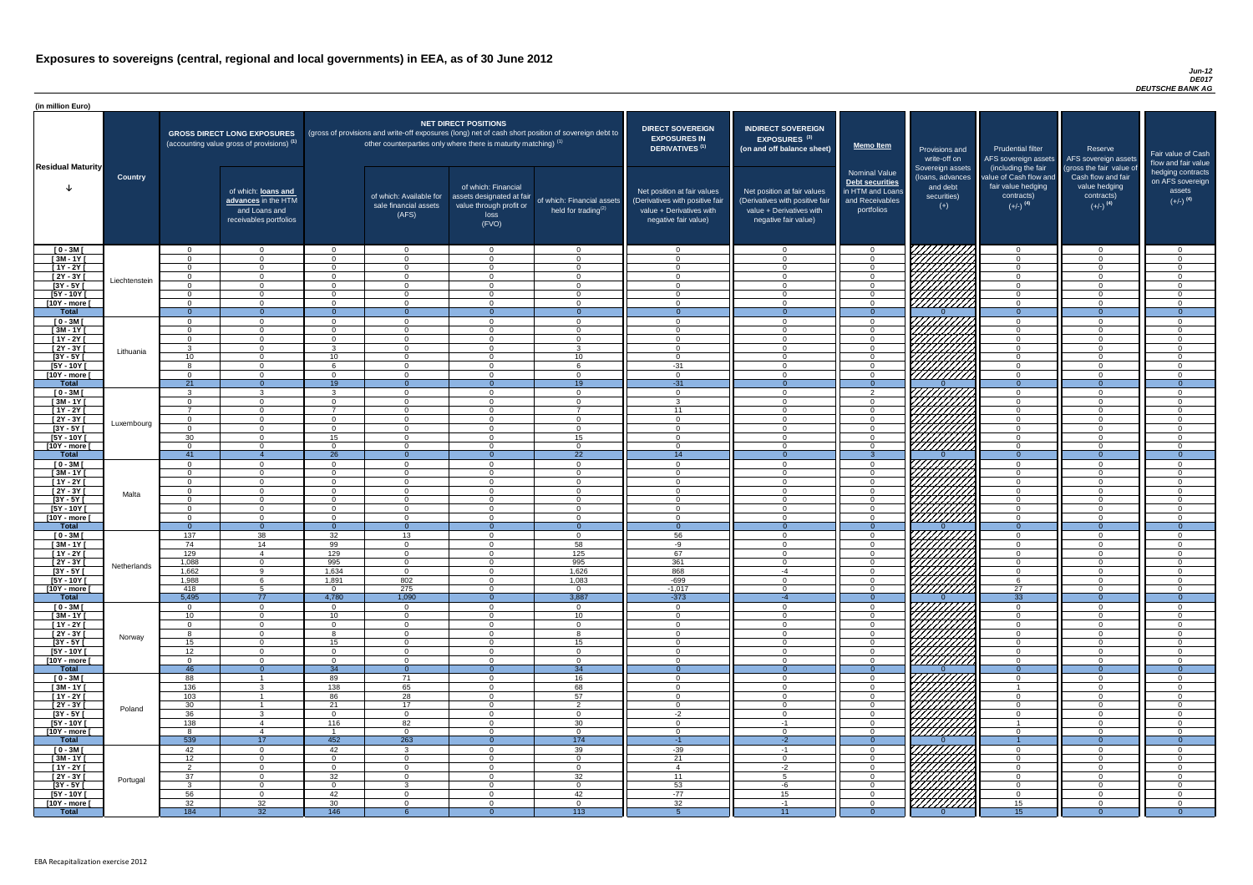### *Jun-12 DE017 DEUTSCHE BANK AG*

| <b>DIRECT SOVEREIGN</b><br><b>EXPOSURES IN</b><br><b>DERIVATIVES<sup>(1)</sup></b><br>Net position at fair values<br>(Derivatives with positive fair<br>value + Derivatives with<br>negative fair value) | <b>INDIRECT SOVEREIGN</b><br><b>EXPOSURES<sup>(3)</sup></b><br>(on and off balance sheet)<br>Net position at fair values<br>(Derivatives with positive fair<br>$value + Derivative$ s with<br>negative fair value) | <b>Memo Item</b><br><b>Nominal Value</b><br>Debt securities<br>in HTM and Loans<br>and Receivables<br>portfolios | Provisions and<br>write-off on<br>Sovereign assets<br>(loans, advances<br>and debt<br>securities)<br>$(+)$ | <b>Prudential filter</b><br>AFS sovereign assets<br>(including the fair<br>value of Cash flow and<br>fair value hedging<br>contracts)<br>$(+/-)$ <sup>(4)</sup> | Reserve<br>AFS sovereign assets<br>(gross the fair value of<br>Cash flow and fair<br>value hedging<br>contracts)<br>$(+/-)$ <sup>(4)</sup> | Fair value of Cash<br>flow and fair value<br>hedging contracts<br>on AFS sovereign<br>assets<br>$(+/-)$ <sup>(4)</sup> |
|----------------------------------------------------------------------------------------------------------------------------------------------------------------------------------------------------------|--------------------------------------------------------------------------------------------------------------------------------------------------------------------------------------------------------------------|------------------------------------------------------------------------------------------------------------------|------------------------------------------------------------------------------------------------------------|-----------------------------------------------------------------------------------------------------------------------------------------------------------------|--------------------------------------------------------------------------------------------------------------------------------------------|------------------------------------------------------------------------------------------------------------------------|
| $\mathbf 0$                                                                                                                                                                                              | $\overline{0}$                                                                                                                                                                                                     | $\mathbf 0$                                                                                                      |                                                                                                            | $\overline{0}$                                                                                                                                                  | $\overline{0}$                                                                                                                             | $\mathbf 0$                                                                                                            |
| $\mathbf 0$                                                                                                                                                                                              | $\mathbf 0$                                                                                                                                                                                                        | $\mathbf 0$                                                                                                      |                                                                                                            | $\mathbf 0$                                                                                                                                                     | $\mathbf 0$                                                                                                                                | $\mathbf 0$                                                                                                            |
| $\mathbf 0$                                                                                                                                                                                              | $\mathbf 0$                                                                                                                                                                                                        | $\mathbf 0$                                                                                                      |                                                                                                            | $\mathbf 0$                                                                                                                                                     | $\overline{0}$                                                                                                                             | $\mathbf 0$                                                                                                            |
| $\mathbf 0$                                                                                                                                                                                              | $\mathbf 0$                                                                                                                                                                                                        | $\pmb{0}$                                                                                                        |                                                                                                            | $\mathbf 0$                                                                                                                                                     | $\mathbf 0$                                                                                                                                | $\pmb{0}$                                                                                                              |
| $\pmb{0}$<br>$\mathbf 0$                                                                                                                                                                                 | $\boldsymbol{0}$<br>$\mathbf 0$                                                                                                                                                                                    | $\pmb{0}$<br>$\mathbf 0$                                                                                         |                                                                                                            | $\mathbf 0$<br>$\mathbf 0$                                                                                                                                      | $\pmb{0}$<br>$\mathbf 0$                                                                                                                   | $\pmb{0}$<br>$\mathbf 0$                                                                                               |
| $\mathbf 0$                                                                                                                                                                                              | $\mathbf 0$                                                                                                                                                                                                        | $\pmb{0}$                                                                                                        |                                                                                                            | $\mathbf 0$                                                                                                                                                     | $\mathbf 0$                                                                                                                                | $\mathbf 0$                                                                                                            |
| $\mathbf{0}$                                                                                                                                                                                             | $\overline{0}$                                                                                                                                                                                                     | $\overline{0}$                                                                                                   | O                                                                                                          | $\overline{0}$                                                                                                                                                  | $\overline{0}$                                                                                                                             | $\overline{0}$                                                                                                         |
| $\mathbf 0$                                                                                                                                                                                              | $\mathbf 0$                                                                                                                                                                                                        | $\pmb{0}$                                                                                                        |                                                                                                            | $\mathbf 0$                                                                                                                                                     | $\mathbf 0$                                                                                                                                | $\mathbf 0$                                                                                                            |
| $\mathbf 0$                                                                                                                                                                                              | $\mathbf 0$                                                                                                                                                                                                        | $\pmb{0}$                                                                                                        |                                                                                                            | $\mathbf 0$                                                                                                                                                     | $\mathbf 0$                                                                                                                                | $\mathbf 0$                                                                                                            |
| $\mathbf 0$<br>$\mathbf 0$                                                                                                                                                                               | $\mathbf 0$<br>$\mathbf 0$                                                                                                                                                                                         | $\pmb{0}$<br>$\mathbf 0$                                                                                         |                                                                                                            | $\mathbf 0$<br>$\mathbf 0$                                                                                                                                      | $\mathbf 0$<br>$\mathbf 0$                                                                                                                 | $\mathbf 0$<br>$\mathbf 0$                                                                                             |
| $\mathbf 0$                                                                                                                                                                                              | $\mathbf 0$                                                                                                                                                                                                        | $\mathbf 0$                                                                                                      |                                                                                                            | $\mathbf 0$                                                                                                                                                     | $\mathbf 0$                                                                                                                                | $\pmb{0}$                                                                                                              |
| $-31$                                                                                                                                                                                                    | $\mathbf 0$                                                                                                                                                                                                        | $\mathbf 0$                                                                                                      |                                                                                                            | $\mathbf 0$                                                                                                                                                     | $\overline{0}$                                                                                                                             | $\mathbf 0$                                                                                                            |
| $\mathbf 0$                                                                                                                                                                                              | $\mathbf 0$                                                                                                                                                                                                        | $\mathbf 0$                                                                                                      |                                                                                                            | $\mathbf 0$                                                                                                                                                     | $\mathbf 0$                                                                                                                                | $\mathbf 0$                                                                                                            |
| $-31$                                                                                                                                                                                                    | $\overline{0}$                                                                                                                                                                                                     | $\overline{0}$                                                                                                   | $\Omega$                                                                                                   | $\mathbf{0}$                                                                                                                                                    | $\overline{0}$                                                                                                                             | $\overline{0}$                                                                                                         |
| $\mathbf 0$                                                                                                                                                                                              | $\mathbf 0$                                                                                                                                                                                                        | $\boldsymbol{2}$                                                                                                 |                                                                                                            | $\mathbf 0$                                                                                                                                                     | $\mathbf 0$                                                                                                                                | $\mathbf 0$                                                                                                            |
| $\mathbf{3}$<br>11                                                                                                                                                                                       | $\mathbf 0$<br>$\mathbf 0$                                                                                                                                                                                         | $\pmb{0}$<br>$\pmb{0}$                                                                                           |                                                                                                            | $\mathbf 0$<br>$\mathbf 0$                                                                                                                                      | $\mathbf 0$<br>$\mathbf 0$                                                                                                                 | $\mathbf 0$<br>$\mathbf 0$                                                                                             |
| $\mathbf 0$                                                                                                                                                                                              | 0                                                                                                                                                                                                                  | $\mathbf 0$                                                                                                      |                                                                                                            | $\mathbf 0$                                                                                                                                                     | $\mathbf 0$                                                                                                                                | $\mathbf 0$                                                                                                            |
| $\mathbf 0$                                                                                                                                                                                              | $\mathbf 0$                                                                                                                                                                                                        | 0                                                                                                                |                                                                                                            | 0                                                                                                                                                               | $\Omega$                                                                                                                                   | $\mathbf 0$                                                                                                            |
| 0                                                                                                                                                                                                        | 0                                                                                                                                                                                                                  | 0                                                                                                                |                                                                                                            | 0                                                                                                                                                               | 0                                                                                                                                          | 0                                                                                                                      |
| $\mathbf 0$                                                                                                                                                                                              | $\mathbf 0$                                                                                                                                                                                                        | 0                                                                                                                |                                                                                                            | $\mathbf 0$                                                                                                                                                     | 0                                                                                                                                          | $\mathbf 0$                                                                                                            |
| 14<br>$\mathbf 0$                                                                                                                                                                                        | $\overline{0}$<br>$\mathbf 0$                                                                                                                                                                                      | 3<br>0                                                                                                           | $\Omega$                                                                                                   | $\overline{0}$<br>$\mathbf 0$                                                                                                                                   | $\overline{0}$<br>0                                                                                                                        | $\overline{0}$<br>$\mathbf 0$                                                                                          |
| $\mathbf 0$                                                                                                                                                                                              | $\mathbf 0$                                                                                                                                                                                                        | $\mathbf 0$                                                                                                      |                                                                                                            | $\mathbf 0$                                                                                                                                                     | 0                                                                                                                                          | $\mathbf 0$                                                                                                            |
| $\mathbf 0$                                                                                                                                                                                              | $\mathbf 0$                                                                                                                                                                                                        | 0                                                                                                                |                                                                                                            | $\mathbf 0$                                                                                                                                                     | 0                                                                                                                                          | $\mathbf 0$                                                                                                            |
| $\mathbf 0$                                                                                                                                                                                              | $\mathbf 0$                                                                                                                                                                                                        | 0                                                                                                                |                                                                                                            | $\mathbf 0$                                                                                                                                                     | 0                                                                                                                                          | $\mathbf 0$                                                                                                            |
| $\mathbf 0$                                                                                                                                                                                              | $\mathbf 0$                                                                                                                                                                                                        | 0                                                                                                                |                                                                                                            | $\mathbf 0$                                                                                                                                                     | 0                                                                                                                                          | $\pmb{0}$                                                                                                              |
| $\mathbf 0$<br>$\mathbf 0$                                                                                                                                                                               | $\mathbf 0$<br>$\mathbf 0$                                                                                                                                                                                         | $\mathsf 0$<br>0                                                                                                 |                                                                                                            | $\mathbf 0$<br>$\mathbf 0$                                                                                                                                      | 0<br>$\mathbf 0$                                                                                                                           | $\pmb{0}$<br>0                                                                                                         |
| $\mathbf{0}$                                                                                                                                                                                             | $\overline{0}$                                                                                                                                                                                                     | $\overline{0}$                                                                                                   | $\Omega$                                                                                                   | $\overline{0}$                                                                                                                                                  | $\overline{0}$                                                                                                                             | $\overline{0}$                                                                                                         |
| 56                                                                                                                                                                                                       | 0                                                                                                                                                                                                                  | $\pmb{0}$                                                                                                        |                                                                                                            | $\mathbf 0$                                                                                                                                                     | 0                                                                                                                                          | 0                                                                                                                      |
| -9                                                                                                                                                                                                       | 0                                                                                                                                                                                                                  | $\pmb{0}$                                                                                                        |                                                                                                            | 0                                                                                                                                                               | $\Omega$                                                                                                                                   | $\mathbf 0$                                                                                                            |
| 67                                                                                                                                                                                                       | $\mathbf 0$                                                                                                                                                                                                        | $\pmb{0}$                                                                                                        |                                                                                                            | $\mathbf 0$                                                                                                                                                     | 0                                                                                                                                          | 0                                                                                                                      |
| 361<br>868                                                                                                                                                                                               | $\mathbf 0$<br>$-4$                                                                                                                                                                                                | $\pmb{0}$<br>$\pmb{0}$                                                                                           |                                                                                                            | $\mathbf 0$<br>$\mathbf 0$                                                                                                                                      | 0<br>$\mathbf 0$                                                                                                                           | $\mathbf 0$<br>0                                                                                                       |
| $-699$                                                                                                                                                                                                   | 0                                                                                                                                                                                                                  | $\pmb{0}$                                                                                                        |                                                                                                            | 6                                                                                                                                                               | 0                                                                                                                                          | 0                                                                                                                      |
| $-1,017$                                                                                                                                                                                                 | $\mathbf 0$                                                                                                                                                                                                        | $\pmb{0}$                                                                                                        |                                                                                                            | 27                                                                                                                                                              | $\mathbf 0$                                                                                                                                | 0                                                                                                                      |
| $-373$                                                                                                                                                                                                   | $-4$                                                                                                                                                                                                               | $\mathbf{0}$                                                                                                     | $\overline{0}$                                                                                             | $\overline{33}$                                                                                                                                                 | $\overline{0}$                                                                                                                             | $\overline{0}$                                                                                                         |
| $\mathbf 0$<br>$\mathbf 0$                                                                                                                                                                               | $\mathbf 0$<br>$\mathbf 0$                                                                                                                                                                                         | 0<br>$\mathbf 0$                                                                                                 |                                                                                                            | $\mathbf 0$<br>$\mathbf 0$                                                                                                                                      | 0<br>0                                                                                                                                     | 0<br>0                                                                                                                 |
| $\boldsymbol{0}$                                                                                                                                                                                         | 0                                                                                                                                                                                                                  | 0                                                                                                                |                                                                                                            | 0                                                                                                                                                               | 0                                                                                                                                          | 0                                                                                                                      |
| 0                                                                                                                                                                                                        | 0                                                                                                                                                                                                                  | 0                                                                                                                |                                                                                                            | 0                                                                                                                                                               | $\Omega$                                                                                                                                   | 0                                                                                                                      |
| $\mathbf 0$                                                                                                                                                                                              | 0                                                                                                                                                                                                                  | $\pmb{0}$                                                                                                        |                                                                                                            | 0                                                                                                                                                               | 0                                                                                                                                          | 0                                                                                                                      |
| 0                                                                                                                                                                                                        | 0                                                                                                                                                                                                                  | $\mathbf 0$                                                                                                      |                                                                                                            | 0                                                                                                                                                               | $\Omega$                                                                                                                                   | $\Omega$                                                                                                               |
| $\mathbf 0$<br>$\mathbf{0}$                                                                                                                                                                              | 0<br>$\overline{0}$                                                                                                                                                                                                | 0<br>$\overline{0}$                                                                                              | $\Omega$                                                                                                   | $\mathbf 0$<br>$\mathbf{0}$                                                                                                                                     | 0<br>$\overline{0}$                                                                                                                        | $\mathbf 0$<br>$\overline{0}$                                                                                          |
| $\mathbf 0$                                                                                                                                                                                              | 0                                                                                                                                                                                                                  | $\mathbf 0$                                                                                                      |                                                                                                            | 0                                                                                                                                                               | 0                                                                                                                                          | 0                                                                                                                      |
| $\mathbf 0$                                                                                                                                                                                              | $\mathbf 0$                                                                                                                                                                                                        | $\mathbf 0$                                                                                                      |                                                                                                            | $\mathbf{1}$                                                                                                                                                    | 0                                                                                                                                          | $\mathbf 0$                                                                                                            |
| $\mathbf 0$                                                                                                                                                                                              | $\mathbf 0$                                                                                                                                                                                                        | $\mathbf 0$                                                                                                      |                                                                                                            | $\mathbf 0$                                                                                                                                                     | 0                                                                                                                                          | $\mathbf 0$                                                                                                            |
| 0                                                                                                                                                                                                        | 0                                                                                                                                                                                                                  | 0                                                                                                                |                                                                                                            | 0                                                                                                                                                               | 0                                                                                                                                          | $\mathbf 0$                                                                                                            |
| $-2$<br>$\mathbf 0$                                                                                                                                                                                      | $\mathbf 0$<br>$-1$                                                                                                                                                                                                | 0<br>$\pmb{0}$                                                                                                   |                                                                                                            | $\mathbf 0$<br>$\mathbf{1}$                                                                                                                                     | 0<br>$\mathbf 0$                                                                                                                           | $\mathbf 0$<br>$\mathbf 0$                                                                                             |
| $\mathbf 0$                                                                                                                                                                                              | 0                                                                                                                                                                                                                  | 0                                                                                                                |                                                                                                            | $\mathbf 0$                                                                                                                                                     | 0                                                                                                                                          | $\mathbf 0$                                                                                                            |
| $-1$                                                                                                                                                                                                     | $-2$                                                                                                                                                                                                               | $\overline{0}$                                                                                                   | $\Omega$                                                                                                   |                                                                                                                                                                 | $\overline{0}$                                                                                                                             | $\overline{0}$                                                                                                         |
| $-39$                                                                                                                                                                                                    | $-1$                                                                                                                                                                                                               | 0                                                                                                                |                                                                                                            | $\mathbf 0$                                                                                                                                                     | $\mathbf 0$                                                                                                                                | 0                                                                                                                      |
| 21                                                                                                                                                                                                       | $\Omega$                                                                                                                                                                                                           | $\Omega$                                                                                                         |                                                                                                            | $\Omega$                                                                                                                                                        | $\Omega$                                                                                                                                   | $\Omega$                                                                                                               |
| $\overline{4}$<br>$\overline{11}$                                                                                                                                                                        | $-2$<br>$\overline{5}$                                                                                                                                                                                             | $\pmb{0}$<br>$\mathbf 0$                                                                                         |                                                                                                            | $\overline{0}$<br>$\mathbf 0$                                                                                                                                   | $\mathbf 0$<br>$\overline{0}$                                                                                                              | $\pmb{0}$<br>$\mathbf 0$                                                                                               |
| 53                                                                                                                                                                                                       | $-6$                                                                                                                                                                                                               | $\mathbf 0$                                                                                                      |                                                                                                            | $\overline{0}$                                                                                                                                                  | $\overline{0}$                                                                                                                             | $\mathbf 0$                                                                                                            |
| $-77$                                                                                                                                                                                                    | 15                                                                                                                                                                                                                 | $\mathsf{O}\xspace$                                                                                              |                                                                                                            | $\overline{0}$                                                                                                                                                  | $\mathbf 0$                                                                                                                                | $\boldsymbol{0}$                                                                                                       |
| 32                                                                                                                                                                                                       | $-1$                                                                                                                                                                                                               | $\mathsf{O}\xspace$                                                                                              |                                                                                                            | 15                                                                                                                                                              | $\overline{0}$                                                                                                                             | $\overline{0}$                                                                                                         |
| $\overline{5}$                                                                                                                                                                                           | 11                                                                                                                                                                                                                 | $\overline{0}$                                                                                                   | $\overline{0}$                                                                                             | $\overline{15}$                                                                                                                                                 | $\overline{0}$                                                                                                                             | $\overline{0}$                                                                                                         |

| (in million Euro)                   |                |                             |                                                                                             |                             |                                                                      |                                                                                              |                                                                                                     |                                                                                                                    |                                                                                                                    |                                                                                                     |                                                                          |                                                                                                             |                                                                                                         |                                                   |
|-------------------------------------|----------------|-----------------------------|---------------------------------------------------------------------------------------------|-----------------------------|----------------------------------------------------------------------|----------------------------------------------------------------------------------------------|-----------------------------------------------------------------------------------------------------|--------------------------------------------------------------------------------------------------------------------|--------------------------------------------------------------------------------------------------------------------|-----------------------------------------------------------------------------------------------------|--------------------------------------------------------------------------|-------------------------------------------------------------------------------------------------------------|---------------------------------------------------------------------------------------------------------|---------------------------------------------------|
| <b>Residual Maturity</b>            |                |                             | <b>GROSS DIRECT LONG EXPOSURES</b><br>(accounting value gross of provisions) <sup>(1)</sup> |                             | other counterparties only where there is maturity matching) $^{(1)}$ | <b>NET DIRECT POSITIONS</b>                                                                  | (gross of provisions and write-off exposures (long) net of cash short position of sovereign debt to | <b>DIRECT SOVEREIGN</b><br><b>EXPOSURES IN</b><br>DERIVATIVES <sup>(1)</sup>                                       | <b>INDIRECT SOVEREIGN</b><br><b>EXPOSURES<sup>(3)</sup></b><br>(on and off balance sheet)                          | <b>Memo Item</b>                                                                                    | Provisions and<br>write-off on                                           | <b>Prudential filter</b><br>AFS sovereign assets                                                            | Reserve<br>AFS sovereign assets                                                                         | <b>Fair value</b><br>flow and f                   |
|                                     | <b>Country</b> |                             | of which: loans and<br>advances in the HTM<br>and Loans and<br>receivables portfolios       |                             | of which: Available for<br>sale financial assets<br>(AFS)            | of which: Financial<br>assets designated at fair<br>value through profit or<br>loss<br>(FVO) | of which: Financial assets<br>held for trading <sup>(2)</sup>                                       | Net position at fair values<br>(Derivatives with positive fair<br>value + Derivatives with<br>negative fair value) | Net position at fair values<br>(Derivatives with positive fair<br>value + Derivatives with<br>negative fair value) | <b>Nominal Value</b><br><b>Debt securities</b><br>in HTM and Loans<br>and Receivables<br>portfolios | Sovereign assets<br>(loans, advances<br>and debt<br>securities)<br>$(+)$ | (including the fair<br>value of Cash flow and<br>fair value hedging<br>contracts)<br>$(+/-)$ <sup>(4)</sup> | (gross the fair value of<br>Cash flow and fair<br>value hedging<br>contracts)<br>$(+/-)$ <sup>(4)</sup> | hedging o<br>on AFS <sub>s</sub><br>ass<br>$(+/-$ |
| $[0 - 3M]$                          |                | $\Omega$                    | $\Omega$                                                                                    | $\Omega$                    | $\overline{0}$                                                       | $\overline{0}$                                                                               | $\cap$                                                                                              | $\cap$                                                                                                             | $\overline{0}$                                                                                                     | $\overline{0}$                                                                                      | 7777777777                                                               | $\overline{0}$                                                                                              | $\Omega$                                                                                                |                                                   |
| $[3M - 1Y]$                         |                | $\Omega$                    | . റ                                                                                         | $\Omega$                    | $\overline{0}$                                                       | $\Omega$                                                                                     | $\cap$                                                                                              |                                                                                                                    | $\Omega$                                                                                                           | $\Omega$                                                                                            |                                                                          | $\Omega$                                                                                                    | $\Omega$                                                                                                |                                                   |
| $[1Y - 2Y]$<br>$\overline{2Y - 3Y}$ |                | $\Omega$<br>$\Omega$        | $\cap$<br>$\Omega$                                                                          | $\Omega$<br>$\Omega$        | $\overline{0}$<br>$\overline{0}$                                     | $\Omega$<br>$\Omega$                                                                         | $\cap$<br>$\Omega$                                                                                  |                                                                                                                    | $\Omega$<br>$\Omega$                                                                                               | $\Omega$<br>$\Omega$                                                                                |                                                                          | $\Omega$<br>$\Omega$                                                                                        | $\Omega$<br>$\Omega$                                                                                    |                                                   |
| $[3Y - 5Y]$                         | Liechtenstein  | $\Omega$                    | $\cap$                                                                                      | $\Omega$                    | $\Omega$                                                             | $\Omega$                                                                                     | $\cap$                                                                                              | $\cap$                                                                                                             | - റ                                                                                                                | $\Omega$                                                                                            |                                                                          | $\Omega$                                                                                                    | $\Omega$                                                                                                |                                                   |
| $[5Y - 10Y]$                        |                | $\Omega$                    | $\cap$                                                                                      | $\Omega$                    | $\overline{0}$                                                       | $\Omega$                                                                                     | $\cap$                                                                                              | $\Omega$                                                                                                           | $\cap$                                                                                                             | $\Omega$                                                                                            | ШША<br>ШШША                                                              | $\overline{0}$                                                                                              | $\Omega$                                                                                                |                                                   |
| [10Y - more [                       |                | $\Omega$                    | $\Omega$                                                                                    | $\Omega$                    | $\overline{0}$                                                       | $\Omega$                                                                                     | $\Omega$                                                                                            | $\Omega$                                                                                                           | $\cap$                                                                                                             | $\overline{0}$                                                                                      |                                                                          | $\overline{0}$                                                                                              | $\Omega$                                                                                                |                                                   |
| <b>Total</b><br>$[0 - 3M]$          |                | $\Omega$<br>$\Omega$        | $\Omega$                                                                                    | - വ<br>$\Omega$             | $\Omega$<br>$\overline{0}$                                           | $\cap$<br>$\Omega$                                                                           | $\Omega$<br>$\Omega$                                                                                | $\Omega$                                                                                                           | $\Omega$                                                                                                           | $\Omega$<br>$\Omega$                                                                                | 77777777                                                                 | $\Omega$<br>$\Omega$                                                                                        | $\Omega$<br>$\Omega$                                                                                    |                                                   |
| $[3M - 1Y]$                         |                | $\Omega$                    | $\Omega$                                                                                    | $\Omega$                    | $\overline{0}$                                                       | $\Omega$                                                                                     | $\Omega$                                                                                            |                                                                                                                    | $\Omega$                                                                                                           | $\overline{0}$                                                                                      |                                                                          | $\overline{0}$                                                                                              | $\overline{0}$                                                                                          |                                                   |
| $[1Y - 2Y]$                         |                | $\Omega$                    | $\cap$                                                                                      | $\Omega$                    | $\overline{0}$                                                       | $\Omega$                                                                                     | $\cap$                                                                                              |                                                                                                                    | $\Omega$                                                                                                           | $\Omega$                                                                                            |                                                                          | $\overline{0}$                                                                                              | $\Omega$                                                                                                |                                                   |
| $[2Y - 3Y]$                         | Lithuania      | $\mathcal{R}$               | $\cap$                                                                                      | 3                           | $\Omega$                                                             | $\Omega$                                                                                     | $\mathcal{R}$                                                                                       | $\sim$                                                                                                             | $\Omega$                                                                                                           | $\Omega$                                                                                            |                                                                          | $\Omega$                                                                                                    | $\Omega$                                                                                                |                                                   |
| $[3Y - 5Y]$<br>$[5Y - 10Y]$         |                | 10 <sup>°</sup><br>$\Omega$ | $\Omega$                                                                                    | 10                          | $\overline{0}$<br>$\overline{0}$                                     | $\Omega$<br>$\Omega$                                                                         | 10                                                                                                  | $-31$                                                                                                              | $\Omega$<br>$\Omega$                                                                                               | $\Omega$<br>$\Omega$                                                                                | 777777777<br>777777777                                                   | $\Omega$<br>$\Omega$                                                                                        | $\Omega$<br>$\Omega$                                                                                    |                                                   |
| [10Y - more [                       |                | $\Omega$                    | $\cap$                                                                                      | $\Omega$                    | $\Omega$                                                             | $\Omega$                                                                                     |                                                                                                     |                                                                                                                    | $\cap$                                                                                                             | $\Omega$                                                                                            | 777777777                                                                | $\Omega$                                                                                                    | $\Omega$                                                                                                |                                                   |
| <b>Total</b>                        |                | 21                          |                                                                                             | $\overline{19}$             | $\Omega$                                                             | - റ                                                                                          | $\overline{19}$                                                                                     | $-31$                                                                                                              | $\Omega$                                                                                                           | $\Omega$                                                                                            |                                                                          | $\Omega$                                                                                                    | $\Omega$                                                                                                |                                                   |
| $[0 - 3M]$                          |                | $\mathcal{R}$               |                                                                                             | $\mathcal{R}$               | $\Omega$                                                             | $\Omega$                                                                                     | $\cap$<br>$\sqrt{ }$                                                                                | $\cap$                                                                                                             | $\cap$                                                                                                             | $\mathcal{D}$                                                                                       | 7777777777                                                               | $\Omega$                                                                                                    | $\Omega$                                                                                                |                                                   |
| $[3M-1Y]$<br>$[1Y - 2Y]$            |                | $\Omega$<br>$\overline{z}$  | $\cap$<br>$\Omega$                                                                          | $\Omega$                    | $\Omega$<br>$\Omega$                                                 | $\Omega$<br>$\cap$                                                                           |                                                                                                     | $\mathbf{R}$<br>11                                                                                                 | $\Omega$<br>$\Omega$                                                                                               | . റ<br>. റ                                                                                          | $\mathbb{Z}$                                                             | $\overline{0}$<br>$\Omega$                                                                                  | $\Omega$<br>$\Omega$                                                                                    |                                                   |
| $[2Y - 3Y]$                         |                | $\Omega$                    | $\cap$                                                                                      | $\Omega$                    | $\Omega$                                                             | $\Omega$                                                                                     |                                                                                                     | $\Omega$                                                                                                           | $\Omega$                                                                                                           | $\Omega$                                                                                            |                                                                          | $\Omega$                                                                                                    | $\Omega$                                                                                                |                                                   |
| $[3Y - 5Y]$                         | Luxembourg     |                             |                                                                                             |                             |                                                                      |                                                                                              |                                                                                                     |                                                                                                                    |                                                                                                                    |                                                                                                     | KZ.                                                                      |                                                                                                             |                                                                                                         |                                                   |
| $[5Y - 10Y]$                        |                | 30                          | $\Omega$                                                                                    | 15                          | $\overline{0}$                                                       | $\Omega$                                                                                     | 15<br>$\sqrt{ }$                                                                                    |                                                                                                                    | $\Omega$                                                                                                           | $\Omega$                                                                                            | 1111111                                                                  | $\Omega$                                                                                                    | $\Omega$                                                                                                |                                                   |
| [10Y - more ]<br><b>Total</b>       |                | $\Omega$<br>41              |                                                                                             | $\Omega$<br>$\overline{26}$ | $\Omega$<br>$\Omega$                                                 | $\Omega$<br>$\Omega$                                                                         | $\overline{22}$                                                                                     | 14                                                                                                                 |                                                                                                                    | $\cap$                                                                                              | 77777777                                                                 | $\Omega$<br>$\Omega$                                                                                        | $\Omega$<br>$\Omega$                                                                                    |                                                   |
| $[0 - 3M]$                          |                | $\Omega$                    | $\cap$                                                                                      | $\Omega$                    | $\overline{0}$                                                       | $\Omega$                                                                                     | $\cap$                                                                                              |                                                                                                                    | $\Omega$                                                                                                           | $\cap$                                                                                              |                                                                          | $\Omega$                                                                                                    | $\Omega$                                                                                                |                                                   |
| $[3M - 1Y]$                         |                |                             | $\Omega$                                                                                    | - റ                         | $\overline{0}$                                                       | $\Omega$                                                                                     |                                                                                                     |                                                                                                                    | $\Omega$                                                                                                           | $\Omega$                                                                                            |                                                                          | $\Omega$                                                                                                    | $\Omega$                                                                                                |                                                   |
| $[1Y - 2Y]$<br>[2Y - 3Y [           |                | $\Omega$<br>$\Omega$        | $\Omega$<br>$\cap$                                                                          | $\Omega$<br>$\Omega$        | $\overline{0}$<br>$\overline{0}$                                     | $\Omega$<br>$\Omega$                                                                         | ി<br>$\cap$                                                                                         | $\cap$                                                                                                             | $\Omega$<br>$\Omega$                                                                                               | $\Omega$<br>$\Omega$                                                                                |                                                                          | $\Omega$<br>$\Omega$                                                                                        | $\Omega$<br>$\Omega$                                                                                    |                                                   |
| $[3Y - 5Y]$                         | Malta          | $\Omega$                    | $\cap$                                                                                      | - 0                         | $\overline{0}$                                                       | $\Omega$                                                                                     | $\cap$                                                                                              |                                                                                                                    | $\Omega$                                                                                                           | $\Omega$                                                                                            |                                                                          | $\Omega$                                                                                                    | $\Omega$                                                                                                |                                                   |
| $[5Y - 10Y]$                        |                | $\Omega$                    | $\cap$                                                                                      | $\Omega$                    | $\overline{0}$                                                       | $\Omega$                                                                                     | $\Omega$                                                                                            | $\Omega$                                                                                                           | $\Omega$                                                                                                           | $\overline{0}$                                                                                      |                                                                          | $\Omega$                                                                                                    | $\Omega$                                                                                                |                                                   |
| [10Y - more [                       |                | $\Omega$                    | $\cap$                                                                                      | $\Omega$                    | $\Omega$                                                             | $\Omega$                                                                                     | $\cap$                                                                                              | $\Omega$                                                                                                           | $\Omega$                                                                                                           | $\Omega$                                                                                            | r <i>ttitiin</i>                                                         | $\overline{0}$                                                                                              | $\Omega$                                                                                                |                                                   |
| <b>Total</b><br>$[0 - 3M]$          |                | $\overline{0}$<br>137       | $\Omega$<br>38                                                                              | $\Omega$<br>32              | $\Omega$<br>13                                                       | $\Omega$<br>$\Omega$                                                                         | $\overline{0}$<br>$\Omega$                                                                          | $\overline{0}$<br>56                                                                                               | $\Omega$                                                                                                           | $\Omega$<br>$\overline{0}$                                                                          |                                                                          | $\Omega$<br>$\Omega$                                                                                        | $\Omega$<br>$\Omega$                                                                                    |                                                   |
| $[3M - 1Y]$                         |                | 74                          | 14                                                                                          | 99                          | $\overline{0}$                                                       | $\Omega$                                                                                     | 58                                                                                                  | -9                                                                                                                 | $\Omega$                                                                                                           | $\Omega$                                                                                            |                                                                          | $\Omega$                                                                                                    | $\Omega$                                                                                                |                                                   |
| $[1Y - 2Y]$                         |                | 129                         | -4                                                                                          | 129                         | $\overline{0}$                                                       | $\Omega$                                                                                     | 125                                                                                                 | 67                                                                                                                 | $\Omega$                                                                                                           | $\Omega$                                                                                            |                                                                          | $\overline{0}$                                                                                              | $\Omega$                                                                                                |                                                   |
| $[2Y - 3Y]$                         | Netherlands    | 1,088                       | $\Omega$                                                                                    | 995                         | $\overline{0}$                                                       | $\overline{0}$                                                                               | 995                                                                                                 | 361                                                                                                                | $\Omega$                                                                                                           | $\overline{0}$                                                                                      |                                                                          | $\overline{0}$                                                                                              | $\overline{0}$                                                                                          |                                                   |
| $[3Y - 5Y]$<br>$[5Y - 10Y]$         |                | 1,662<br>1,988              |                                                                                             | 1,634<br>1,891              | $\overline{0}$<br>802                                                | $\Omega$<br>$\Omega$                                                                         | 1,626<br>1,083                                                                                      | 868<br>$-699$                                                                                                      | -4<br>$\Omega$                                                                                                     | $\Omega$<br>$\Omega$                                                                                |                                                                          | $\Omega$<br>-6                                                                                              | $\Omega$<br>$\Omega$                                                                                    |                                                   |
| [10Y - more [                       |                | 418                         |                                                                                             | $\Omega$                    | 275                                                                  | $\overline{0}$                                                                               | $\Omega$                                                                                            | $-1,017$                                                                                                           | $\Omega$                                                                                                           | $\Omega$                                                                                            | ////////                                                                 | 27                                                                                                          | $\Omega$                                                                                                |                                                   |
| <b>Total</b>                        |                | 5,495                       | 77                                                                                          | 4,780                       | 1,090                                                                | -0                                                                                           | 3,887                                                                                               | $-373$                                                                                                             | $-4$                                                                                                               | $\Omega$                                                                                            |                                                                          | 33                                                                                                          | $\Omega$                                                                                                |                                                   |
| $[0 - 3M]$<br>$[3M - 1Y]$           |                | $\Omega$<br>10 <sup>°</sup> | . റ<br>. റ                                                                                  | $\Omega$<br>10              | $\overline{0}$                                                       | $\Omega$<br>$\Omega$                                                                         | $\cap$<br>10                                                                                        | $\cap$<br>$\cap$                                                                                                   | $\Omega$<br>$\Omega$                                                                                               | $\Omega$<br>$\Omega$                                                                                |                                                                          | $\overline{0}$<br>$\overline{0}$                                                                            | $\Omega$<br>$\Omega$                                                                                    |                                                   |
| $[1Y - 2Y]$                         |                | $\overline{0}$              | $\Omega$                                                                                    | $\Omega$                    | $\overline{0}$<br>$\overline{0}$                                     | $\Omega$                                                                                     | $\Omega$                                                                                            | $\Omega$                                                                                                           | $\Omega$                                                                                                           | $\Omega$                                                                                            |                                                                          | $\overline{0}$                                                                                              | $\Omega$                                                                                                |                                                   |
| $[2Y - 3Y]$                         | Norway         | $\mathsf{R}$                | $\cap$                                                                                      | -8                          | $\Omega$                                                             | $\Omega$                                                                                     | $\mathsf{R}$                                                                                        | $\Omega$                                                                                                           | $\Omega$                                                                                                           | $\Omega$                                                                                            |                                                                          | $\overline{0}$                                                                                              | $\Omega$                                                                                                |                                                   |
| $[3Y - 5Y]$                         |                | 15                          | . റ                                                                                         | 15                          | $\overline{0}$                                                       | $\Omega$                                                                                     | 15                                                                                                  | $\cap$                                                                                                             | $\Omega$                                                                                                           | $\Omega$                                                                                            |                                                                          | $\Omega$                                                                                                    | $\Omega$                                                                                                |                                                   |
| $[5Y - 10Y]$<br>[10Y - more [       |                | 12 <sup>2</sup><br>$\Omega$ | $\Omega$<br>$\cap$                                                                          | $\Omega$<br>$\Omega$        | $\overline{0}$<br>$\Omega$                                           | $\Omega$<br>$\Omega$                                                                         | $\Omega$<br>$\Omega$                                                                                |                                                                                                                    | $\Omega$<br>$\Omega$                                                                                               | $\Omega$<br>$\Omega$                                                                                | 777777777<br><u>V//////////</u>                                          | $\Omega$<br>$\Omega$                                                                                        | $\Omega$<br>$\Omega$                                                                                    |                                                   |
| <b>Total</b>                        |                | 46                          | $\Omega$                                                                                    | $\overline{34}$             | $\Omega$                                                             |                                                                                              | 34                                                                                                  |                                                                                                                    |                                                                                                                    | $\Omega$                                                                                            |                                                                          | $\Omega$                                                                                                    | $\Omega$                                                                                                |                                                   |
| $[0 - 3M]$                          |                | 88                          |                                                                                             | 89                          | 71                                                                   | $\Omega$                                                                                     | 16                                                                                                  |                                                                                                                    | $\Omega$                                                                                                           | $\Omega$                                                                                            |                                                                          | $\Omega$                                                                                                    | $\Omega$                                                                                                |                                                   |
| $[3M - 1Y]$                         |                | 136                         |                                                                                             | 138                         | 65                                                                   | $\Omega$                                                                                     | 68                                                                                                  |                                                                                                                    | $\Omega$                                                                                                           | $\Omega$                                                                                            |                                                                          |                                                                                                             | $\Omega$                                                                                                |                                                   |
| $[1Y - 2Y]$<br>$\overline{2Y - 3Y}$ |                | 103<br>30                   |                                                                                             | 86<br>21                    | 28<br>17                                                             | $\Omega$<br>$\Omega$                                                                         | 57<br>$\overline{2}$                                                                                |                                                                                                                    | $\Omega$<br>$\Omega$                                                                                               | $\Omega$<br>$\Omega$                                                                                |                                                                          | $\Omega$<br>$\Omega$                                                                                        | $\Omega$<br>$\Omega$                                                                                    |                                                   |
| $[3Y - 5Y]$                         | Poland         | 36                          |                                                                                             | $\Omega$                    | $\overline{0}$                                                       | $\Omega$                                                                                     | $\Omega$                                                                                            | $-2$                                                                                                               | $\Omega$                                                                                                           | $\Omega$                                                                                            |                                                                          | $\Omega$                                                                                                    | $\Omega$                                                                                                |                                                   |
| $[5Y - 10Y]$                        |                | 138                         |                                                                                             | 116                         | 82                                                                   | $\Omega$                                                                                     | 30                                                                                                  | $\cap$                                                                                                             | -1                                                                                                                 | $\Omega$                                                                                            |                                                                          |                                                                                                             | $\Omega$                                                                                                |                                                   |
| [10Y - more [                       |                | $\Omega$                    |                                                                                             |                             | $\overline{0}$                                                       | $\Omega$                                                                                     | $\Omega$                                                                                            | $\Omega$                                                                                                           | $\Omega$                                                                                                           | $\Omega$                                                                                            | //////////                                                               | $\Omega$                                                                                                    | $\Omega$                                                                                                |                                                   |
| <b>Total</b><br>$[0 - 3M]$          |                | 539<br>42                   | 17<br>$\cap$                                                                                | 452<br>42                   | 263<br>$\mathbf{3}$                                                  | $\Omega$                                                                                     | 174<br>39                                                                                           | $-39$                                                                                                              | -2<br>-1                                                                                                           | $\Omega$<br>$\cap$                                                                                  | 1777777777                                                               | $\Omega$                                                                                                    | - 0<br>$\Omega$                                                                                         |                                                   |
| $[3M - 1Y]$                         |                | 12 <sup>2</sup>             | $\Omega$                                                                                    | $\Omega$                    | $\overline{0}$                                                       | $\overline{0}$                                                                               | $\Omega$                                                                                            | 21                                                                                                                 | $\Omega$                                                                                                           | $\Omega$                                                                                            |                                                                          | $\overline{0}$                                                                                              | $\overline{0}$                                                                                          |                                                   |
| $[1Y - 2Y]$                         |                | $\overline{2}$              | $\overline{0}$                                                                              | $\Omega$                    | $\overline{0}$                                                       | $\overline{0}$                                                                               | $\Omega$                                                                                            | $\overline{4}$                                                                                                     | $-2$                                                                                                               | $\overline{0}$                                                                                      |                                                                          | $\overline{0}$                                                                                              | $\overline{0}$                                                                                          |                                                   |
| $[2Y - 3Y]$                         | Portugal       | 37                          | $\overline{0}$                                                                              | 32                          | $\overline{0}$                                                       | $\overline{0}$                                                                               | 32                                                                                                  | 11                                                                                                                 | -5                                                                                                                 | $\overline{0}$                                                                                      |                                                                          | $\overline{0}$                                                                                              | $\overline{0}$                                                                                          |                                                   |
| $[3Y - 5Y]$<br>$[5Y - 10Y]$         |                | ູຈ<br>56                    | . റ<br>$\Omega$                                                                             | $\Omega$<br>42              | $\mathbf{3}$<br>$\overline{0}$                                       | $\Omega$<br>$\overline{0}$                                                                   | $\Omega$<br>42                                                                                      | 53<br>$-77$                                                                                                        | -6<br>15                                                                                                           | $\Omega$<br>$\overline{0}$                                                                          |                                                                          | $\Omega$<br>$\overline{0}$                                                                                  | $\Omega$<br>$\Omega$                                                                                    |                                                   |
| $[10Y - more]$                      |                | 32                          | 32                                                                                          | 30                          | $\overline{0}$                                                       | $\Omega$                                                                                     | - വ                                                                                                 | 32                                                                                                                 | -1                                                                                                                 | $\Omega$                                                                                            | William                                                                  | 15 <sub>1</sub>                                                                                             | $\Omega$                                                                                                |                                                   |
| <b>Total</b>                        |                | 184                         | 32                                                                                          | 146                         | 6                                                                    | $\Omega$                                                                                     | 113                                                                                                 |                                                                                                                    | 11                                                                                                                 |                                                                                                     |                                                                          | 15                                                                                                          | $\Omega$                                                                                                |                                                   |